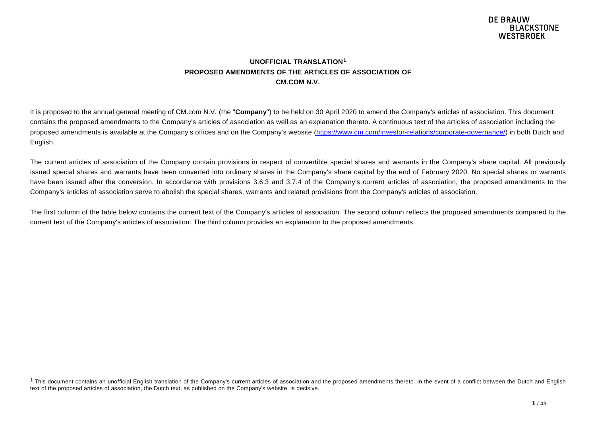#### <span id="page-0-0"></span>**UNOFFICIAL TRANSLATION[1](#page-0-0) PROPOSED AMENDMENTS OF THE ARTICLES OF ASSOCIATION OF CM.COM N.V.**

It is proposed to the annual general meeting of CM.com N.V. (the "**Company**") to be held on 30 April 2020 to amend the Company's articles of association. This document contains the proposed amendments to the Company's articles of association as well as an explanation thereto. A continuous text of the articles of association including the proposed amendments is available at the Company's offices and on the Company's website [\(https://www.cm.com/investor-relations/corporate-governance/\)](https://www.cm.com/investor-relations/corporate-governance/) in both Dutch and English.

The current articles of association of the Company contain provisions in respect of convertible special shares and warrants in the Company's share capital. All previously issued special shares and warrants have been converted into ordinary shares in the Company's share capital by the end of February 2020. No special shares or warrants have been issued after the conversion. In accordance with provisions 3.6.3 and 3.7.4 of the Company's current articles of association, the proposed amendments to the Company's articles of association serve to abolish the special shares, warrants and related provisions from the Company's articles of association.

The first column of the table below contains the current text of the Company's articles of association. The second column reflects the proposed amendments compared to the current text of the Company's articles of association. The third column provides an explanation to the proposed amendments.

 $1$  This document contains an unofficial English translation of the Company's current articles of association and the proposed amendments thereto. In the event of a conflict between the Dutch and English text of the proposed articles of association, the Dutch text, as published on the Company's website, is decisive.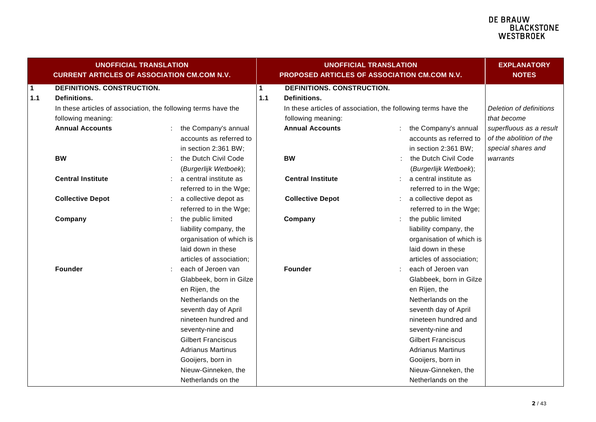#### **DE BRAUW E BIACWOONE**<br>BLACKSTONE<br>WESTBROEK

| <b>UNOFFICIAL TRANSLATION</b><br><b>CURRENT ARTICLES OF ASSOCIATION CM.COM N.V.</b> |                                                                |  |                           |              | <b>UNOFFICIAL TRANSLATION</b><br>PROPOSED ARTICLES OF ASSOCIATION CM.COM N.V. | <b>EXPLANATORY</b><br><b>NOTES</b> |                         |
|-------------------------------------------------------------------------------------|----------------------------------------------------------------|--|---------------------------|--------------|-------------------------------------------------------------------------------|------------------------------------|-------------------------|
| $\mathbf 1$                                                                         | DEFINITIONS. CONSTRUCTION.                                     |  |                           | $\mathbf{1}$ | DEFINITIONS. CONSTRUCTION.                                                    |                                    |                         |
| 1.1                                                                                 | Definitions.                                                   |  |                           | 1.1          | Definitions.                                                                  |                                    |                         |
|                                                                                     | In these articles of association, the following terms have the |  |                           |              | In these articles of association, the following terms have the                |                                    | Deletion of definitions |
|                                                                                     | following meaning:                                             |  |                           |              | following meaning:                                                            |                                    | that become             |
|                                                                                     | <b>Annual Accounts</b>                                         |  | the Company's annual      |              | <b>Annual Accounts</b>                                                        | the Company's annual               | superfluous as a result |
|                                                                                     |                                                                |  | accounts as referred to   |              |                                                                               | accounts as referred to            | of the abolition of the |
|                                                                                     |                                                                |  | in section 2:361 BW;      |              |                                                                               | in section 2:361 BW;               | special shares and      |
|                                                                                     | <b>BW</b>                                                      |  | the Dutch Civil Code      |              | <b>BW</b>                                                                     | the Dutch Civil Code               | warrants                |
|                                                                                     |                                                                |  | (Burgerlijk Wetboek);     |              |                                                                               | (Burgerlijk Wetboek);              |                         |
|                                                                                     | <b>Central Institute</b>                                       |  | a central institute as    |              | <b>Central Institute</b>                                                      | a central institute as             |                         |
|                                                                                     |                                                                |  | referred to in the Wge;   |              |                                                                               | referred to in the Wge;            |                         |
|                                                                                     | <b>Collective Depot</b>                                        |  | a collective depot as     |              | <b>Collective Depot</b>                                                       | a collective depot as              |                         |
|                                                                                     |                                                                |  | referred to in the Wge;   |              |                                                                               | referred to in the Wge;            |                         |
|                                                                                     | Company                                                        |  | the public limited        |              | Company                                                                       | the public limited                 |                         |
|                                                                                     |                                                                |  | liability company, the    |              |                                                                               | liability company, the             |                         |
|                                                                                     |                                                                |  | organisation of which is  |              |                                                                               | organisation of which is           |                         |
|                                                                                     |                                                                |  | laid down in these        |              |                                                                               | laid down in these                 |                         |
|                                                                                     |                                                                |  | articles of association;  |              |                                                                               | articles of association;           |                         |
|                                                                                     | <b>Founder</b>                                                 |  | each of Jeroen van        |              | Founder                                                                       | each of Jeroen van                 |                         |
|                                                                                     |                                                                |  | Glabbeek, born in Gilze   |              |                                                                               | Glabbeek, born in Gilze            |                         |
|                                                                                     |                                                                |  | en Rijen, the             |              |                                                                               | en Rijen, the                      |                         |
|                                                                                     |                                                                |  | Netherlands on the        |              |                                                                               | Netherlands on the                 |                         |
|                                                                                     |                                                                |  | seventh day of April      |              |                                                                               | seventh day of April               |                         |
|                                                                                     |                                                                |  | nineteen hundred and      |              |                                                                               | nineteen hundred and               |                         |
|                                                                                     |                                                                |  | seventy-nine and          |              |                                                                               | seventy-nine and                   |                         |
|                                                                                     |                                                                |  | <b>Gilbert Franciscus</b> |              |                                                                               | <b>Gilbert Franciscus</b>          |                         |
|                                                                                     |                                                                |  | <b>Adrianus Martinus</b>  |              |                                                                               | <b>Adrianus Martinus</b>           |                         |
|                                                                                     |                                                                |  | Gooijers, born in         |              |                                                                               | Gooijers, born in                  |                         |
|                                                                                     |                                                                |  | Nieuw-Ginneken, the       |              |                                                                               | Nieuw-Ginneken, the                |                         |
|                                                                                     |                                                                |  | Netherlands on the        |              |                                                                               | Netherlands on the                 |                         |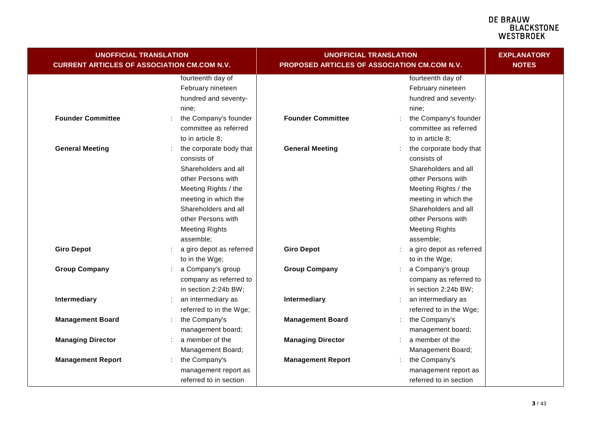| <b>UNOFFICIAL TRANSLATION</b><br><b>CURRENT ARTICLES OF ASSOCIATION CM.COM N.V.</b> |                                                                                                                                                                                                                          | <b>UNOFFICIAL TRANSLATION</b><br>PROPOSED ARTICLES OF ASSOCIATION CM.COM N.V. | <b>EXPLANATORY</b><br><b>NOTES</b>                                                                                                                                                                                       |  |
|-------------------------------------------------------------------------------------|--------------------------------------------------------------------------------------------------------------------------------------------------------------------------------------------------------------------------|-------------------------------------------------------------------------------|--------------------------------------------------------------------------------------------------------------------------------------------------------------------------------------------------------------------------|--|
|                                                                                     | fourteenth day of<br>February nineteen<br>hundred and seventy-<br>nine:                                                                                                                                                  |                                                                               | fourteenth day of<br>February nineteen<br>hundred and seventy-<br>nine:                                                                                                                                                  |  |
| <b>Founder Committee</b>                                                            | the Company's founder<br>committee as referred<br>to in article 8;                                                                                                                                                       | <b>Founder Committee</b>                                                      | the Company's founder<br>committee as referred<br>to in article 8;                                                                                                                                                       |  |
| <b>General Meeting</b>                                                              | the corporate body that<br>consists of<br>Shareholders and all<br>other Persons with<br>Meeting Rights / the<br>meeting in which the<br>Shareholders and all<br>other Persons with<br><b>Meeting Rights</b><br>assemble; | <b>General Meeting</b>                                                        | the corporate body that<br>consists of<br>Shareholders and all<br>other Persons with<br>Meeting Rights / the<br>meeting in which the<br>Shareholders and all<br>other Persons with<br><b>Meeting Rights</b><br>assemble; |  |
| <b>Giro Depot</b>                                                                   | a giro depot as referred<br>to in the Wge;                                                                                                                                                                               | <b>Giro Depot</b>                                                             | a giro depot as referred<br>to in the Wge;                                                                                                                                                                               |  |
| <b>Group Company</b>                                                                | a Company's group<br>company as referred to<br>in section 2:24b BW;                                                                                                                                                      | <b>Group Company</b>                                                          | a Company's group<br>company as referred to<br>in section 2:24b BW;                                                                                                                                                      |  |
| Intermediary                                                                        | an intermediary as<br>referred to in the Wge;                                                                                                                                                                            | Intermediary                                                                  | an intermediary as<br>referred to in the Wge;                                                                                                                                                                            |  |
| <b>Management Board</b>                                                             | the Company's<br>management board;                                                                                                                                                                                       | <b>Management Board</b>                                                       | the Company's<br>management board;                                                                                                                                                                                       |  |
| <b>Managing Director</b>                                                            | a member of the<br>Management Board;                                                                                                                                                                                     | <b>Managing Director</b>                                                      | a member of the<br>Management Board;                                                                                                                                                                                     |  |
| <b>Management Report</b>                                                            | the Company's<br>management report as<br>referred to in section                                                                                                                                                          | <b>Management Report</b>                                                      | the Company's<br>management report as<br>referred to in section                                                                                                                                                          |  |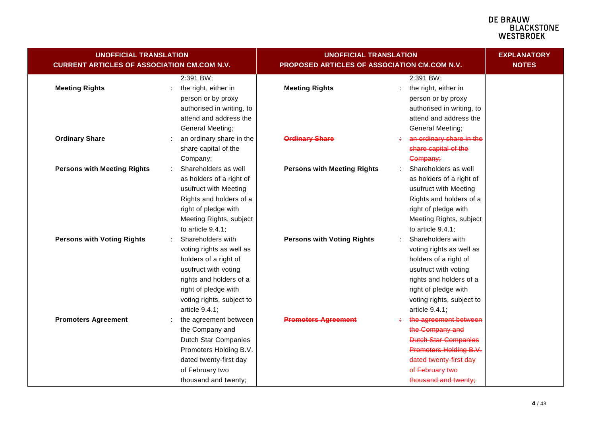| <b>UNOFFICIAL TRANSLATION</b>                      |                                                   | <b>UNOFFICIAL TRANSLATION</b>                | <b>EXPLANATORY</b>                                |  |
|----------------------------------------------------|---------------------------------------------------|----------------------------------------------|---------------------------------------------------|--|
| <b>CURRENT ARTICLES OF ASSOCIATION CM.COM N.V.</b> |                                                   | PROPOSED ARTICLES OF ASSOCIATION CM.COM N.V. | <b>NOTES</b>                                      |  |
| <b>Meeting Rights</b>                              | 2:391 BW;<br>the right, either in                 | <b>Meeting Rights</b>                        | 2:391 BW;<br>the right, either in                 |  |
|                                                    | person or by proxy                                |                                              | person or by proxy                                |  |
|                                                    | authorised in writing, to                         |                                              | authorised in writing, to                         |  |
|                                                    | attend and address the                            |                                              | attend and address the                            |  |
|                                                    | General Meeting;                                  |                                              | General Meeting;                                  |  |
| <b>Ordinary Share</b>                              | an ordinary share in the                          | <b>Ordinary Share</b>                        | an ordinary share in the                          |  |
|                                                    | share capital of the                              |                                              | share capital of the                              |  |
|                                                    | Company;                                          |                                              | Company;                                          |  |
| <b>Persons with Meeting Rights</b>                 | Shareholders as well                              | <b>Persons with Meeting Rights</b>           | Shareholders as well                              |  |
|                                                    | as holders of a right of<br>usufruct with Meeting |                                              | as holders of a right of<br>usufruct with Meeting |  |
|                                                    | Rights and holders of a                           |                                              | Rights and holders of a                           |  |
|                                                    | right of pledge with                              |                                              | right of pledge with                              |  |
|                                                    | Meeting Rights, subject                           |                                              | Meeting Rights, subject                           |  |
|                                                    | to article $9.4.1$ ;                              |                                              | to article 9.4.1;                                 |  |
| <b>Persons with Voting Rights</b>                  | Shareholders with                                 | <b>Persons with Voting Rights</b>            | Shareholders with                                 |  |
|                                                    | voting rights as well as                          |                                              | voting rights as well as                          |  |
|                                                    | holders of a right of                             |                                              | holders of a right of                             |  |
|                                                    | usufruct with voting                              |                                              | usufruct with voting                              |  |
|                                                    | rights and holders of a                           |                                              | rights and holders of a                           |  |
|                                                    | right of pledge with                              |                                              | right of pledge with                              |  |
|                                                    | voting rights, subject to                         |                                              | voting rights, subject to                         |  |
|                                                    | article 9.4.1;                                    |                                              | article 9.4.1;                                    |  |
| <b>Promoters Agreement</b>                         | the agreement between                             | <b>Promoters Agreement</b>                   | the agreement between                             |  |
|                                                    | the Company and                                   |                                              | the Company and                                   |  |
|                                                    | <b>Dutch Star Companies</b>                       |                                              | <b>Dutch Star Companies</b>                       |  |
|                                                    | Promoters Holding B.V.                            |                                              | Promoters Holding B.V.                            |  |
|                                                    | dated twenty-first day                            |                                              | dated twenty-first day                            |  |
|                                                    | of February two                                   |                                              | of February two                                   |  |
|                                                    | thousand and twenty;                              |                                              | thousand and twenty;                              |  |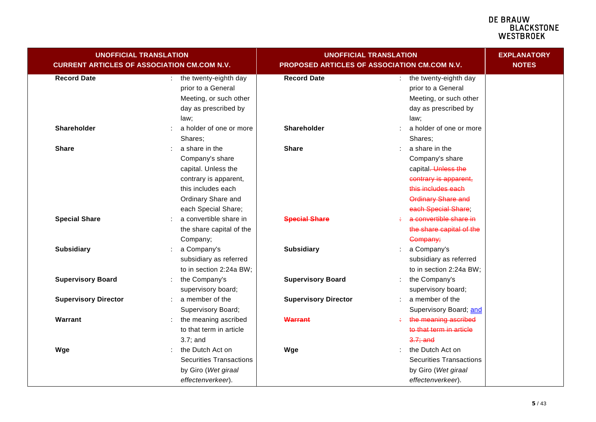| <b>UNOFFICIAL TRANSLATION</b><br><b>CURRENT ARTICLES OF ASSOCIATION CM.COM N.V.</b> |                                                                                                                                                      | <b>UNOFFICIAL TRANSLATION</b><br>PROPOSED ARTICLES OF ASSOCIATION CM.COM N.V. | <b>EXPLANATORY</b><br><b>NOTES</b>                                                                                                                  |  |
|-------------------------------------------------------------------------------------|------------------------------------------------------------------------------------------------------------------------------------------------------|-------------------------------------------------------------------------------|-----------------------------------------------------------------------------------------------------------------------------------------------------|--|
| <b>Record Date</b>                                                                  | the twenty-eighth day<br>prior to a General<br>Meeting, or such other<br>day as prescribed by<br>law;                                                | <b>Record Date</b>                                                            | : the twenty-eighth day<br>prior to a General<br>Meeting, or such other<br>day as prescribed by<br>law;                                             |  |
| <b>Shareholder</b>                                                                  | a holder of one or more<br>Shares;                                                                                                                   | Shareholder                                                                   | a holder of one or more<br>Shares;                                                                                                                  |  |
| <b>Share</b>                                                                        | a share in the<br>Company's share<br>capital. Unless the<br>contrary is apparent,<br>this includes each<br>Ordinary Share and<br>each Special Share; | <b>Share</b>                                                                  | a share in the<br>Company's share<br>capital-Unless the<br>contrary is apparent,<br>this includes each<br>Ordinary Share and<br>each Special Share: |  |
| <b>Special Share</b>                                                                | a convertible share in<br>the share capital of the<br>Company;                                                                                       | <b>Special Share</b>                                                          | a convertible share in<br>the share capital of the<br>Company;                                                                                      |  |
| <b>Subsidiary</b>                                                                   | a Company's<br>÷.<br>subsidiary as referred<br>to in section 2:24a BW;                                                                               | <b>Subsidiary</b>                                                             | a Company's<br>subsidiary as referred<br>to in section 2:24a BW;                                                                                    |  |
| <b>Supervisory Board</b>                                                            | the Company's<br>supervisory board;                                                                                                                  | <b>Supervisory Board</b>                                                      | the Company's<br>supervisory board;                                                                                                                 |  |
| <b>Supervisory Director</b>                                                         | a member of the<br>t.<br>Supervisory Board;                                                                                                          | <b>Supervisory Director</b>                                                   | a member of the<br>Supervisory Board; and                                                                                                           |  |
| Warrant                                                                             | the meaning ascribed<br>to that term in article<br>$3.7$ ; and                                                                                       | Warrant                                                                       | the meaning ascribed<br>to that term in article<br>$3.7;$ and                                                                                       |  |
| Wge                                                                                 | the Dutch Act on<br><b>Securities Transactions</b><br>by Giro (Wet giraal<br>effectenverkeer).                                                       | Wge                                                                           | the Dutch Act on<br><b>Securities Transactions</b><br>by Giro (Wet giraal<br>effectenverkeer).                                                      |  |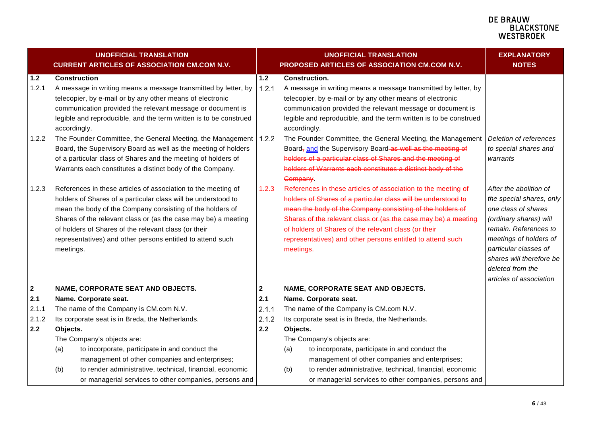|             | <b>UNOFFICIAL TRANSLATION</b><br><b>CURRENT ARTICLES OF ASSOCIATION CM.COM N.V.</b> |              |              | <b>UNOFFICIAL TRANSLATION</b><br>PROPOSED ARTICLES OF ASSOCIATION CM.COM N.V. | <b>EXPLANATORY</b><br><b>NOTES</b> |
|-------------|-------------------------------------------------------------------------------------|--------------|--------------|-------------------------------------------------------------------------------|------------------------------------|
| 1.2         | <b>Construction</b>                                                                 | $1.2$        |              | <b>Construction.</b>                                                          |                                    |
| 1.2.1       | A message in writing means a message transmitted by letter, by                      | 1.2.1        |              | A message in writing means a message transmitted by letter, by                |                                    |
|             | telecopier, by e-mail or by any other means of electronic                           |              |              | telecopier, by e-mail or by any other means of electronic                     |                                    |
|             | communication provided the relevant message or document is                          |              |              | communication provided the relevant message or document is                    |                                    |
|             | legible and reproducible, and the term written is to be construed                   |              |              | legible and reproducible, and the term written is to be construed             |                                    |
|             | accordingly.                                                                        |              | accordingly. |                                                                               |                                    |
| 1.2.2       | The Founder Committee, the General Meeting, the Management                          | 1.2.2        |              | The Founder Committee, the General Meeting, the Management                    | Deletion of references             |
|             | Board, the Supervisory Board as well as the meeting of holders                      |              |              | Board, and the Supervisory Board as well as the meeting of                    | to special shares and              |
|             | of a particular class of Shares and the meeting of holders of                       |              |              | holders of a particular class of Shares and the meeting of                    | warrants                           |
|             | Warrants each constitutes a distinct body of the Company.                           |              |              | holders of Warrants each constitutes a distinct body of the                   |                                    |
|             |                                                                                     |              | Company.     |                                                                               |                                    |
| 1.2.3       | References in these articles of association to the meeting of                       | 4.2.3        |              | References in these articles of association to the meeting of                 | After the abolition of             |
|             | holders of Shares of a particular class will be understood to                       |              |              | holders of Shares of a particular class will be understood to                 | the special shares, only           |
|             | mean the body of the Company consisting of the holders of                           |              |              | mean the body of the Company consisting of the holders of                     | one class of shares                |
|             | Shares of the relevant class or (as the case may be) a meeting                      |              |              | Shares of the relevant class or (as the case may be) a meeting                | (ordinary shares) will             |
|             | of holders of Shares of the relevant class (or their                                |              |              | of holders of Shares of the relevant class (or their                          | remain. References to              |
|             | representatives) and other persons entitled to attend such                          |              |              | representatives) and other persons entitled to attend such                    | meetings of holders of             |
|             | meetings.                                                                           |              | meetings.    |                                                                               | particular classes of              |
|             |                                                                                     |              |              |                                                                               | shares will therefore be           |
|             |                                                                                     |              |              |                                                                               | deleted from the                   |
|             |                                                                                     |              |              |                                                                               | articles of association            |
| $\mathbf 2$ | NAME, CORPORATE SEAT AND OBJECTS.                                                   | $\mathbf{2}$ |              | NAME, CORPORATE SEAT AND OBJECTS.                                             |                                    |
| 2.1         | Name. Corporate seat.                                                               | 2.1          |              | Name. Corporate seat.                                                         |                                    |
| 2.1.1       | The name of the Company is CM.com N.V.                                              | 2.1.1        |              | The name of the Company is CM.com N.V.                                        |                                    |
| 2.1.2       | Its corporate seat is in Breda, the Netherlands.                                    | 2.1.2        |              | Its corporate seat is in Breda, the Netherlands.                              |                                    |
| 2.2         | Objects.                                                                            | 2.2          | Objects.     |                                                                               |                                    |
|             | The Company's objects are:                                                          |              |              | The Company's objects are:                                                    |                                    |
|             | to incorporate, participate in and conduct the<br>(a)                               |              | (a)          | to incorporate, participate in and conduct the                                |                                    |
|             | management of other companies and enterprises;                                      |              |              | management of other companies and enterprises;                                |                                    |
|             | (b)<br>to render administrative, technical, financial, economic                     |              | (b)          | to render administrative, technical, financial, economic                      |                                    |
|             | or managerial services to other companies, persons and                              |              |              | or managerial services to other companies, persons and                        |                                    |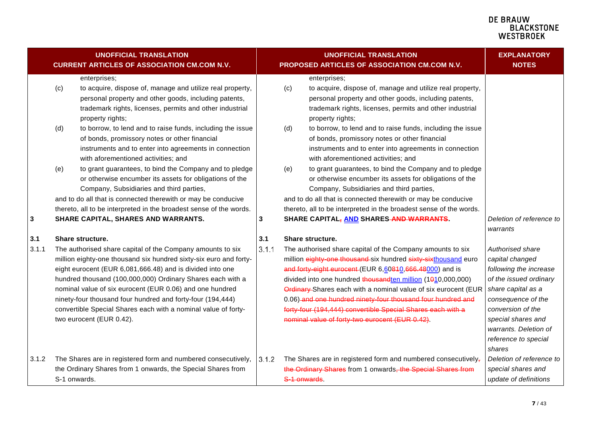|       |              | <b>UNOFFICIAL TRANSLATION</b><br><b>CURRENT ARTICLES OF ASSOCIATION CM.COM N.V.</b>                                                                                                                                                                                                                                                                                                                                                                                                |       |             | <b>UNOFFICIAL TRANSLATION</b><br>PROPOSED ARTICLES OF ASSOCIATION CM.COM N.V.                                                                                                                                                                                                                                                                                                                                                                                                                             | <b>EXPLANATORY</b><br><b>NOTES</b>                                                                                                                                                                                                               |
|-------|--------------|------------------------------------------------------------------------------------------------------------------------------------------------------------------------------------------------------------------------------------------------------------------------------------------------------------------------------------------------------------------------------------------------------------------------------------------------------------------------------------|-------|-------------|-----------------------------------------------------------------------------------------------------------------------------------------------------------------------------------------------------------------------------------------------------------------------------------------------------------------------------------------------------------------------------------------------------------------------------------------------------------------------------------------------------------|--------------------------------------------------------------------------------------------------------------------------------------------------------------------------------------------------------------------------------------------------|
|       | (c)<br>(d)   | enterprises;<br>to acquire, dispose of, manage and utilize real property,<br>personal property and other goods, including patents,<br>trademark rights, licenses, permits and other industrial<br>property rights;<br>to borrow, to lend and to raise funds, including the issue<br>of bonds, promissory notes or other financial                                                                                                                                                  |       | (c)<br>(d)  | enterprises;<br>to acquire, dispose of, manage and utilize real property,<br>personal property and other goods, including patents,<br>trademark rights, licenses, permits and other industrial<br>property rights;<br>to borrow, to lend and to raise funds, including the issue<br>of bonds, promissory notes or other financial                                                                                                                                                                         |                                                                                                                                                                                                                                                  |
| 3     | (e)          | instruments and to enter into agreements in connection<br>with aforementioned activities; and<br>to grant guarantees, to bind the Company and to pledge<br>or otherwise encumber its assets for obligations of the<br>Company, Subsidiaries and third parties,<br>and to do all that is connected therewith or may be conducive<br>thereto, all to be interpreted in the broadest sense of the words.<br>SHARE CAPITAL, SHARES AND WARRANTS.                                       | 3     | (e)         | instruments and to enter into agreements in connection<br>with aforementioned activities; and<br>to grant guarantees, to bind the Company and to pledge<br>or otherwise encumber its assets for obligations of the<br>Company, Subsidiaries and third parties,<br>and to do all that is connected therewith or may be conducive<br>thereto, all to be interpreted in the broadest sense of the words.<br>SHARE CAPITAL, AND SHARES AND WARRANTS.                                                          | Deletion of reference to                                                                                                                                                                                                                         |
| 3.1   |              | Share structure.                                                                                                                                                                                                                                                                                                                                                                                                                                                                   | 3.1   |             | Share structure.                                                                                                                                                                                                                                                                                                                                                                                                                                                                                          | warrants                                                                                                                                                                                                                                         |
| 3.1.1 |              | The authorised share capital of the Company amounts to six<br>million eighty-one thousand six hundred sixty-six euro and forty-<br>eight eurocent (EUR 6,081,666.48) and is divided into one<br>hundred thousand (100,000,000) Ordinary Shares each with a<br>nominal value of six eurocent (EUR 0.06) and one hundred<br>ninety-four thousand four hundred and forty-four (194,444)<br>convertible Special Shares each with a nominal value of forty-<br>two eurocent (EUR 0.42). | 3.1.1 |             | The authorised share capital of the Company amounts to six<br>million eighty-one thousand-six hundred sixty-sixthousand euro<br>and forty-eight eurocent (EUR 6,60840,666.48000) and is<br>divided into one hundred thousandten million (1010,000,000)<br>Ordinary-Shares each with a nominal value of six eurocent (EUR<br>0.06) and one hundred ninety-four thousand four hundred and<br>forty-four (194,444) convertible Special Shares each with a<br>nominal value of forty-two eurocent (EUR 0.42). | <b>Authorised share</b><br>capital changed<br>following the increase<br>of the issued ordinary<br>share capital as a<br>consequence of the<br>conversion of the<br>special shares and<br>warrants. Deletion of<br>reference to special<br>shares |
| 3.1.2 | S-1 onwards. | The Shares are in registered form and numbered consecutively,<br>the Ordinary Shares from 1 onwards, the Special Shares from                                                                                                                                                                                                                                                                                                                                                       | 3.1.2 | S-1 onwards | The Shares are in registered form and numbered consecutively,<br>the Ordinary Shares from 1 onwards, the Special Shares from                                                                                                                                                                                                                                                                                                                                                                              | Deletion of reference to<br>special shares and<br>update of definitions                                                                                                                                                                          |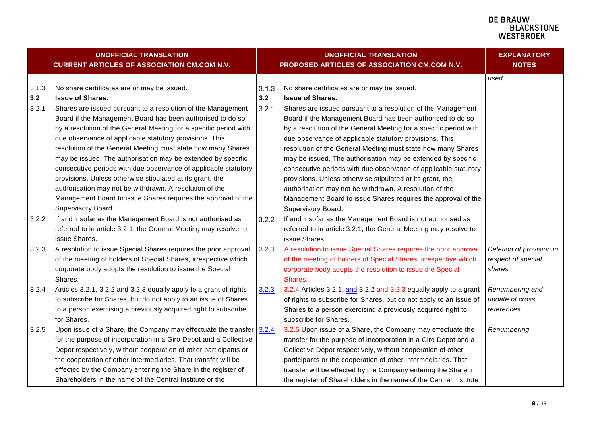<span id="page-7-1"></span><span id="page-7-0"></span>

| <b>UNOFFICIAL TRANSLATION</b><br><b>CURRENT ARTICLES OF ASSOCIATION CM.COM N.V.</b> |                                                                                                                                                                                                                                                                                                                                                                                                                                                                                                                                                                                                      |                       | <b>UNOFFICIAL TRANSLATION</b><br>PROPOSED ARTICLES OF ASSOCIATION CM.COM N.V.                                                                                                                                                                                                                                                                                                                                                                                                                                                                                                                        | <b>EXPLANATORY</b><br><b>NOTES</b>                       |
|-------------------------------------------------------------------------------------|------------------------------------------------------------------------------------------------------------------------------------------------------------------------------------------------------------------------------------------------------------------------------------------------------------------------------------------------------------------------------------------------------------------------------------------------------------------------------------------------------------------------------------------------------------------------------------------------------|-----------------------|------------------------------------------------------------------------------------------------------------------------------------------------------------------------------------------------------------------------------------------------------------------------------------------------------------------------------------------------------------------------------------------------------------------------------------------------------------------------------------------------------------------------------------------------------------------------------------------------------|----------------------------------------------------------|
| 3.1.3<br>3.2<br>3.2.1                                                               | No share certificates are or may be issued.<br><b>Issue of Shares.</b><br>Shares are issued pursuant to a resolution of the Management<br>Board if the Management Board has been authorised to do so<br>by a resolution of the General Meeting for a specific period with<br>due observance of applicable statutory provisions. This<br>resolution of the General Meeting must state how many Shares<br>may be issued. The authorisation may be extended by specific<br>consecutive periods with due observance of applicable statutory<br>provisions. Unless otherwise stipulated at its grant, the | 3.1.3<br>3.2<br>3.2.1 | No share certificates are or may be issued.<br><b>Issue of Shares.</b><br>Shares are issued pursuant to a resolution of the Management<br>Board if the Management Board has been authorised to do so<br>by a resolution of the General Meeting for a specific period with<br>due observance of applicable statutory provisions. This<br>resolution of the General Meeting must state how many Shares<br>may be issued. The authorisation may be extended by specific<br>consecutive periods with due observance of applicable statutory<br>provisions. Unless otherwise stipulated at its grant, the | used                                                     |
| 3.2.2                                                                               | authorisation may not be withdrawn. A resolution of the<br>Management Board to issue Shares requires the approval of the<br>Supervisory Board.<br>If and insofar as the Management Board is not authorised as<br>referred to in article 3.2.1, the General Meeting may resolve to<br>issue Shares.                                                                                                                                                                                                                                                                                                   | 3.2.2                 | authorisation may not be withdrawn. A resolution of the<br>Management Board to issue Shares requires the approval of the<br>Supervisory Board.<br>If and insofar as the Management Board is not authorised as<br>referred to in article 3.2.1, the General Meeting may resolve to<br>issue Shares.                                                                                                                                                                                                                                                                                                   |                                                          |
| 3.2.3                                                                               | A resolution to issue Special Shares requires the prior approval<br>of the meeting of holders of Special Shares, irrespective which<br>corporate body adopts the resolution to issue the Special<br>Shares.                                                                                                                                                                                                                                                                                                                                                                                          | <u>3.2.3-</u>         | A resolution to issue Special Shares requires the prior approval<br>of the meeting of holders of Special Shares, irrespective which<br>corporate body adopts the resolution to issue the Special<br>Shares.                                                                                                                                                                                                                                                                                                                                                                                          | Deletion of provision in<br>respect of special<br>shares |
| 3.2.4                                                                               | Articles 3.2.1, 3.2.2 and 3.2.3 equally apply to a grant of rights<br>to subscribe for Shares, but do not apply to an issue of Shares<br>to a person exercising a previously acquired right to subscribe<br>for Shares.                                                                                                                                                                                                                                                                                                                                                                              | 3.2.3                 | $3.2.4$ -Articles 3.2.1, and 3.2.2 and 3.2.3 equally apply to a grant<br>of rights to subscribe for Shares, but do not apply to an issue of<br>Shares to a person exercising a previously acquired right to<br>subscribe for Shares.                                                                                                                                                                                                                                                                                                                                                                 | Renumbering and<br>update of cross<br>references         |
| 3.2.5                                                                               | Upon issue of a Share, the Company may effectuate the transfer $3.2.4$<br>for the purpose of incorporation in a Giro Depot and a Collective<br>Depot respectively, without cooperation of other participants or<br>the cooperation of other Intermediaries. That transfer will be<br>effected by the Company entering the Share in the register of<br>Shareholders in the name of the Central Institute or the                                                                                                                                                                                       |                       | 3.2.5-Upon issue of a Share, the Company may effectuate the<br>transfer for the purpose of incorporation in a Giro Depot and a<br>Collective Depot respectively, without cooperation of other<br>participants or the cooperation of other Intermediaries. That<br>transfer will be effected by the Company entering the Share in<br>the register of Shareholders in the name of the Central Institute                                                                                                                                                                                                | Renumbering                                              |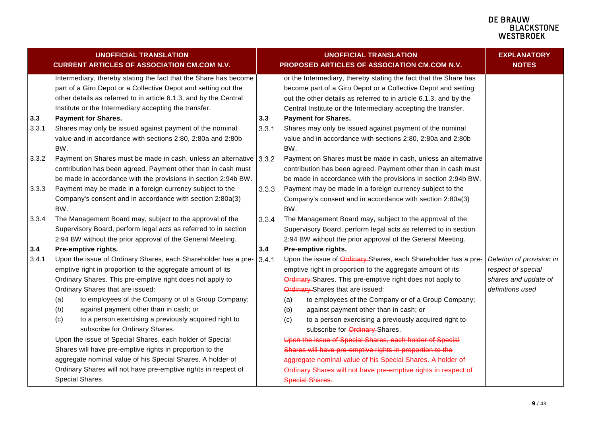|       | <b>UNOFFICIAL TRANSLATION</b><br><b>CURRENT ARTICLES OF ASSOCIATION CM.COM N.V.</b>                                                                                                                                                                                                                                                                                                                                                                                                                       |       | <b>UNOFFICIAL TRANSLATION</b><br>PROPOSED ARTICLES OF ASSOCIATION CM.COM N.V.                                                                                                                                                                                                                                                                                                                                                                                                                                    | <b>EXPLANATORY</b><br><b>NOTES</b>                                                         |
|-------|-----------------------------------------------------------------------------------------------------------------------------------------------------------------------------------------------------------------------------------------------------------------------------------------------------------------------------------------------------------------------------------------------------------------------------------------------------------------------------------------------------------|-------|------------------------------------------------------------------------------------------------------------------------------------------------------------------------------------------------------------------------------------------------------------------------------------------------------------------------------------------------------------------------------------------------------------------------------------------------------------------------------------------------------------------|--------------------------------------------------------------------------------------------|
|       | Intermediary, thereby stating the fact that the Share has become<br>part of a Giro Depot or a Collective Depot and setting out the<br>other details as referred to in article 6.1.3, and by the Central<br>Institute or the Intermediary accepting the transfer.                                                                                                                                                                                                                                          |       | or the Intermediary, thereby stating the fact that the Share has<br>become part of a Giro Depot or a Collective Depot and setting<br>out the other details as referred to in article 6.1.3, and by the<br>Central Institute or the Intermediary accepting the transfer.                                                                                                                                                                                                                                          |                                                                                            |
| 3.3   | <b>Payment for Shares.</b>                                                                                                                                                                                                                                                                                                                                                                                                                                                                                | 3.3   | <b>Payment for Shares.</b>                                                                                                                                                                                                                                                                                                                                                                                                                                                                                       |                                                                                            |
| 3.3.1 | Shares may only be issued against payment of the nominal<br>value and in accordance with sections 2:80, 2:80a and 2:80b<br>BW.                                                                                                                                                                                                                                                                                                                                                                            | 3.3.1 | Shares may only be issued against payment of the nominal<br>value and in accordance with sections 2:80, 2:80a and 2:80b<br>BW.                                                                                                                                                                                                                                                                                                                                                                                   |                                                                                            |
| 3.3.2 | Payment on Shares must be made in cash, unless an alternative 3.3.2<br>contribution has been agreed. Payment other than in cash must<br>be made in accordance with the provisions in section 2:94b BW.                                                                                                                                                                                                                                                                                                    |       | Payment on Shares must be made in cash, unless an alternative<br>contribution has been agreed. Payment other than in cash must<br>be made in accordance with the provisions in section 2:94b BW.                                                                                                                                                                                                                                                                                                                 |                                                                                            |
| 3.3.3 | Payment may be made in a foreign currency subject to the<br>Company's consent and in accordance with section 2:80a(3)<br>BW.                                                                                                                                                                                                                                                                                                                                                                              | 3.3.3 | Payment may be made in a foreign currency subject to the<br>Company's consent and in accordance with section 2:80a(3)<br>BW.                                                                                                                                                                                                                                                                                                                                                                                     |                                                                                            |
| 3.3.4 | The Management Board may, subject to the approval of the<br>Supervisory Board, perform legal acts as referred to in section<br>2:94 BW without the prior approval of the General Meeting.                                                                                                                                                                                                                                                                                                                 | 3.3.4 | The Management Board may, subject to the approval of the<br>Supervisory Board, perform legal acts as referred to in section<br>2:94 BW without the prior approval of the General Meeting.                                                                                                                                                                                                                                                                                                                        |                                                                                            |
| 3.4   | Pre-emptive rights.                                                                                                                                                                                                                                                                                                                                                                                                                                                                                       | 3.4   | Pre-emptive rights.                                                                                                                                                                                                                                                                                                                                                                                                                                                                                              |                                                                                            |
| 3.4.1 | Upon the issue of Ordinary Shares, each Shareholder has a pre-<br>emptive right in proportion to the aggregate amount of its<br>Ordinary Shares. This pre-emptive right does not apply to<br>Ordinary Shares that are issued:<br>to employees of the Company or of a Group Company;<br>(a)<br>against payment other than in cash; or<br>(b)<br>(c)<br>to a person exercising a previously acquired right to<br>subscribe for Ordinary Shares.<br>Upon the issue of Special Shares, each holder of Special | 3.4.1 | Upon the issue of Ordinary-Shares, each Shareholder has a pre-<br>emptive right in proportion to the aggregate amount of its<br>Ordinary Shares. This pre-emptive right does not apply to<br>Ordinary-Shares that are issued:<br>to employees of the Company or of a Group Company;<br>(a)<br>(b)<br>against payment other than in cash; or<br>(c)<br>to a person exercising a previously acquired right to<br>subscribe for <b>Ordinary</b> Shares.<br>Upon the issue of Special Shares, each holder of Special | Deletion of provision in<br>respect of special<br>shares and update of<br>definitions used |
|       | Shares will have pre-emptive rights in proportion to the                                                                                                                                                                                                                                                                                                                                                                                                                                                  |       | Shares will have pre-emptive rights in proportion to the                                                                                                                                                                                                                                                                                                                                                                                                                                                         |                                                                                            |
|       | aggregate nominal value of his Special Shares. A holder of                                                                                                                                                                                                                                                                                                                                                                                                                                                |       | aggregate nominal value of his Special Shares. A holder of                                                                                                                                                                                                                                                                                                                                                                                                                                                       |                                                                                            |
|       | Ordinary Shares will not have pre-emptive rights in respect of<br>Special Shares.                                                                                                                                                                                                                                                                                                                                                                                                                         |       | Ordinary Shares will not have pre-emptive rights in respect of<br><b>Special Shares.</b>                                                                                                                                                                                                                                                                                                                                                                                                                         |                                                                                            |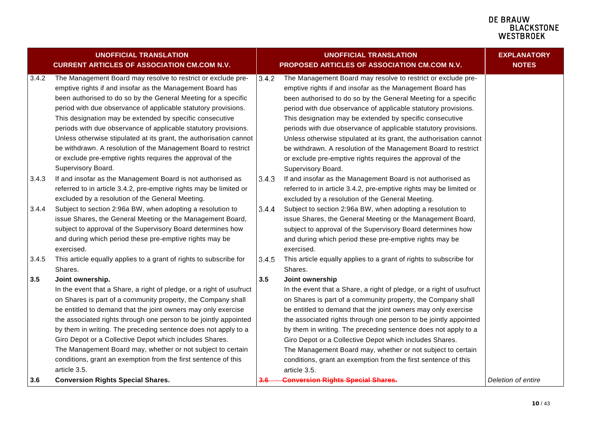<span id="page-9-1"></span><span id="page-9-0"></span>

|       | <b>UNOFFICIAL TRANSLATION</b><br><b>CURRENT ARTICLES OF ASSOCIATION CM.COM N.V.</b>                                                                                                                                                                                                                                                                                                                                                                                                                                                                                                                                      |       | <b>UNOFFICIAL TRANSLATION</b><br>PROPOSED ARTICLES OF ASSOCIATION CM.COM N.V.                                                                                                                                                                                                                                                                                                                                                                                                                                                                                                                                            | <b>EXPLANATORY</b><br><b>NOTES</b> |
|-------|--------------------------------------------------------------------------------------------------------------------------------------------------------------------------------------------------------------------------------------------------------------------------------------------------------------------------------------------------------------------------------------------------------------------------------------------------------------------------------------------------------------------------------------------------------------------------------------------------------------------------|-------|--------------------------------------------------------------------------------------------------------------------------------------------------------------------------------------------------------------------------------------------------------------------------------------------------------------------------------------------------------------------------------------------------------------------------------------------------------------------------------------------------------------------------------------------------------------------------------------------------------------------------|------------------------------------|
| 3.4.2 | The Management Board may resolve to restrict or exclude pre-<br>emptive rights if and insofar as the Management Board has<br>been authorised to do so by the General Meeting for a specific<br>period with due observance of applicable statutory provisions.<br>This designation may be extended by specific consecutive<br>periods with due observance of applicable statutory provisions.<br>Unless otherwise stipulated at its grant, the authorisation cannot<br>be withdrawn. A resolution of the Management Board to restrict<br>or exclude pre-emptive rights requires the approval of the<br>Supervisory Board. | 3.4.2 | The Management Board may resolve to restrict or exclude pre-<br>emptive rights if and insofar as the Management Board has<br>been authorised to do so by the General Meeting for a specific<br>period with due observance of applicable statutory provisions.<br>This designation may be extended by specific consecutive<br>periods with due observance of applicable statutory provisions.<br>Unless otherwise stipulated at its grant, the authorisation cannot<br>be withdrawn. A resolution of the Management Board to restrict<br>or exclude pre-emptive rights requires the approval of the<br>Supervisory Board. |                                    |
| 3.4.3 | If and insofar as the Management Board is not authorised as<br>referred to in article 3.4.2, pre-emptive rights may be limited or<br>excluded by a resolution of the General Meeting.                                                                                                                                                                                                                                                                                                                                                                                                                                    | 3.4.3 | If and insofar as the Management Board is not authorised as<br>referred to in article 3.4.2, pre-emptive rights may be limited or<br>excluded by a resolution of the General Meeting.                                                                                                                                                                                                                                                                                                                                                                                                                                    |                                    |
| 3.4.4 | Subject to section 2:96a BW, when adopting a resolution to<br>issue Shares, the General Meeting or the Management Board,<br>subject to approval of the Supervisory Board determines how<br>and during which period these pre-emptive rights may be<br>exercised.                                                                                                                                                                                                                                                                                                                                                         | 3.4.4 | Subject to section 2:96a BW, when adopting a resolution to<br>issue Shares, the General Meeting or the Management Board,<br>subject to approval of the Supervisory Board determines how<br>and during which period these pre-emptive rights may be<br>exercised.                                                                                                                                                                                                                                                                                                                                                         |                                    |
| 3.4.5 | This article equally applies to a grant of rights to subscribe for<br>Shares.                                                                                                                                                                                                                                                                                                                                                                                                                                                                                                                                            | 3.4.5 | This article equally applies to a grant of rights to subscribe for<br>Shares.                                                                                                                                                                                                                                                                                                                                                                                                                                                                                                                                            |                                    |
| 3.5   | Joint ownership.<br>In the event that a Share, a right of pledge, or a right of usufruct<br>on Shares is part of a community property, the Company shall<br>be entitled to demand that the joint owners may only exercise<br>the associated rights through one person to be jointly appointed<br>by them in writing. The preceding sentence does not apply to a<br>Giro Depot or a Collective Depot which includes Shares.<br>The Management Board may, whether or not subject to certain<br>conditions, grant an exemption from the first sentence of this<br>article 3.5.                                              | 3.5   | Joint ownership<br>In the event that a Share, a right of pledge, or a right of usufruct<br>on Shares is part of a community property, the Company shall<br>be entitled to demand that the joint owners may only exercise<br>the associated rights through one person to be jointly appointed<br>by them in writing. The preceding sentence does not apply to a<br>Giro Depot or a Collective Depot which includes Shares.<br>The Management Board may, whether or not subject to certain<br>conditions, grant an exemption from the first sentence of this<br>article 3.5.                                               |                                    |
| 3.6   | <b>Conversion Rights Special Shares.</b>                                                                                                                                                                                                                                                                                                                                                                                                                                                                                                                                                                                 |       | <b>Conversion Rights Special Shares.</b>                                                                                                                                                                                                                                                                                                                                                                                                                                                                                                                                                                                 | Deletion of entire                 |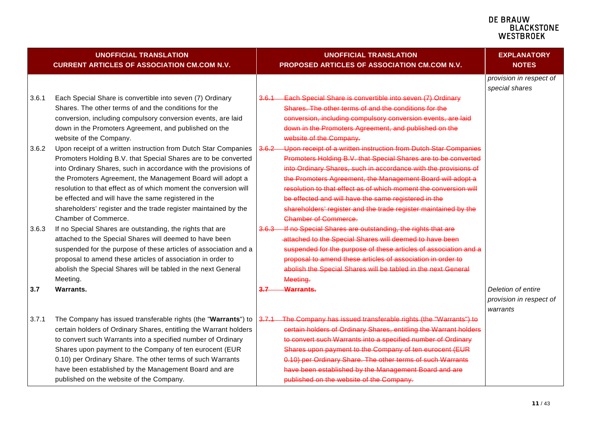|       | UNOFFICIAL TRANSLATION<br><b>CURRENT ARTICLES OF ASSOCIATION CM.COM N.V.</b>     |               | <b>UNOFFICIAL TRANSLATION</b><br>PROPOSED ARTICLES OF ASSOCIATION CM.COM N.V.    | <b>EXPLANATORY</b><br><b>NOTES</b>        |
|-------|----------------------------------------------------------------------------------|---------------|----------------------------------------------------------------------------------|-------------------------------------------|
|       |                                                                                  |               |                                                                                  | provision in respect of<br>special shares |
| 3.6.1 | Each Special Share is convertible into seven (7) Ordinary                        | 3.6.1         | Each Special Share is convertible into seven (7) Ordinary                        |                                           |
|       | Shares. The other terms of and the conditions for the                            |               | Shares. The other terms of and the conditions for the                            |                                           |
|       | conversion, including compulsory conversion events, are laid                     |               | conversion, including compulsory conversion events, are laid                     |                                           |
|       | down in the Promoters Agreement, and published on the<br>website of the Company. |               | down in the Promoters Agreement, and published on the<br>website of the Company. |                                           |
| 3.6.2 | Upon receipt of a written instruction from Dutch Star Companies                  | 3.6.2         | Upon receipt of a written instruction from Dutch Star Companies                  |                                           |
|       | Promoters Holding B.V. that Special Shares are to be converted                   |               | Promoters Holding B.V. that Special Shares are to be converted                   |                                           |
|       | into Ordinary Shares, such in accordance with the provisions of                  |               | into Ordinary Shares, such in accordance with the provisions of                  |                                           |
|       | the Promoters Agreement, the Management Board will adopt a                       |               | the Promoters Agreement, the Management Board will adopt a                       |                                           |
|       | resolution to that effect as of which moment the conversion will                 |               | resolution to that effect as of which moment the conversion will                 |                                           |
|       | be effected and will have the same registered in the                             |               | be effected and will have the same registered in the                             |                                           |
|       | shareholders' register and the trade register maintained by the                  |               | shareholders' register and the trade register maintained by the                  |                                           |
|       | Chamber of Commerce.                                                             |               | <b>Chamber of Commerce.</b>                                                      |                                           |
| 3.6.3 | If no Special Shares are outstanding, the rights that are                        | <u>3.6.3-</u> | If no Special Shares are outstanding, the rights that are                        |                                           |
|       | attached to the Special Shares will deemed to have been                          |               | -attached to the Special Shares will deemed to have been                         |                                           |
|       | suspended for the purpose of these articles of association and a                 |               | suspended for the purpose of these articles of association and a                 |                                           |
|       | proposal to amend these articles of association in order to                      |               | proposal to amend these articles of association in order to                      |                                           |
|       | abolish the Special Shares will be tabled in the next General<br>Meeting.        |               | abolish the Special Shares will be tabled in the next General<br>Meeting.        |                                           |
| 3.7   | Warrants.                                                                        | 3.7           | <b>Warrants.</b>                                                                 | Deletion of entire                        |
|       |                                                                                  |               |                                                                                  | provision in respect of                   |
|       |                                                                                  |               |                                                                                  | warrants                                  |
| 3.7.1 | The Company has issued transferable rights (the "Warrants") to                   | 3.7.1         | The Company has issued transferable rights (the "Warrants") to                   |                                           |
|       | certain holders of Ordinary Shares, entitling the Warrant holders                |               | certain holders of Ordinary Shares, entitling the Warrant holders                |                                           |
|       | to convert such Warrants into a specified number of Ordinary                     |               | to convert such Warrants into a specified number of Ordinary                     |                                           |
|       | Shares upon payment to the Company of ten eurocent (EUR                          |               | Shares upon payment to the Company of ten eurocent (EUR                          |                                           |
|       | 0.10) per Ordinary Share. The other terms of such Warrants                       |               | 0.10) per Ordinary Share. The other terms of such Warrants                       |                                           |
|       | have been established by the Management Board and are                            |               | have been established by the Management Board and are                            |                                           |
|       | published on the website of the Company.                                         |               | published on the website of the Company.                                         |                                           |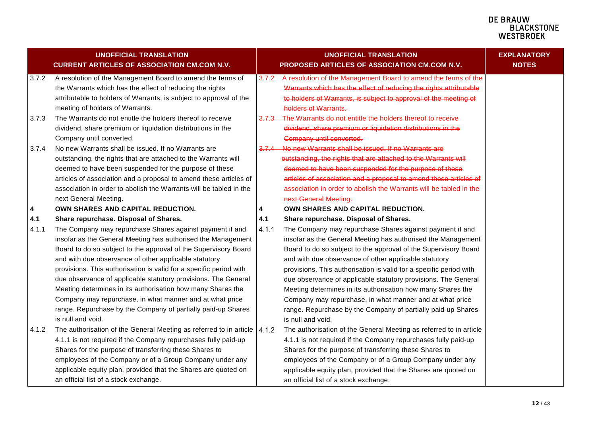#### **DE BRAUW E BIACWOONE**<br>BLACKSTONE<br>WESTBROEK

<span id="page-11-0"></span>

|              | <b>UNOFFICIAL TRANSLATION</b><br><b>CURRENT ARTICLES OF ASSOCIATION CM.COM N.V.</b>                                                                                                                                                                                                                                                                                                                                                                                                                                                                                                                                                                   |              | <b>UNOFFICIAL TRANSLATION</b><br>PROPOSED ARTICLES OF ASSOCIATION CM.COM N.V.                                                                                                                                                                                                                                                                                                                                                                                                                                                                                                                                                                         | <b>EXPLANATORY</b><br><b>NOTES</b> |
|--------------|-------------------------------------------------------------------------------------------------------------------------------------------------------------------------------------------------------------------------------------------------------------------------------------------------------------------------------------------------------------------------------------------------------------------------------------------------------------------------------------------------------------------------------------------------------------------------------------------------------------------------------------------------------|--------------|-------------------------------------------------------------------------------------------------------------------------------------------------------------------------------------------------------------------------------------------------------------------------------------------------------------------------------------------------------------------------------------------------------------------------------------------------------------------------------------------------------------------------------------------------------------------------------------------------------------------------------------------------------|------------------------------------|
| 3.7.2        | A resolution of the Management Board to amend the terms of<br>the Warrants which has the effect of reducing the rights<br>attributable to holders of Warrants, is subject to approval of the<br>meeting of holders of Warrants.                                                                                                                                                                                                                                                                                                                                                                                                                       | 3.7.2        | A resolution of the Management Board to amend the terms of the<br>Warrants which has the effect of reducing the rights attributable<br>to holders of Warrants, is subject to approval of the meeting of<br>holders of Warrants.                                                                                                                                                                                                                                                                                                                                                                                                                       |                                    |
| 3.7.3        | The Warrants do not entitle the holders thereof to receive<br>dividend, share premium or liquidation distributions in the<br>Company until converted.                                                                                                                                                                                                                                                                                                                                                                                                                                                                                                 | 3.Z.3        | The Warrants do not entitle the holders thereof to receive<br>dividend, share premium or liquidation distributions in the<br><b>Company until converted.</b>                                                                                                                                                                                                                                                                                                                                                                                                                                                                                          |                                    |
| 3.7.4        | No new Warrants shall be issued. If no Warrants are<br>outstanding, the rights that are attached to the Warrants will<br>deemed to have been suspended for the purpose of these<br>articles of association and a proposal to amend these articles of<br>association in order to abolish the Warrants will be tabled in the<br>next General Meeting.                                                                                                                                                                                                                                                                                                   | $3.7.4$      | No new Warrants shall be issued. If no Warrants are<br>outstanding, the rights that are attached to the Warrants will<br>deemed to have been suspended for the purpose of these<br>articles of association and a proposal to amend these articles of<br>association in order to abolish the Warrants will be tabled in the<br>next General Meeting.                                                                                                                                                                                                                                                                                                   |                                    |
| 4            | OWN SHARES AND CAPITAL REDUCTION.                                                                                                                                                                                                                                                                                                                                                                                                                                                                                                                                                                                                                     | 4            | OWN SHARES AND CAPITAL REDUCTION.                                                                                                                                                                                                                                                                                                                                                                                                                                                                                                                                                                                                                     |                                    |
| 4.1<br>4.1.1 | Share repurchase. Disposal of Shares.<br>The Company may repurchase Shares against payment if and<br>insofar as the General Meeting has authorised the Management<br>Board to do so subject to the approval of the Supervisory Board<br>and with due observance of other applicable statutory<br>provisions. This authorisation is valid for a specific period with<br>due observance of applicable statutory provisions. The General<br>Meeting determines in its authorisation how many Shares the<br>Company may repurchase, in what manner and at what price<br>range. Repurchase by the Company of partially paid-up Shares<br>is null and void. | 4.1<br>4.1.1 | Share repurchase. Disposal of Shares.<br>The Company may repurchase Shares against payment if and<br>insofar as the General Meeting has authorised the Management<br>Board to do so subject to the approval of the Supervisory Board<br>and with due observance of other applicable statutory<br>provisions. This authorisation is valid for a specific period with<br>due observance of applicable statutory provisions. The General<br>Meeting determines in its authorisation how many Shares the<br>Company may repurchase, in what manner and at what price<br>range. Repurchase by the Company of partially paid-up Shares<br>is null and void. |                                    |
| 4.1.2        | The authorisation of the General Meeting as referred to in article $ 4.1.2\rangle$<br>4.1.1 is not required if the Company repurchases fully paid-up<br>Shares for the purpose of transferring these Shares to<br>employees of the Company or of a Group Company under any<br>applicable equity plan, provided that the Shares are quoted on<br>an official list of a stock exchange.                                                                                                                                                                                                                                                                 |              | The authorisation of the General Meeting as referred to in article<br>4.1.1 is not required if the Company repurchases fully paid-up<br>Shares for the purpose of transferring these Shares to<br>employees of the Company or of a Group Company under any<br>applicable equity plan, provided that the Shares are quoted on<br>an official list of a stock exchange.                                                                                                                                                                                                                                                                                 |                                    |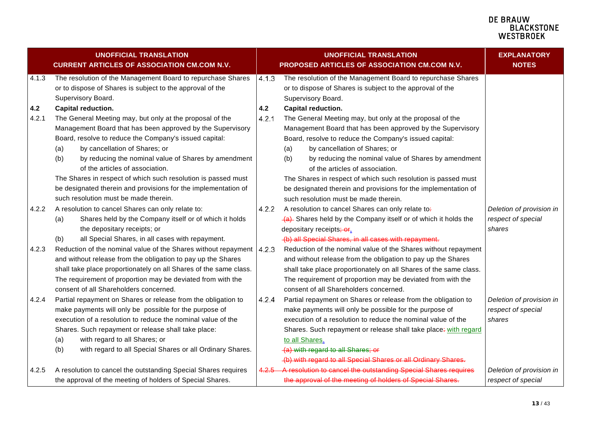|       | <b>UNOFFICIAL TRANSLATION</b><br><b>CURRENT ARTICLES OF ASSOCIATION CM.COM N.V.</b>                                                            |       | <b>UNOFFICIAL TRANSLATION</b><br>PROPOSED ARTICLES OF ASSOCIATION CM.COM N.V.                                                                  | <b>EXPLANATORY</b><br><b>NOTES</b> |
|-------|------------------------------------------------------------------------------------------------------------------------------------------------|-------|------------------------------------------------------------------------------------------------------------------------------------------------|------------------------------------|
| 4.1.3 | The resolution of the Management Board to repurchase Shares<br>or to dispose of Shares is subject to the approval of the<br>Supervisory Board. | 4.1.3 | The resolution of the Management Board to repurchase Shares<br>or to dispose of Shares is subject to the approval of the<br>Supervisory Board. |                                    |
| 4.2   | Capital reduction.                                                                                                                             | 4.2   | Capital reduction.                                                                                                                             |                                    |
| 4.2.1 | The General Meeting may, but only at the proposal of the                                                                                       | 4.2.1 | The General Meeting may, but only at the proposal of the                                                                                       |                                    |
|       | Management Board that has been approved by the Supervisory                                                                                     |       | Management Board that has been approved by the Supervisory                                                                                     |                                    |
|       | Board, resolve to reduce the Company's issued capital:                                                                                         |       | Board, resolve to reduce the Company's issued capital:                                                                                         |                                    |
|       | by cancellation of Shares; or<br>(a)                                                                                                           |       | by cancellation of Shares; or<br>(a)                                                                                                           |                                    |
|       | by reducing the nominal value of Shares by amendment<br>(b)                                                                                    |       | (b)<br>by reducing the nominal value of Shares by amendment                                                                                    |                                    |
|       | of the articles of association.                                                                                                                |       | of the articles of association.                                                                                                                |                                    |
|       | The Shares in respect of which such resolution is passed must                                                                                  |       | The Shares in respect of which such resolution is passed must                                                                                  |                                    |
|       | be designated therein and provisions for the implementation of                                                                                 |       | be designated therein and provisions for the implementation of                                                                                 |                                    |
|       | such resolution must be made therein.                                                                                                          |       | such resolution must be made therein.                                                                                                          |                                    |
| 4.2.2 | A resolution to cancel Shares can only relate to:                                                                                              | 4.2.2 | A resolution to cancel Shares can only relate to:                                                                                              | Deletion of provision in           |
|       | Shares held by the Company itself or of which it holds<br>(a)                                                                                  |       | (a) Shares held by the Company itself or of which it holds the                                                                                 | respect of special                 |
|       | the depositary receipts; or                                                                                                                    |       | depositary receipts; or.                                                                                                                       | shares                             |
|       | all Special Shares, in all cases with repayment.<br>(b)                                                                                        |       | (b) all Special Shares, in all cases with repayment.                                                                                           |                                    |
| 4.2.3 | Reduction of the nominal value of the Shares without repayment 4.2.3                                                                           |       | Reduction of the nominal value of the Shares without repayment                                                                                 |                                    |
|       | and without release from the obligation to pay up the Shares                                                                                   |       | and without release from the obligation to pay up the Shares                                                                                   |                                    |
|       | shall take place proportionately on all Shares of the same class.                                                                              |       | shall take place proportionately on all Shares of the same class.                                                                              |                                    |
|       | The requirement of proportion may be deviated from with the                                                                                    |       | The requirement of proportion may be deviated from with the                                                                                    |                                    |
|       | consent of all Shareholders concerned.                                                                                                         |       | consent of all Shareholders concerned.                                                                                                         |                                    |
| 4.2.4 | Partial repayment on Shares or release from the obligation to                                                                                  | 4.2.4 | Partial repayment on Shares or release from the obligation to                                                                                  | Deletion of provision in           |
|       | make payments will only be possible for the purpose of                                                                                         |       | make payments will only be possible for the purpose of                                                                                         | respect of special                 |
|       | execution of a resolution to reduce the nominal value of the                                                                                   |       | execution of a resolution to reduce the nominal value of the                                                                                   | shares                             |
|       | Shares. Such repayment or release shall take place:                                                                                            |       | Shares. Such repayment or release shall take place: with regard                                                                                |                                    |
|       | with regard to all Shares; or<br>(a)                                                                                                           |       | to all Shares.                                                                                                                                 |                                    |
|       | with regard to all Special Shares or all Ordinary Shares.<br>(b)                                                                               |       | (a) with regard to all Shares; or                                                                                                              |                                    |
|       |                                                                                                                                                | 4.2.5 | (b) with regard to all Special Shares or all Ordinary Shares.<br>A resolution to cancel the outstanding Special Shares requires                |                                    |
| 4.2.5 | A resolution to cancel the outstanding Special Shares requires<br>the approval of the meeting of holders of Special Shares.                    |       | the approval of the meeting of holders of Special Shares.                                                                                      | Deletion of provision in           |
|       |                                                                                                                                                |       |                                                                                                                                                | respect of special                 |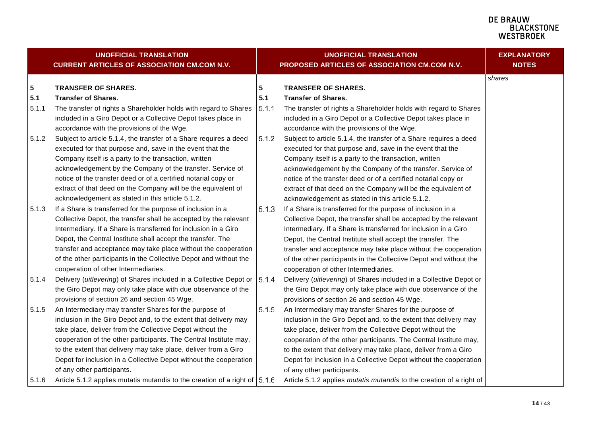#### **DE BRAUW E BIACWOONE**<br>BLACKSTONE<br>WESTBROEK

<span id="page-13-1"></span><span id="page-13-0"></span>

|       | <b>UNOFFICIAL TRANSLATION</b><br><b>CURRENT ARTICLES OF ASSOCIATION CM.COM N.V.</b> |       | <b>UNOFFICIAL TRANSLATION</b><br>PROPOSED ARTICLES OF ASSOCIATION CM.COM N.V. | <b>EXPLANATORY</b><br><b>NOTES</b> |
|-------|-------------------------------------------------------------------------------------|-------|-------------------------------------------------------------------------------|------------------------------------|
|       |                                                                                     |       |                                                                               | shares                             |
| 5     | <b>TRANSFER OF SHARES.</b>                                                          | 5     | <b>TRANSFER OF SHARES.</b>                                                    |                                    |
| 5.1   | <b>Transfer of Shares.</b>                                                          | 5.1   | <b>Transfer of Shares.</b>                                                    |                                    |
| 5.1.1 | The transfer of rights a Shareholder holds with regard to Shares                    | 5.1.1 | The transfer of rights a Shareholder holds with regard to Shares              |                                    |
|       | included in a Giro Depot or a Collective Depot takes place in                       |       | included in a Giro Depot or a Collective Depot takes place in                 |                                    |
|       | accordance with the provisions of the Wge.                                          |       | accordance with the provisions of the Wge.                                    |                                    |
| 5.1.2 | Subject to article 5.1.4, the transfer of a Share requires a deed                   | 5.1.2 | Subject to article 5.1.4, the transfer of a Share requires a deed             |                                    |
|       | executed for that purpose and, save in the event that the                           |       | executed for that purpose and, save in the event that the                     |                                    |
|       | Company itself is a party to the transaction, written                               |       | Company itself is a party to the transaction, written                         |                                    |
|       | acknowledgement by the Company of the transfer. Service of                          |       | acknowledgement by the Company of the transfer. Service of                    |                                    |
|       | notice of the transfer deed or of a certified notarial copy or                      |       | notice of the transfer deed or of a certified notarial copy or                |                                    |
|       | extract of that deed on the Company will be the equivalent of                       |       | extract of that deed on the Company will be the equivalent of                 |                                    |
|       | acknowledgement as stated in this article 5.1.2.                                    |       | acknowledgement as stated in this article 5.1.2.                              |                                    |
| 5.1.3 | If a Share is transferred for the purpose of inclusion in a                         | 5.1.3 | If a Share is transferred for the purpose of inclusion in a                   |                                    |
|       | Collective Depot, the transfer shall be accepted by the relevant                    |       | Collective Depot, the transfer shall be accepted by the relevant              |                                    |
|       | Intermediary. If a Share is transferred for inclusion in a Giro                     |       | Intermediary. If a Share is transferred for inclusion in a Giro               |                                    |
|       | Depot, the Central Institute shall accept the transfer. The                         |       | Depot, the Central Institute shall accept the transfer. The                   |                                    |
|       | transfer and acceptance may take place without the cooperation                      |       | transfer and acceptance may take place without the cooperation                |                                    |
|       | of the other participants in the Collective Depot and without the                   |       | of the other participants in the Collective Depot and without the             |                                    |
|       | cooperation of other Intermediaries.                                                |       | cooperation of other Intermediaries.                                          |                                    |
| 5.1.4 | Delivery (uitlevering) of Shares included in a Collective Depot or   5.1.4          |       | Delivery (uitlevering) of Shares included in a Collective Depot or            |                                    |
|       | the Giro Depot may only take place with due observance of the                       |       | the Giro Depot may only take place with due observance of the                 |                                    |
|       | provisions of section 26 and section 45 Wge.                                        |       | provisions of section 26 and section 45 Wge.                                  |                                    |
| 5.1.5 | An Intermediary may transfer Shares for the purpose of                              | 5.1.5 | An Intermediary may transfer Shares for the purpose of                        |                                    |
|       | inclusion in the Giro Depot and, to the extent that delivery may                    |       | inclusion in the Giro Depot and, to the extent that delivery may              |                                    |
|       | take place, deliver from the Collective Depot without the                           |       | take place, deliver from the Collective Depot without the                     |                                    |
|       | cooperation of the other participants. The Central Institute may,                   |       | cooperation of the other participants. The Central Institute may,             |                                    |
|       | to the extent that delivery may take place, deliver from a Giro                     |       | to the extent that delivery may take place, deliver from a Giro               |                                    |
|       | Depot for inclusion in a Collective Depot without the cooperation                   |       | Depot for inclusion in a Collective Depot without the cooperation             |                                    |
|       | of any other participants.                                                          |       | of any other participants.                                                    |                                    |
| 5.1.6 | Article 5.1.2 applies mutatis mutandis to the creation of a right of 5.1.6          |       | Article 5.1.2 applies mutatis mutandis to the creation of a right of          |                                    |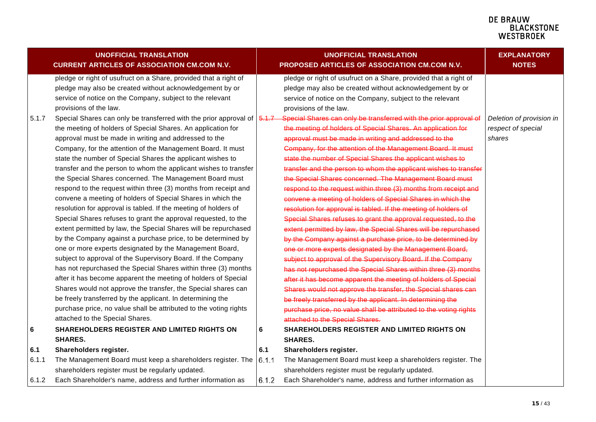<span id="page-14-0"></span>

|       | <b>UNOFFICIAL TRANSLATION</b><br><b>CURRENT ARTICLES OF ASSOCIATION CM.COM N.V.</b> |       | <b>UNOFFICIAL TRANSLATION</b><br>PROPOSED ARTICLES OF ASSOCIATION CM.COM N.V. | <b>EXPLANATORY</b><br><b>NOTES</b> |
|-------|-------------------------------------------------------------------------------------|-------|-------------------------------------------------------------------------------|------------------------------------|
|       | pledge or right of usufruct on a Share, provided that a right of                    |       | pledge or right of usufruct on a Share, provided that a right of              |                                    |
|       | pledge may also be created without acknowledgement by or                            |       | pledge may also be created without acknowledgement by or                      |                                    |
|       | service of notice on the Company, subject to the relevant                           |       | service of notice on the Company, subject to the relevant                     |                                    |
|       | provisions of the law.                                                              |       | provisions of the law.                                                        |                                    |
| 5.1.7 | Special Shares can only be transferred with the prior approval of $\sqrt{6.17}$     |       | Special Shares can only be transferred with the prior approval of             | Deletion of provision in           |
|       | the meeting of holders of Special Shares. An application for                        |       | the meeting of holders of Special Shares. An application for                  | respect of special                 |
|       | approval must be made in writing and addressed to the                               |       | approval must be made in writing and addressed to the                         | shares                             |
|       | Company, for the attention of the Management Board. It must                         |       | Company, for the attention of the Management Board. It must                   |                                    |
|       | state the number of Special Shares the applicant wishes to                          |       | state the number of Special Shares the applicant wishes to                    |                                    |
|       | transfer and the person to whom the applicant wishes to transfer                    |       | transfer and the person to whom the applicant wishes to transfer              |                                    |
|       | the Special Shares concerned. The Management Board must                             |       | the Special Shares concerned. The Management Board must                       |                                    |
|       | respond to the request within three (3) months from receipt and                     |       | respond to the request within three (3) months from receipt and               |                                    |
|       | convene a meeting of holders of Special Shares in which the                         |       | convene a meeting of holders of Special Shares in which the                   |                                    |
|       | resolution for approval is tabled. If the meeting of holders of                     |       | resolution for approval is tabled. If the meeting of holders of               |                                    |
|       | Special Shares refuses to grant the approval requested, to the                      |       | Special Shares refuses to grant the approval requested, to the                |                                    |
|       | extent permitted by law, the Special Shares will be repurchased                     |       | extent permitted by law, the Special Shares will be repurchased               |                                    |
|       | by the Company against a purchase price, to be determined by                        |       | by the Company against a purchase price, to be determined by                  |                                    |
|       | one or more experts designated by the Management Board,                             |       | one or more experts designated by the Management Board,                       |                                    |
|       | subject to approval of the Supervisory Board. If the Company                        |       | subject to approval of the Supervisory Board. If the Company                  |                                    |
|       | has not repurchased the Special Shares within three (3) months                      |       | has not repurchased the Special Shares within three (3) months                |                                    |
|       | after it has become apparent the meeting of holders of Special                      |       | after it has become apparent the meeting of holders of Special                |                                    |
|       | Shares would not approve the transfer, the Special shares can                       |       | Shares would not approve the transfer, the Special shares can                 |                                    |
|       | be freely transferred by the applicant. In determining the                          |       | be freely transferred by the applicant. In determining the                    |                                    |
|       | purchase price, no value shall be attributed to the voting rights                   |       | purchase price, no value shall be attributed to the voting rights             |                                    |
|       | attached to the Special Shares.                                                     |       | attached to the Special Shares.                                               |                                    |
| 6     | SHAREHOLDERS REGISTER AND LIMITED RIGHTS ON                                         | 6     | SHAREHOLDERS REGISTER AND LIMITED RIGHTS ON                                   |                                    |
|       | <b>SHARES.</b>                                                                      |       | <b>SHARES.</b>                                                                |                                    |
| 6.1   | Shareholders register.                                                              | 6.1   | Shareholders register.                                                        |                                    |
| 6.1.1 | The Management Board must keep a shareholders register. The                         | 6.1.1 | The Management Board must keep a shareholders register. The                   |                                    |
|       | shareholders register must be regularly updated.                                    |       | shareholders register must be regularly updated.                              |                                    |
| 6.1.2 | Each Shareholder's name, address and further information as                         | 6.1.2 | Each Shareholder's name, address and further information as                   |                                    |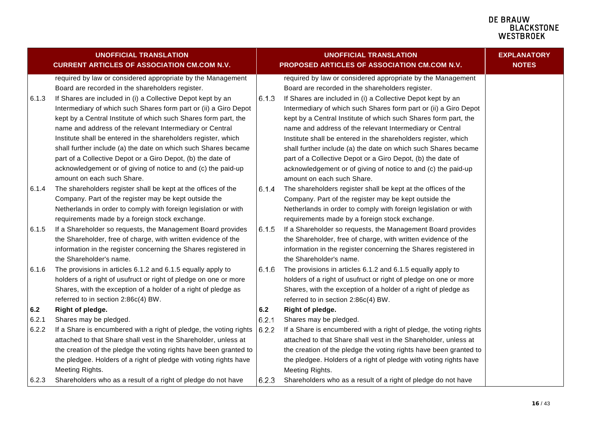<span id="page-15-1"></span><span id="page-15-0"></span>

|       | <b>UNOFFICIAL TRANSLATION</b>                                                                                   |       | <b>UNOFFICIAL TRANSLATION</b>                                                                                   | <b>EXPLANATORY</b> |
|-------|-----------------------------------------------------------------------------------------------------------------|-------|-----------------------------------------------------------------------------------------------------------------|--------------------|
|       | <b>CURRENT ARTICLES OF ASSOCIATION CM.COM N.V.</b>                                                              |       | PROPOSED ARTICLES OF ASSOCIATION CM.COM N.V.                                                                    | <b>NOTES</b>       |
|       | required by law or considered appropriate by the Management<br>Board are recorded in the shareholders register. |       | required by law or considered appropriate by the Management<br>Board are recorded in the shareholders register. |                    |
| 6.1.3 | If Shares are included in (i) a Collective Depot kept by an                                                     | 6.1.3 | If Shares are included in (i) a Collective Depot kept by an                                                     |                    |
|       | Intermediary of which such Shares form part or (ii) a Giro Depot                                                |       | Intermediary of which such Shares form part or (ii) a Giro Depot                                                |                    |
|       | kept by a Central Institute of which such Shares form part, the                                                 |       | kept by a Central Institute of which such Shares form part, the                                                 |                    |
|       | name and address of the relevant Intermediary or Central                                                        |       | name and address of the relevant Intermediary or Central                                                        |                    |
|       | Institute shall be entered in the shareholders register, which                                                  |       | Institute shall be entered in the shareholders register, which                                                  |                    |
|       | shall further include (a) the date on which such Shares became                                                  |       | shall further include (a) the date on which such Shares became                                                  |                    |
|       | part of a Collective Depot or a Giro Depot, (b) the date of                                                     |       | part of a Collective Depot or a Giro Depot, (b) the date of                                                     |                    |
|       | acknowledgement or of giving of notice to and (c) the paid-up                                                   |       | acknowledgement or of giving of notice to and (c) the paid-up                                                   |                    |
|       | amount on each such Share.                                                                                      |       | amount on each such Share.                                                                                      |                    |
| 6.1.4 | The shareholders register shall be kept at the offices of the                                                   | 6.1.4 | The shareholders register shall be kept at the offices of the                                                   |                    |
|       | Company. Part of the register may be kept outside the                                                           |       | Company. Part of the register may be kept outside the                                                           |                    |
|       | Netherlands in order to comply with foreign legislation or with                                                 |       | Netherlands in order to comply with foreign legislation or with                                                 |                    |
|       | requirements made by a foreign stock exchange.                                                                  |       | requirements made by a foreign stock exchange.                                                                  |                    |
| 6.1.5 | If a Shareholder so requests, the Management Board provides                                                     | 6.1.5 | If a Shareholder so requests, the Management Board provides                                                     |                    |
|       | the Shareholder, free of charge, with written evidence of the                                                   |       | the Shareholder, free of charge, with written evidence of the                                                   |                    |
|       | information in the register concerning the Shares registered in<br>the Shareholder's name.                      |       | information in the register concerning the Shares registered in<br>the Shareholder's name.                      |                    |
| 6.1.6 | The provisions in articles 6.1.2 and 6.1.5 equally apply to                                                     | 6.1.6 | The provisions in articles 6.1.2 and 6.1.5 equally apply to                                                     |                    |
|       | holders of a right of usufruct or right of pledge on one or more                                                |       | holders of a right of usufruct or right of pledge on one or more                                                |                    |
|       | Shares, with the exception of a holder of a right of pledge as                                                  |       | Shares, with the exception of a holder of a right of pledge as                                                  |                    |
|       | referred to in section 2:86c(4) BW.                                                                             |       | referred to in section 2:86c(4) BW.                                                                             |                    |
| 6.2   | Right of pledge.                                                                                                | 6.2   | Right of pledge.                                                                                                |                    |
| 6.2.1 | Shares may be pledged.                                                                                          | 6.2.1 | Shares may be pledged.                                                                                          |                    |
| 6.2.2 | If a Share is encumbered with a right of pledge, the voting rights                                              | 6.2.2 | If a Share is encumbered with a right of pledge, the voting rights                                              |                    |
|       | attached to that Share shall vest in the Shareholder, unless at                                                 |       | attached to that Share shall vest in the Shareholder, unless at                                                 |                    |
|       | the creation of the pledge the voting rights have been granted to                                               |       | the creation of the pledge the voting rights have been granted to                                               |                    |
|       | the pledgee. Holders of a right of pledge with voting rights have                                               |       | the pledgee. Holders of a right of pledge with voting rights have                                               |                    |
|       | Meeting Rights.                                                                                                 |       | Meeting Rights.                                                                                                 |                    |
| 6.2.3 | Shareholders who as a result of a right of pledge do not have                                                   | 6.2.3 | Shareholders who as a result of a right of pledge do not have                                                   |                    |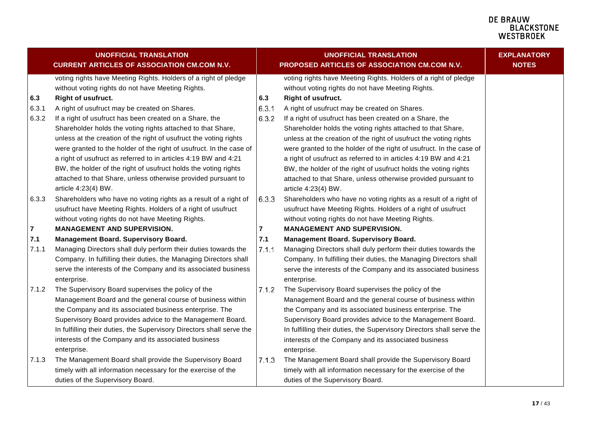|                | <b>UNOFFICIAL TRANSLATION</b><br><b>CURRENT ARTICLES OF ASSOCIATION CM.COM N.V.</b> |       | <b>UNOFFICIAL TRANSLATION</b><br>PROPOSED ARTICLES OF ASSOCIATION CM.COM N.V. | <b>EXPLANATORY</b><br><b>NOTES</b> |
|----------------|-------------------------------------------------------------------------------------|-------|-------------------------------------------------------------------------------|------------------------------------|
|                | voting rights have Meeting Rights. Holders of a right of pledge                     |       | voting rights have Meeting Rights. Holders of a right of pledge               |                                    |
|                | without voting rights do not have Meeting Rights.                                   |       | without voting rights do not have Meeting Rights.                             |                                    |
| 6.3            | Right of usufruct.                                                                  | 6.3   | Right of usufruct.                                                            |                                    |
| 6.3.1          | A right of usufruct may be created on Shares.                                       | 6.3.1 | A right of usufruct may be created on Shares.                                 |                                    |
| 6.3.2          | If a right of usufruct has been created on a Share, the                             | 6.3.2 | If a right of usufruct has been created on a Share, the                       |                                    |
|                | Shareholder holds the voting rights attached to that Share,                         |       | Shareholder holds the voting rights attached to that Share,                   |                                    |
|                | unless at the creation of the right of usufruct the voting rights                   |       | unless at the creation of the right of usufruct the voting rights             |                                    |
|                | were granted to the holder of the right of usufruct. In the case of                 |       | were granted to the holder of the right of usufruct. In the case of           |                                    |
|                | a right of usufruct as referred to in articles 4:19 BW and 4:21                     |       | a right of usufruct as referred to in articles 4:19 BW and 4:21               |                                    |
|                | BW, the holder of the right of usufruct holds the voting rights                     |       | BW, the holder of the right of usufruct holds the voting rights               |                                    |
|                | attached to that Share, unless otherwise provided pursuant to                       |       | attached to that Share, unless otherwise provided pursuant to                 |                                    |
|                | article 4:23(4) BW.                                                                 |       | article 4:23(4) BW.                                                           |                                    |
| 6.3.3          | Shareholders who have no voting rights as a result of a right of                    | 6.3.3 | Shareholders who have no voting rights as a result of a right of              |                                    |
|                | usufruct have Meeting Rights. Holders of a right of usufruct                        |       | usufruct have Meeting Rights. Holders of a right of usufruct                  |                                    |
|                | without voting rights do not have Meeting Rights.                                   |       | without voting rights do not have Meeting Rights.                             |                                    |
| $\overline{7}$ | <b>MANAGEMENT AND SUPERVISION.</b>                                                  | 7     | <b>MANAGEMENT AND SUPERVISION.</b>                                            |                                    |
| 7.1            | Management Board. Supervisory Board.                                                | 7.1   | <b>Management Board. Supervisory Board.</b>                                   |                                    |
| 7.1.1          | Managing Directors shall duly perform their duties towards the                      | 7.1.1 | Managing Directors shall duly perform their duties towards the                |                                    |
|                | Company. In fulfilling their duties, the Managing Directors shall                   |       | Company. In fulfilling their duties, the Managing Directors shall             |                                    |
|                | serve the interests of the Company and its associated business                      |       | serve the interests of the Company and its associated business                |                                    |
|                | enterprise.                                                                         |       | enterprise.                                                                   |                                    |
| 7.1.2          | The Supervisory Board supervises the policy of the                                  | 7.1.2 | The Supervisory Board supervises the policy of the                            |                                    |
|                | Management Board and the general course of business within                          |       | Management Board and the general course of business within                    |                                    |
|                | the Company and its associated business enterprise. The                             |       | the Company and its associated business enterprise. The                       |                                    |
|                | Supervisory Board provides advice to the Management Board.                          |       | Supervisory Board provides advice to the Management Board.                    |                                    |
|                | In fulfilling their duties, the Supervisory Directors shall serve the               |       | In fulfilling their duties, the Supervisory Directors shall serve the         |                                    |
|                | interests of the Company and its associated business                                |       | interests of the Company and its associated business                          |                                    |
|                | enterprise.                                                                         |       | enterprise.                                                                   |                                    |
| 7.1.3          | The Management Board shall provide the Supervisory Board                            | 7.1.3 | The Management Board shall provide the Supervisory Board                      |                                    |
|                | timely with all information necessary for the exercise of the                       |       | timely with all information necessary for the exercise of the                 |                                    |
|                | duties of the Supervisory Board.                                                    |       | duties of the Supervisory Board.                                              |                                    |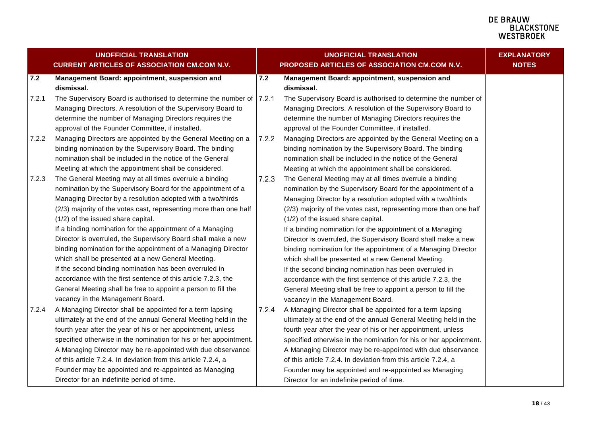<span id="page-17-0"></span>

| <b>UNOFFICIAL TRANSLATION</b> |                                                                   | <b>UNOFFICIAL TRANSLATION</b> |                                                                   | <b>EXPLANATORY</b> |
|-------------------------------|-------------------------------------------------------------------|-------------------------------|-------------------------------------------------------------------|--------------------|
|                               | <b>CURRENT ARTICLES OF ASSOCIATION CM.COM N.V.</b>                |                               | PROPOSED ARTICLES OF ASSOCIATION CM.COM N.V.                      | <b>NOTES</b>       |
| 7.2                           | Management Board: appointment, suspension and                     | 7.2                           | Management Board: appointment, suspension and                     |                    |
|                               | dismissal.                                                        |                               | dismissal.                                                        |                    |
| 7.2.1                         | The Supervisory Board is authorised to determine the number of    | 7.2.1                         | The Supervisory Board is authorised to determine the number of    |                    |
|                               | Managing Directors. A resolution of the Supervisory Board to      |                               | Managing Directors. A resolution of the Supervisory Board to      |                    |
|                               | determine the number of Managing Directors requires the           |                               | determine the number of Managing Directors requires the           |                    |
|                               | approval of the Founder Committee, if installed.                  |                               | approval of the Founder Committee, if installed.                  |                    |
| 7.2.2                         | Managing Directors are appointed by the General Meeting on a      | 7.2.2                         | Managing Directors are appointed by the General Meeting on a      |                    |
|                               | binding nomination by the Supervisory Board. The binding          |                               | binding nomination by the Supervisory Board. The binding          |                    |
|                               | nomination shall be included in the notice of the General         |                               | nomination shall be included in the notice of the General         |                    |
|                               | Meeting at which the appointment shall be considered.             |                               | Meeting at which the appointment shall be considered.             |                    |
| 7.2.3                         | The General Meeting may at all times overrule a binding           | 7.2.3                         | The General Meeting may at all times overrule a binding           |                    |
|                               | nomination by the Supervisory Board for the appointment of a      |                               | nomination by the Supervisory Board for the appointment of a      |                    |
|                               | Managing Director by a resolution adopted with a two/thirds       |                               | Managing Director by a resolution adopted with a two/thirds       |                    |
|                               | (2/3) majority of the votes cast, representing more than one half |                               | (2/3) majority of the votes cast, representing more than one half |                    |
|                               | (1/2) of the issued share capital.                                |                               | (1/2) of the issued share capital.                                |                    |
|                               | If a binding nomination for the appointment of a Managing         |                               | If a binding nomination for the appointment of a Managing         |                    |
|                               | Director is overruled, the Supervisory Board shall make a new     |                               | Director is overruled, the Supervisory Board shall make a new     |                    |
|                               | binding nomination for the appointment of a Managing Director     |                               | binding nomination for the appointment of a Managing Director     |                    |
|                               | which shall be presented at a new General Meeting.                |                               | which shall be presented at a new General Meeting.                |                    |
|                               | If the second binding nomination has been overruled in            |                               | If the second binding nomination has been overruled in            |                    |
|                               | accordance with the first sentence of this article 7.2.3, the     |                               | accordance with the first sentence of this article 7.2.3, the     |                    |
|                               | General Meeting shall be free to appoint a person to fill the     |                               | General Meeting shall be free to appoint a person to fill the     |                    |
|                               | vacancy in the Management Board.                                  |                               | vacancy in the Management Board.                                  |                    |
| 7.2.4                         | A Managing Director shall be appointed for a term lapsing         | 7.2.4                         | A Managing Director shall be appointed for a term lapsing         |                    |
|                               | ultimately at the end of the annual General Meeting held in the   |                               | ultimately at the end of the annual General Meeting held in the   |                    |
|                               | fourth year after the year of his or her appointment, unless      |                               | fourth year after the year of his or her appointment, unless      |                    |
|                               | specified otherwise in the nomination for his or her appointment. |                               | specified otherwise in the nomination for his or her appointment. |                    |
|                               | A Managing Director may be re-appointed with due observance       |                               | A Managing Director may be re-appointed with due observance       |                    |
|                               | of this article 7.2.4. In deviation from this article 7.2.4, a    |                               | of this article 7.2.4. In deviation from this article 7.2.4, a    |                    |
|                               | Founder may be appointed and re-appointed as Managing             |                               | Founder may be appointed and re-appointed as Managing             |                    |
|                               | Director for an indefinite period of time.                        |                               | Director for an indefinite period of time.                        |                    |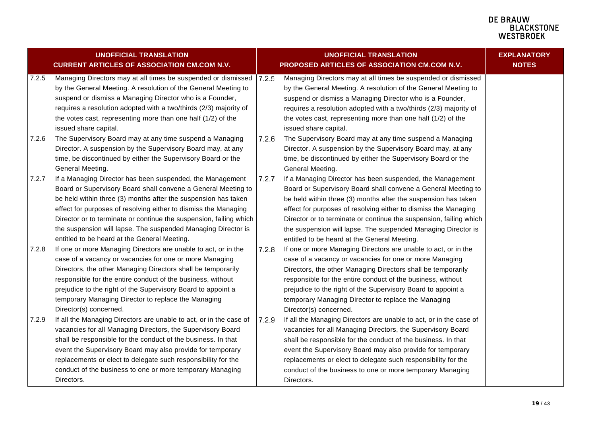|       | <b>UNOFFICIAL TRANSLATION</b><br><b>CURRENT ARTICLES OF ASSOCIATION CM.COM N.V.</b>                                                                                                                                                                                                                                                                                                                                                                    |       | <b>UNOFFICIAL TRANSLATION</b><br>PROPOSED ARTICLES OF ASSOCIATION CM.COM N.V.                                                                                                                                                                                                                                                                                                                                                                          | <b>EXPLANATORY</b><br><b>NOTES</b> |
|-------|--------------------------------------------------------------------------------------------------------------------------------------------------------------------------------------------------------------------------------------------------------------------------------------------------------------------------------------------------------------------------------------------------------------------------------------------------------|-------|--------------------------------------------------------------------------------------------------------------------------------------------------------------------------------------------------------------------------------------------------------------------------------------------------------------------------------------------------------------------------------------------------------------------------------------------------------|------------------------------------|
| 7.2.5 | Managing Directors may at all times be suspended or dismissed<br>by the General Meeting. A resolution of the General Meeting to<br>suspend or dismiss a Managing Director who is a Founder,<br>requires a resolution adopted with a two/thirds (2/3) majority of<br>the votes cast, representing more than one half (1/2) of the<br>issued share capital.                                                                                              | 7.2.5 | Managing Directors may at all times be suspended or dismissed<br>by the General Meeting. A resolution of the General Meeting to<br>suspend or dismiss a Managing Director who is a Founder,<br>requires a resolution adopted with a two/thirds (2/3) majority of<br>the votes cast, representing more than one half (1/2) of the<br>issued share capital.                                                                                              |                                    |
| 7.2.6 | The Supervisory Board may at any time suspend a Managing<br>Director. A suspension by the Supervisory Board may, at any<br>time, be discontinued by either the Supervisory Board or the<br>General Meeting.                                                                                                                                                                                                                                            | 7.2.6 | The Supervisory Board may at any time suspend a Managing<br>Director. A suspension by the Supervisory Board may, at any<br>time, be discontinued by either the Supervisory Board or the<br>General Meeting.                                                                                                                                                                                                                                            |                                    |
| 7.2.7 | If a Managing Director has been suspended, the Management<br>Board or Supervisory Board shall convene a General Meeting to<br>be held within three (3) months after the suspension has taken<br>effect for purposes of resolving either to dismiss the Managing<br>Director or to terminate or continue the suspension, failing which<br>the suspension will lapse. The suspended Managing Director is<br>entitled to be heard at the General Meeting. | 7.2.7 | If a Managing Director has been suspended, the Management<br>Board or Supervisory Board shall convene a General Meeting to<br>be held within three (3) months after the suspension has taken<br>effect for purposes of resolving either to dismiss the Managing<br>Director or to terminate or continue the suspension, failing which<br>the suspension will lapse. The suspended Managing Director is<br>entitled to be heard at the General Meeting. |                                    |
| 7.2.8 | If one or more Managing Directors are unable to act, or in the<br>case of a vacancy or vacancies for one or more Managing<br>Directors, the other Managing Directors shall be temporarily<br>responsible for the entire conduct of the business, without<br>prejudice to the right of the Supervisory Board to appoint a<br>temporary Managing Director to replace the Managing<br>Director(s) concerned.                                              | 7.2.8 | If one or more Managing Directors are unable to act, or in the<br>case of a vacancy or vacancies for one or more Managing<br>Directors, the other Managing Directors shall be temporarily<br>responsible for the entire conduct of the business, without<br>prejudice to the right of the Supervisory Board to appoint a<br>temporary Managing Director to replace the Managing<br>Director(s) concerned.                                              |                                    |
| 7.2.9 | If all the Managing Directors are unable to act, or in the case of<br>vacancies for all Managing Directors, the Supervisory Board<br>shall be responsible for the conduct of the business. In that<br>event the Supervisory Board may also provide for temporary<br>replacements or elect to delegate such responsibility for the<br>conduct of the business to one or more temporary Managing<br>Directors.                                           | 7.2.9 | If all the Managing Directors are unable to act, or in the case of<br>vacancies for all Managing Directors, the Supervisory Board<br>shall be responsible for the conduct of the business. In that<br>event the Supervisory Board may also provide for temporary<br>replacements or elect to delegate such responsibility for the<br>conduct of the business to one or more temporary Managing<br>Directors.                                           |                                    |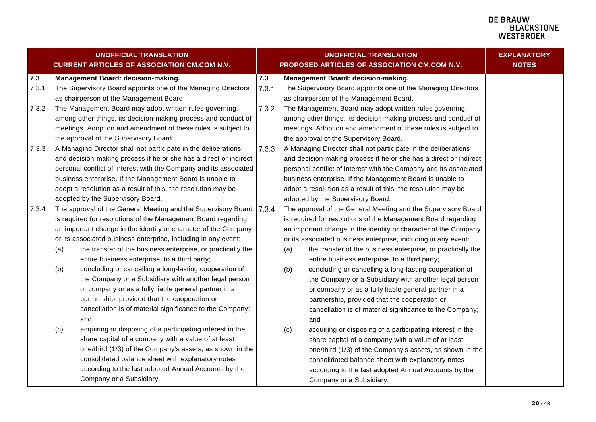|       |     | <b>UNOFFICIAL TRANSLATION</b><br><b>CURRENT ARTICLES OF ASSOCIATION CM.COM N.V.</b> | <b>UNOFFICIAL TRANSLATION</b><br>PROPOSED ARTICLES OF ASSOCIATION CM.COM N.V. |     | <b>EXPLANATORY</b><br><b>NOTES</b>                                |  |
|-------|-----|-------------------------------------------------------------------------------------|-------------------------------------------------------------------------------|-----|-------------------------------------------------------------------|--|
| 7.3   |     | Management Board: decision-making.                                                  | 7.3                                                                           |     | Management Board: decision-making.                                |  |
| 7.3.1 |     | The Supervisory Board appoints one of the Managing Directors                        | 7.3.1                                                                         |     | The Supervisory Board appoints one of the Managing Directors      |  |
|       |     | as chairperson of the Management Board.                                             |                                                                               |     | as chairperson of the Management Board.                           |  |
| 7.3.2 |     | The Management Board may adopt written rules governing,                             | 7.3.2                                                                         |     | The Management Board may adopt written rules governing,           |  |
|       |     | among other things, its decision-making process and conduct of                      |                                                                               |     | among other things, its decision-making process and conduct of    |  |
|       |     | meetings. Adoption and amendment of these rules is subject to                       |                                                                               |     | meetings. Adoption and amendment of these rules is subject to     |  |
|       |     | the approval of the Supervisory Board.                                              |                                                                               |     | the approval of the Supervisory Board.                            |  |
| 7.3.3 |     | A Managing Director shall not participate in the deliberations                      | 7.3.3                                                                         |     | A Managing Director shall not participate in the deliberations    |  |
|       |     | and decision-making process if he or she has a direct or indirect                   |                                                                               |     | and decision-making process if he or she has a direct or indirect |  |
|       |     | personal conflict of interest with the Company and its associated                   |                                                                               |     | personal conflict of interest with the Company and its associated |  |
|       |     | business enterprise. If the Management Board is unable to                           |                                                                               |     | business enterprise. If the Management Board is unable to         |  |
|       |     | adopt a resolution as a result of this, the resolution may be                       |                                                                               |     | adopt a resolution as a result of this, the resolution may be     |  |
|       |     | adopted by the Supervisory Board.                                                   |                                                                               |     | adopted by the Supervisory Board.                                 |  |
| 7.3.4 |     | The approval of the General Meeting and the Supervisory Board                       | 7.3.4                                                                         |     | The approval of the General Meeting and the Supervisory Board     |  |
|       |     | is required for resolutions of the Management Board regarding                       |                                                                               |     | is required for resolutions of the Management Board regarding     |  |
|       |     | an important change in the identity or character of the Company                     |                                                                               |     | an important change in the identity or character of the Company   |  |
|       |     | or its associated business enterprise, including in any event:                      |                                                                               |     | or its associated business enterprise, including in any event:    |  |
|       | (a) | the transfer of the business enterprise, or practically the                         |                                                                               | (a) | the transfer of the business enterprise, or practically the       |  |
|       |     | entire business enterprise, to a third party;                                       |                                                                               |     | entire business enterprise, to a third party;                     |  |
|       | (b) | concluding or cancelling a long-lasting cooperation of                              |                                                                               | (b) | concluding or cancelling a long-lasting cooperation of            |  |
|       |     | the Company or a Subsidiary with another legal person                               |                                                                               |     | the Company or a Subsidiary with another legal person             |  |
|       |     | or company or as a fully liable general partner in a                                |                                                                               |     | or company or as a fully liable general partner in a              |  |
|       |     | partnership, provided that the cooperation or                                       |                                                                               |     | partnership, provided that the cooperation or                     |  |
|       |     | cancellation is of material significance to the Company;                            |                                                                               |     | cancellation is of material significance to the Company;          |  |
|       |     | and                                                                                 |                                                                               |     | and                                                               |  |
|       | (c) | acquiring or disposing of a participating interest in the                           |                                                                               | (c) | acquiring or disposing of a participating interest in the         |  |
|       |     | share capital of a company with a value of at least                                 |                                                                               |     | share capital of a company with a value of at least               |  |
|       |     | one/third (1/3) of the Company's assets, as shown in the                            |                                                                               |     | one/third (1/3) of the Company's assets, as shown in the          |  |
|       |     | consolidated balance sheet with explanatory notes                                   |                                                                               |     | consolidated balance sheet with explanatory notes                 |  |
|       |     | according to the last adopted Annual Accounts by the                                |                                                                               |     | according to the last adopted Annual Accounts by the              |  |
|       |     | Company or a Subsidiary.                                                            |                                                                               |     | Company or a Subsidiary.                                          |  |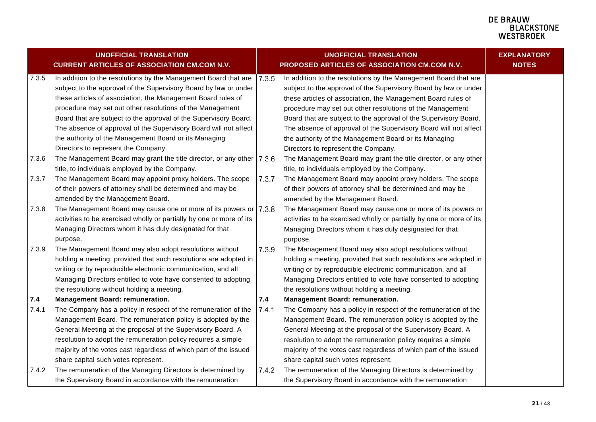|       | <b>UNOFFICIAL TRANSLATION</b>                                         |       | <b>UNOFFICIAL TRANSLATION</b>                                        | <b>EXPLANATORY</b><br><b>NOTES</b> |
|-------|-----------------------------------------------------------------------|-------|----------------------------------------------------------------------|------------------------------------|
|       | <b>CURRENT ARTICLES OF ASSOCIATION CM.COM N.V.</b>                    |       | PROPOSED ARTICLES OF ASSOCIATION CM.COM N.V.                         |                                    |
| 7.3.5 | In addition to the resolutions by the Management Board that are       | 7.3.5 | In addition to the resolutions by the Management Board that are      |                                    |
|       | subject to the approval of the Supervisory Board by law or under      |       | subject to the approval of the Supervisory Board by law or under     |                                    |
|       | these articles of association, the Management Board rules of          |       | these articles of association, the Management Board rules of         |                                    |
|       | procedure may set out other resolutions of the Management             |       | procedure may set out other resolutions of the Management            |                                    |
|       | Board that are subject to the approval of the Supervisory Board.      |       | Board that are subject to the approval of the Supervisory Board.     |                                    |
|       | The absence of approval of the Supervisory Board will not affect      |       | The absence of approval of the Supervisory Board will not affect     |                                    |
|       | the authority of the Management Board or its Managing                 |       | the authority of the Management Board or its Managing                |                                    |
|       | Directors to represent the Company.                                   |       | Directors to represent the Company.                                  |                                    |
| 7.3.6 | The Management Board may grant the title director, or any other 7.3.6 |       | The Management Board may grant the title director, or any other      |                                    |
|       | title, to individuals employed by the Company.                        |       | title, to individuals employed by the Company.                       |                                    |
| 7.3.7 | The Management Board may appoint proxy holders. The scope             | 7.3.7 | The Management Board may appoint proxy holders. The scope            |                                    |
|       | of their powers of attorney shall be determined and may be            |       | of their powers of attorney shall be determined and may be           |                                    |
|       | amended by the Management Board.                                      |       | amended by the Management Board.                                     |                                    |
| 7.3.8 | The Management Board may cause one or more of its powers or   7.3.8   |       | The Management Board may cause one or more of its powers or          |                                    |
|       | activities to be exercised wholly or partially by one or more of its  |       | activities to be exercised wholly or partially by one or more of its |                                    |
|       | Managing Directors whom it has duly designated for that               |       | Managing Directors whom it has duly designated for that              |                                    |
|       | purpose.                                                              |       | purpose.                                                             |                                    |
| 7.3.9 | The Management Board may also adopt resolutions without               | 7.3.9 | The Management Board may also adopt resolutions without              |                                    |
|       | holding a meeting, provided that such resolutions are adopted in      |       | holding a meeting, provided that such resolutions are adopted in     |                                    |
|       | writing or by reproducible electronic communication, and all          |       | writing or by reproducible electronic communication, and all         |                                    |
|       | Managing Directors entitled to vote have consented to adopting        |       | Managing Directors entitled to vote have consented to adopting       |                                    |
|       | the resolutions without holding a meeting.                            |       | the resolutions without holding a meeting.                           |                                    |
| 7.4   | <b>Management Board: remuneration.</b>                                | 7.4   | <b>Management Board: remuneration.</b>                               |                                    |
| 7.4.1 | The Company has a policy in respect of the remuneration of the        | 7.4.1 | The Company has a policy in respect of the remuneration of the       |                                    |
|       | Management Board. The remuneration policy is adopted by the           |       | Management Board. The remuneration policy is adopted by the          |                                    |
|       | General Meeting at the proposal of the Supervisory Board. A           |       | General Meeting at the proposal of the Supervisory Board. A          |                                    |
|       | resolution to adopt the remuneration policy requires a simple         |       | resolution to adopt the remuneration policy requires a simple        |                                    |
|       | majority of the votes cast regardless of which part of the issued     |       | majority of the votes cast regardless of which part of the issued    |                                    |
|       | share capital such votes represent.                                   |       | share capital such votes represent.                                  |                                    |
| 7.4.2 | The remuneration of the Managing Directors is determined by           | 7.4.2 | The remuneration of the Managing Directors is determined by          |                                    |
|       | the Supervisory Board in accordance with the remuneration             |       | the Supervisory Board in accordance with the remuneration            |                                    |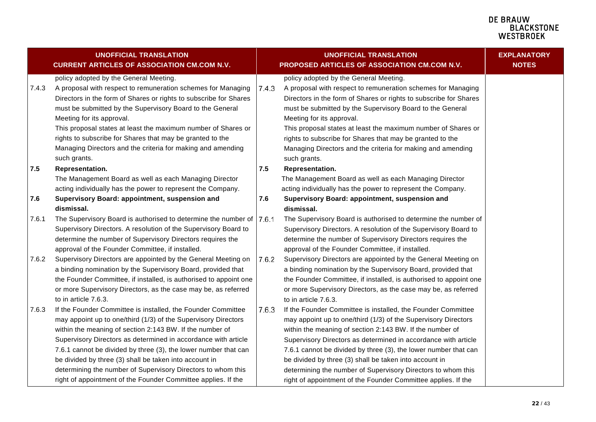<span id="page-21-1"></span><span id="page-21-0"></span>

|       | <b>UNOFFICIAL TRANSLATION</b><br><b>CURRENT ARTICLES OF ASSOCIATION CM.COM N.V.</b> |       | <b>UNOFFICIAL TRANSLATION</b><br>PROPOSED ARTICLES OF ASSOCIATION CM.COM N.V. | <b>EXPLANATORY</b><br><b>NOTES</b> |
|-------|-------------------------------------------------------------------------------------|-------|-------------------------------------------------------------------------------|------------------------------------|
|       | policy adopted by the General Meeting.                                              |       | policy adopted by the General Meeting.                                        |                                    |
| 7.4.3 | A proposal with respect to remuneration schemes for Managing                        | 7.4.3 | A proposal with respect to remuneration schemes for Managing                  |                                    |
|       | Directors in the form of Shares or rights to subscribe for Shares                   |       | Directors in the form of Shares or rights to subscribe for Shares             |                                    |
|       | must be submitted by the Supervisory Board to the General                           |       | must be submitted by the Supervisory Board to the General                     |                                    |
|       | Meeting for its approval.                                                           |       | Meeting for its approval.                                                     |                                    |
|       | This proposal states at least the maximum number of Shares or                       |       | This proposal states at least the maximum number of Shares or                 |                                    |
|       | rights to subscribe for Shares that may be granted to the                           |       | rights to subscribe for Shares that may be granted to the                     |                                    |
|       | Managing Directors and the criteria for making and amending                         |       | Managing Directors and the criteria for making and amending                   |                                    |
|       | such grants.                                                                        |       | such grants.                                                                  |                                    |
| 7.5   | Representation.                                                                     | 7.5   | Representation.                                                               |                                    |
|       | The Management Board as well as each Managing Director                              |       | The Management Board as well as each Managing Director                        |                                    |
|       | acting individually has the power to represent the Company.                         |       | acting individually has the power to represent the Company.                   |                                    |
| 7.6   | Supervisory Board: appointment, suspension and                                      | 7.6   | Supervisory Board: appointment, suspension and                                |                                    |
|       | dismissal.                                                                          |       | dismissal.                                                                    |                                    |
| 7.6.1 | The Supervisory Board is authorised to determine the number of   7.6.1              |       | The Supervisory Board is authorised to determine the number of                |                                    |
|       | Supervisory Directors. A resolution of the Supervisory Board to                     |       | Supervisory Directors. A resolution of the Supervisory Board to               |                                    |
|       | determine the number of Supervisory Directors requires the                          |       | determine the number of Supervisory Directors requires the                    |                                    |
|       | approval of the Founder Committee, if installed.                                    |       | approval of the Founder Committee, if installed.                              |                                    |
| 7.6.2 | Supervisory Directors are appointed by the General Meeting on                       | 7.6.2 | Supervisory Directors are appointed by the General Meeting on                 |                                    |
|       | a binding nomination by the Supervisory Board, provided that                        |       | a binding nomination by the Supervisory Board, provided that                  |                                    |
|       | the Founder Committee, if installed, is authorised to appoint one                   |       | the Founder Committee, if installed, is authorised to appoint one             |                                    |
|       | or more Supervisory Directors, as the case may be, as referred                      |       | or more Supervisory Directors, as the case may be, as referred                |                                    |
|       | to in article 7.6.3.                                                                |       | to in article 7.6.3.                                                          |                                    |
| 7.6.3 | If the Founder Committee is installed, the Founder Committee                        | 7.6.3 | If the Founder Committee is installed, the Founder Committee                  |                                    |
|       | may appoint up to one/third (1/3) of the Supervisory Directors                      |       | may appoint up to one/third (1/3) of the Supervisory Directors                |                                    |
|       | within the meaning of section 2:143 BW. If the number of                            |       | within the meaning of section 2:143 BW. If the number of                      |                                    |
|       | Supervisory Directors as determined in accordance with article                      |       | Supervisory Directors as determined in accordance with article                |                                    |
|       | 7.6.1 cannot be divided by three (3), the lower number that can                     |       | 7.6.1 cannot be divided by three (3), the lower number that can               |                                    |
|       | be divided by three (3) shall be taken into account in                              |       | be divided by three (3) shall be taken into account in                        |                                    |
|       | determining the number of Supervisory Directors to whom this                        |       | determining the number of Supervisory Directors to whom this                  |                                    |
|       | right of appointment of the Founder Committee applies. If the                       |       | right of appointment of the Founder Committee applies. If the                 |                                    |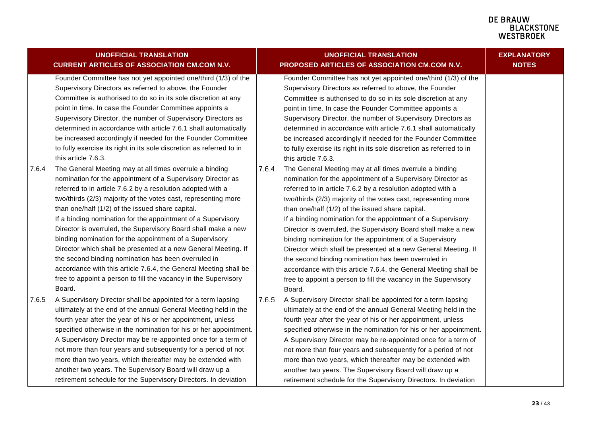<span id="page-22-1"></span><span id="page-22-0"></span>

|       | <b>UNOFFICIAL TRANSLATION</b>                                                                                                                                                                                                                                                                                                                                                                                                                                                                                                                                                                                                                                                                                                                                                     |       | <b>UNOFFICIAL TRANSLATION</b>                                                                                                                                                                                                                                                                                                                                                                                                                                                                                                                                                                                                                                                                                                                                                     | <b>EXPLANATORY</b> |
|-------|-----------------------------------------------------------------------------------------------------------------------------------------------------------------------------------------------------------------------------------------------------------------------------------------------------------------------------------------------------------------------------------------------------------------------------------------------------------------------------------------------------------------------------------------------------------------------------------------------------------------------------------------------------------------------------------------------------------------------------------------------------------------------------------|-------|-----------------------------------------------------------------------------------------------------------------------------------------------------------------------------------------------------------------------------------------------------------------------------------------------------------------------------------------------------------------------------------------------------------------------------------------------------------------------------------------------------------------------------------------------------------------------------------------------------------------------------------------------------------------------------------------------------------------------------------------------------------------------------------|--------------------|
|       | <b>CURRENT ARTICLES OF ASSOCIATION CM.COM N.V.</b>                                                                                                                                                                                                                                                                                                                                                                                                                                                                                                                                                                                                                                                                                                                                |       | PROPOSED ARTICLES OF ASSOCIATION CM.COM N.V.                                                                                                                                                                                                                                                                                                                                                                                                                                                                                                                                                                                                                                                                                                                                      | <b>NOTES</b>       |
|       | Founder Committee has not yet appointed one/third (1/3) of the<br>Supervisory Directors as referred to above, the Founder<br>Committee is authorised to do so in its sole discretion at any<br>point in time. In case the Founder Committee appoints a<br>Supervisory Director, the number of Supervisory Directors as<br>determined in accordance with article 7.6.1 shall automatically<br>be increased accordingly if needed for the Founder Committee<br>to fully exercise its right in its sole discretion as referred to in<br>this article 7.6.3.                                                                                                                                                                                                                          |       | Founder Committee has not yet appointed one/third (1/3) of the<br>Supervisory Directors as referred to above, the Founder<br>Committee is authorised to do so in its sole discretion at any<br>point in time. In case the Founder Committee appoints a<br>Supervisory Director, the number of Supervisory Directors as<br>determined in accordance with article 7.6.1 shall automatically<br>be increased accordingly if needed for the Founder Committee<br>to fully exercise its right in its sole discretion as referred to in<br>this article 7.6.3.                                                                                                                                                                                                                          |                    |
| 7.6.4 | The General Meeting may at all times overrule a binding<br>nomination for the appointment of a Supervisory Director as<br>referred to in article 7.6.2 by a resolution adopted with a<br>two/thirds (2/3) majority of the votes cast, representing more<br>than one/half (1/2) of the issued share capital.<br>If a binding nomination for the appointment of a Supervisory<br>Director is overruled, the Supervisory Board shall make a new<br>binding nomination for the appointment of a Supervisory<br>Director which shall be presented at a new General Meeting. If<br>the second binding nomination has been overruled in<br>accordance with this article 7.6.4, the General Meeting shall be<br>free to appoint a person to fill the vacancy in the Supervisory<br>Board. | 7.6.4 | The General Meeting may at all times overrule a binding<br>nomination for the appointment of a Supervisory Director as<br>referred to in article 7.6.2 by a resolution adopted with a<br>two/thirds (2/3) majority of the votes cast, representing more<br>than one/half (1/2) of the issued share capital.<br>If a binding nomination for the appointment of a Supervisory<br>Director is overruled, the Supervisory Board shall make a new<br>binding nomination for the appointment of a Supervisory<br>Director which shall be presented at a new General Meeting. If<br>the second binding nomination has been overruled in<br>accordance with this article 7.6.4, the General Meeting shall be<br>free to appoint a person to fill the vacancy in the Supervisory<br>Board. |                    |
| 7.6.5 | A Supervisory Director shall be appointed for a term lapsing<br>ultimately at the end of the annual General Meeting held in the<br>fourth year after the year of his or her appointment, unless<br>specified otherwise in the nomination for his or her appointment.<br>A Supervisory Director may be re-appointed once for a term of<br>not more than four years and subsequently for a period of not<br>more than two years, which thereafter may be extended with<br>another two years. The Supervisory Board will draw up a<br>retirement schedule for the Supervisory Directors. In deviation                                                                                                                                                                                | 7.6.5 | A Supervisory Director shall be appointed for a term lapsing<br>ultimately at the end of the annual General Meeting held in the<br>fourth year after the year of his or her appointment, unless<br>specified otherwise in the nomination for his or her appointment.<br>A Supervisory Director may be re-appointed once for a term of<br>not more than four years and subsequently for a period of not<br>more than two years, which thereafter may be extended with<br>another two years. The Supervisory Board will draw up a<br>retirement schedule for the Supervisory Directors. In deviation                                                                                                                                                                                |                    |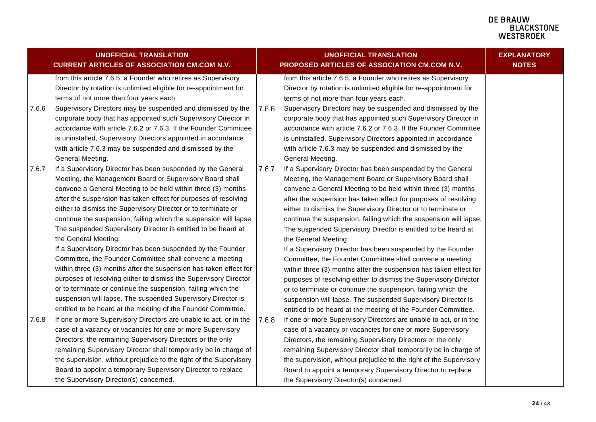|       | <b>UNOFFICIAL TRANSLATION</b><br><b>CURRENT ARTICLES OF ASSOCIATION CM.COM N.V.</b>                                                                                                                                                                                                                                                                                                                                                                                                                                                                                                                                                                                                                                                                                                                                                                                                                                                             |       | <b>UNOFFICIAL TRANSLATION</b><br>PROPOSED ARTICLES OF ASSOCIATION CM.COM N.V.                                                                                                                                                                                                                                                                                                                                                                                                                                                                                                                                                                                                                                                                                                                                                                                                                                                                   | <b>EXPLANATORY</b><br><b>NOTES</b> |
|-------|-------------------------------------------------------------------------------------------------------------------------------------------------------------------------------------------------------------------------------------------------------------------------------------------------------------------------------------------------------------------------------------------------------------------------------------------------------------------------------------------------------------------------------------------------------------------------------------------------------------------------------------------------------------------------------------------------------------------------------------------------------------------------------------------------------------------------------------------------------------------------------------------------------------------------------------------------|-------|-------------------------------------------------------------------------------------------------------------------------------------------------------------------------------------------------------------------------------------------------------------------------------------------------------------------------------------------------------------------------------------------------------------------------------------------------------------------------------------------------------------------------------------------------------------------------------------------------------------------------------------------------------------------------------------------------------------------------------------------------------------------------------------------------------------------------------------------------------------------------------------------------------------------------------------------------|------------------------------------|
| 7.6.6 | from this article 7.6.5, a Founder who retires as Supervisory<br>Director by rotation is unlimited eligible for re-appointment for<br>terms of not more than four years each.<br>Supervisory Directors may be suspended and dismissed by the<br>corporate body that has appointed such Supervisory Director in<br>accordance with article 7.6.2 or 7.6.3. If the Founder Committee<br>is uninstalled, Supervisory Directors appointed in accordance<br>with article 7.6.3 may be suspended and dismissed by the                                                                                                                                                                                                                                                                                                                                                                                                                                 | 7.6.6 | from this article 7.6.5, a Founder who retires as Supervisory<br>Director by rotation is unlimited eligible for re-appointment for<br>terms of not more than four years each.<br>Supervisory Directors may be suspended and dismissed by the<br>corporate body that has appointed such Supervisory Director in<br>accordance with article 7.6.2 or 7.6.3. If the Founder Committee<br>is uninstalled, Supervisory Directors appointed in accordance<br>with article 7.6.3 may be suspended and dismissed by the                                                                                                                                                                                                                                                                                                                                                                                                                                 |                                    |
| 7.6.7 | General Meeting.<br>If a Supervisory Director has been suspended by the General<br>Meeting, the Management Board or Supervisory Board shall<br>convene a General Meeting to be held within three (3) months<br>after the suspension has taken effect for purposes of resolving<br>either to dismiss the Supervisory Director or to terminate or<br>continue the suspension, failing which the suspension will lapse.<br>The suspended Supervisory Director is entitled to be heard at                                                                                                                                                                                                                                                                                                                                                                                                                                                           | 7.6.7 | General Meeting.<br>If a Supervisory Director has been suspended by the General<br>Meeting, the Management Board or Supervisory Board shall<br>convene a General Meeting to be held within three (3) months<br>after the suspension has taken effect for purposes of resolving<br>either to dismiss the Supervisory Director or to terminate or<br>continue the suspension, failing which the suspension will lapse.<br>The suspended Supervisory Director is entitled to be heard at                                                                                                                                                                                                                                                                                                                                                                                                                                                           |                                    |
| 7.6.8 | the General Meeting.<br>If a Supervisory Director has been suspended by the Founder<br>Committee, the Founder Committee shall convene a meeting<br>within three (3) months after the suspension has taken effect for<br>purposes of resolving either to dismiss the Supervisory Director<br>or to terminate or continue the suspension, failing which the<br>suspension will lapse. The suspended Supervisory Director is<br>entitled to be heard at the meeting of the Founder Committee.<br>If one or more Supervisory Directors are unable to act, or in the<br>case of a vacancy or vacancies for one or more Supervisory<br>Directors, the remaining Supervisory Directors or the only<br>remaining Supervisory Director shall temporarily be in charge of<br>the supervision, without prejudice to the right of the Supervisory<br>Board to appoint a temporary Supervisory Director to replace<br>the Supervisory Director(s) concerned. | 7.6.8 | the General Meeting.<br>If a Supervisory Director has been suspended by the Founder<br>Committee, the Founder Committee shall convene a meeting<br>within three (3) months after the suspension has taken effect for<br>purposes of resolving either to dismiss the Supervisory Director<br>or to terminate or continue the suspension, failing which the<br>suspension will lapse. The suspended Supervisory Director is<br>entitled to be heard at the meeting of the Founder Committee.<br>If one or more Supervisory Directors are unable to act, or in the<br>case of a vacancy or vacancies for one or more Supervisory<br>Directors, the remaining Supervisory Directors or the only<br>remaining Supervisory Director shall temporarily be in charge of<br>the supervision, without prejudice to the right of the Supervisory<br>Board to appoint a temporary Supervisory Director to replace<br>the Supervisory Director(s) concerned. |                                    |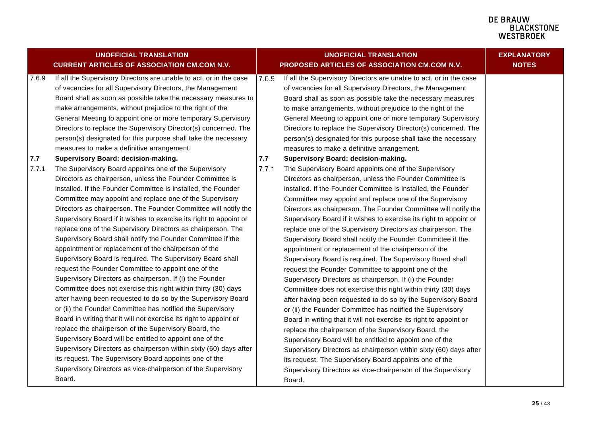|       | <b>UNOFFICIAL TRANSLATION</b><br><b>CURRENT ARTICLES OF ASSOCIATION CM.COM N.V.</b> |       | <b>UNOFFICIAL TRANSLATION</b><br>PROPOSED ARTICLES OF ASSOCIATION CM.COM N.V. | <b>EXPLANATORY</b><br><b>NOTES</b> |
|-------|-------------------------------------------------------------------------------------|-------|-------------------------------------------------------------------------------|------------------------------------|
| 7.6.9 | If all the Supervisory Directors are unable to act, or in the case                  | 7.6.9 | If all the Supervisory Directors are unable to act, or in the case            |                                    |
|       | of vacancies for all Supervisory Directors, the Management                          |       | of vacancies for all Supervisory Directors, the Management                    |                                    |
|       | Board shall as soon as possible take the necessary measures to                      |       | Board shall as soon as possible take the necessary measures                   |                                    |
|       | make arrangements, without prejudice to the right of the                            |       | to make arrangements, without prejudice to the right of the                   |                                    |
|       | General Meeting to appoint one or more temporary Supervisory                        |       | General Meeting to appoint one or more temporary Supervisory                  |                                    |
|       | Directors to replace the Supervisory Director(s) concerned. The                     |       | Directors to replace the Supervisory Director(s) concerned. The               |                                    |
|       | person(s) designated for this purpose shall take the necessary                      |       | person(s) designated for this purpose shall take the necessary                |                                    |
|       | measures to make a definitive arrangement.                                          |       | measures to make a definitive arrangement.                                    |                                    |
| 7.7   | Supervisory Board: decision-making.                                                 | 7.7   | Supervisory Board: decision-making.                                           |                                    |
| 7.7.1 | The Supervisory Board appoints one of the Supervisory                               | 7.7.1 | The Supervisory Board appoints one of the Supervisory                         |                                    |
|       | Directors as chairperson, unless the Founder Committee is                           |       | Directors as chairperson, unless the Founder Committee is                     |                                    |
|       | installed. If the Founder Committee is installed, the Founder                       |       | installed. If the Founder Committee is installed, the Founder                 |                                    |
|       | Committee may appoint and replace one of the Supervisory                            |       | Committee may appoint and replace one of the Supervisory                      |                                    |
|       | Directors as chairperson. The Founder Committee will notify the                     |       | Directors as chairperson. The Founder Committee will notify the               |                                    |
|       | Supervisory Board if it wishes to exercise its right to appoint or                  |       | Supervisory Board if it wishes to exercise its right to appoint or            |                                    |
|       | replace one of the Supervisory Directors as chairperson. The                        |       | replace one of the Supervisory Directors as chairperson. The                  |                                    |
|       | Supervisory Board shall notify the Founder Committee if the                         |       | Supervisory Board shall notify the Founder Committee if the                   |                                    |
|       | appointment or replacement of the chairperson of the                                |       | appointment or replacement of the chairperson of the                          |                                    |
|       | Supervisory Board is required. The Supervisory Board shall                          |       | Supervisory Board is required. The Supervisory Board shall                    |                                    |
|       | request the Founder Committee to appoint one of the                                 |       | request the Founder Committee to appoint one of the                           |                                    |
|       | Supervisory Directors as chairperson. If (i) the Founder                            |       | Supervisory Directors as chairperson. If (i) the Founder                      |                                    |
|       | Committee does not exercise this right within thirty (30) days                      |       | Committee does not exercise this right within thirty (30) days                |                                    |
|       | after having been requested to do so by the Supervisory Board                       |       | after having been requested to do so by the Supervisory Board                 |                                    |
|       | or (ii) the Founder Committee has notified the Supervisory                          |       | or (ii) the Founder Committee has notified the Supervisory                    |                                    |
|       | Board in writing that it will not exercise its right to appoint or                  |       | Board in writing that it will not exercise its right to appoint or            |                                    |
|       | replace the chairperson of the Supervisory Board, the                               |       | replace the chairperson of the Supervisory Board, the                         |                                    |
|       | Supervisory Board will be entitled to appoint one of the                            |       | Supervisory Board will be entitled to appoint one of the                      |                                    |
|       | Supervisory Directors as chairperson within sixty (60) days after                   |       | Supervisory Directors as chairperson within sixty (60) days after             |                                    |
|       | its request. The Supervisory Board appoints one of the                              |       | its request. The Supervisory Board appoints one of the                        |                                    |
|       | Supervisory Directors as vice-chairperson of the Supervisory                        |       | Supervisory Directors as vice-chairperson of the Supervisory                  |                                    |
|       | Board.                                                                              |       | Board.                                                                        |                                    |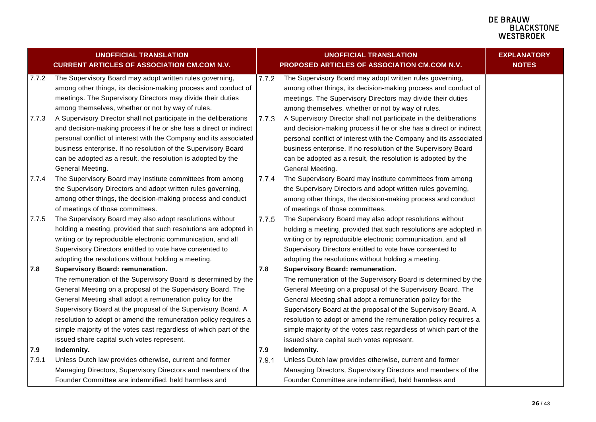<span id="page-25-1"></span><span id="page-25-0"></span>

|       | <b>UNOFFICIAL TRANSLATION</b><br><b>CURRENT ARTICLES OF ASSOCIATION CM.COM N.V.</b> |       | <b>UNOFFICIAL TRANSLATION</b><br>PROPOSED ARTICLES OF ASSOCIATION CM.COM N.V. | <b>EXPLANATORY</b><br><b>NOTES</b> |
|-------|-------------------------------------------------------------------------------------|-------|-------------------------------------------------------------------------------|------------------------------------|
| 7.7.2 | The Supervisory Board may adopt written rules governing,                            | 7.7.2 | The Supervisory Board may adopt written rules governing,                      |                                    |
|       | among other things, its decision-making process and conduct of                      |       | among other things, its decision-making process and conduct of                |                                    |
|       | meetings. The Supervisory Directors may divide their duties                         |       | meetings. The Supervisory Directors may divide their duties                   |                                    |
|       | among themselves, whether or not by way of rules.                                   |       | among themselves, whether or not by way of rules.                             |                                    |
| 7.7.3 | A Supervisory Director shall not participate in the deliberations                   | 7.7.3 | A Supervisory Director shall not participate in the deliberations             |                                    |
|       | and decision-making process if he or she has a direct or indirect                   |       | and decision-making process if he or she has a direct or indirect             |                                    |
|       | personal conflict of interest with the Company and its associated                   |       | personal conflict of interest with the Company and its associated             |                                    |
|       | business enterprise. If no resolution of the Supervisory Board                      |       | business enterprise. If no resolution of the Supervisory Board                |                                    |
|       | can be adopted as a result, the resolution is adopted by the                        |       | can be adopted as a result, the resolution is adopted by the                  |                                    |
|       | General Meeting.                                                                    |       | General Meeting.                                                              |                                    |
| 7.7.4 | The Supervisory Board may institute committees from among                           | 7.7.4 | The Supervisory Board may institute committees from among                     |                                    |
|       | the Supervisory Directors and adopt written rules governing,                        |       | the Supervisory Directors and adopt written rules governing,                  |                                    |
|       | among other things, the decision-making process and conduct                         |       | among other things, the decision-making process and conduct                   |                                    |
|       | of meetings of those committees.                                                    |       | of meetings of those committees.                                              |                                    |
| 7.7.5 | The Supervisory Board may also adopt resolutions without                            | 7.7.5 | The Supervisory Board may also adopt resolutions without                      |                                    |
|       | holding a meeting, provided that such resolutions are adopted in                    |       | holding a meeting, provided that such resolutions are adopted in              |                                    |
|       | writing or by reproducible electronic communication, and all                        |       | writing or by reproducible electronic communication, and all                  |                                    |
|       | Supervisory Directors entitled to vote have consented to                            |       | Supervisory Directors entitled to vote have consented to                      |                                    |
|       | adopting the resolutions without holding a meeting.                                 |       | adopting the resolutions without holding a meeting.                           |                                    |
| 7.8   | <b>Supervisory Board: remuneration.</b>                                             | 7.8   | <b>Supervisory Board: remuneration.</b>                                       |                                    |
|       | The remuneration of the Supervisory Board is determined by the                      |       | The remuneration of the Supervisory Board is determined by the                |                                    |
|       | General Meeting on a proposal of the Supervisory Board. The                         |       | General Meeting on a proposal of the Supervisory Board. The                   |                                    |
|       | General Meeting shall adopt a remuneration policy for the                           |       | General Meeting shall adopt a remuneration policy for the                     |                                    |
|       | Supervisory Board at the proposal of the Supervisory Board. A                       |       | Supervisory Board at the proposal of the Supervisory Board. A                 |                                    |
|       | resolution to adopt or amend the remuneration policy requires a                     |       | resolution to adopt or amend the remuneration policy requires a               |                                    |
|       | simple majority of the votes cast regardless of which part of the                   |       | simple majority of the votes cast regardless of which part of the             |                                    |
|       | issued share capital such votes represent.                                          |       | issued share capital such votes represent.                                    |                                    |
| 7.9   | Indemnity.                                                                          | 7.9   | Indemnity.                                                                    |                                    |
| 7.9.1 | Unless Dutch law provides otherwise, current and former                             | 7.9.1 | Unless Dutch law provides otherwise, current and former                       |                                    |
|       | Managing Directors, Supervisory Directors and members of the                        |       | Managing Directors, Supervisory Directors and members of the                  |                                    |
|       | Founder Committee are indemnified, held harmless and                                |       | Founder Committee are indemnified, held harmless and                          |                                    |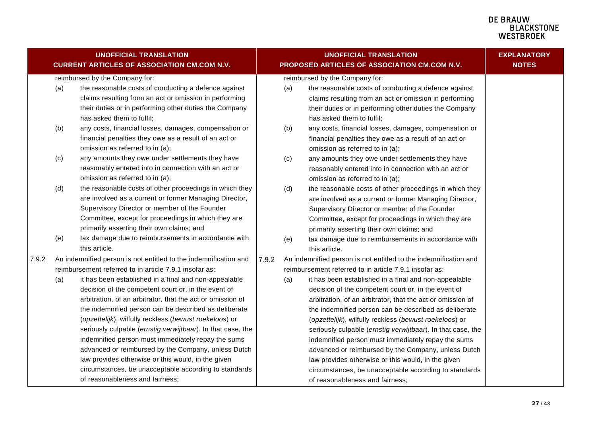<span id="page-26-1"></span><span id="page-26-0"></span>

|       |     | <b>UNOFFICIAL TRANSLATION</b><br><b>CURRENT ARTICLES OF ASSOCIATION CM.COM N.V.</b>                                                                                                                                                                                                                                                                                                                                                                                                                                                                                                                                                                                                                                                                       |       |     | <b>UNOFFICIAL TRANSLATION</b><br>PROPOSED ARTICLES OF ASSOCIATION CM.COM N.V.                                                                                                                                                                                                                                                                                                                                                                                                                                                                                                                                                                                                                                                                             | <b>EXPLANATORY</b><br><b>NOTES</b> |
|-------|-----|-----------------------------------------------------------------------------------------------------------------------------------------------------------------------------------------------------------------------------------------------------------------------------------------------------------------------------------------------------------------------------------------------------------------------------------------------------------------------------------------------------------------------------------------------------------------------------------------------------------------------------------------------------------------------------------------------------------------------------------------------------------|-------|-----|-----------------------------------------------------------------------------------------------------------------------------------------------------------------------------------------------------------------------------------------------------------------------------------------------------------------------------------------------------------------------------------------------------------------------------------------------------------------------------------------------------------------------------------------------------------------------------------------------------------------------------------------------------------------------------------------------------------------------------------------------------------|------------------------------------|
|       |     | reimbursed by the Company for:                                                                                                                                                                                                                                                                                                                                                                                                                                                                                                                                                                                                                                                                                                                            |       |     | reimbursed by the Company for:                                                                                                                                                                                                                                                                                                                                                                                                                                                                                                                                                                                                                                                                                                                            |                                    |
|       | (a) | the reasonable costs of conducting a defence against<br>claims resulting from an act or omission in performing<br>their duties or in performing other duties the Company<br>has asked them to fulfil;                                                                                                                                                                                                                                                                                                                                                                                                                                                                                                                                                     |       | (a) | the reasonable costs of conducting a defence against<br>claims resulting from an act or omission in performing<br>their duties or in performing other duties the Company<br>has asked them to fulfil;                                                                                                                                                                                                                                                                                                                                                                                                                                                                                                                                                     |                                    |
|       | (b) | any costs, financial losses, damages, compensation or<br>financial penalties they owe as a result of an act or<br>omission as referred to in (a);                                                                                                                                                                                                                                                                                                                                                                                                                                                                                                                                                                                                         |       | (b) | any costs, financial losses, damages, compensation or<br>financial penalties they owe as a result of an act or<br>omission as referred to in (a);                                                                                                                                                                                                                                                                                                                                                                                                                                                                                                                                                                                                         |                                    |
|       | (c) | any amounts they owe under settlements they have<br>reasonably entered into in connection with an act or<br>omission as referred to in (a);                                                                                                                                                                                                                                                                                                                                                                                                                                                                                                                                                                                                               |       | (c) | any amounts they owe under settlements they have<br>reasonably entered into in connection with an act or<br>omission as referred to in (a);                                                                                                                                                                                                                                                                                                                                                                                                                                                                                                                                                                                                               |                                    |
|       | (d) | the reasonable costs of other proceedings in which they<br>are involved as a current or former Managing Director,<br>Supervisory Director or member of the Founder<br>Committee, except for proceedings in which they are<br>primarily asserting their own claims; and                                                                                                                                                                                                                                                                                                                                                                                                                                                                                    |       | (d) | the reasonable costs of other proceedings in which they<br>are involved as a current or former Managing Director,<br>Supervisory Director or member of the Founder<br>Committee, except for proceedings in which they are<br>primarily asserting their own claims; and                                                                                                                                                                                                                                                                                                                                                                                                                                                                                    |                                    |
|       | (e) | tax damage due to reimbursements in accordance with<br>this article.                                                                                                                                                                                                                                                                                                                                                                                                                                                                                                                                                                                                                                                                                      |       | (e) | tax damage due to reimbursements in accordance with<br>this article.                                                                                                                                                                                                                                                                                                                                                                                                                                                                                                                                                                                                                                                                                      |                                    |
| 7.9.2 | (a) | An indemnified person is not entitled to the indemnification and<br>reimbursement referred to in article 7.9.1 insofar as:<br>it has been established in a final and non-appealable<br>decision of the competent court or, in the event of<br>arbitration, of an arbitrator, that the act or omission of<br>the indemnified person can be described as deliberate<br>(opzettelijk), wilfully reckless (bewust roekeloos) or<br>seriously culpable (ernstig verwijtbaar). In that case, the<br>indemnified person must immediately repay the sums<br>advanced or reimbursed by the Company, unless Dutch<br>law provides otherwise or this would, in the given<br>circumstances, be unacceptable according to standards<br>of reasonableness and fairness; | 7.9.2 | (a) | An indemnified person is not entitled to the indemnification and<br>reimbursement referred to in article 7.9.1 insofar as:<br>it has been established in a final and non-appealable<br>decision of the competent court or, in the event of<br>arbitration, of an arbitrator, that the act or omission of<br>the indemnified person can be described as deliberate<br>(opzettelijk), wilfully reckless (bewust roekeloos) or<br>seriously culpable (ernstig verwijtbaar). In that case, the<br>indemnified person must immediately repay the sums<br>advanced or reimbursed by the Company, unless Dutch<br>law provides otherwise or this would, in the given<br>circumstances, be unacceptable according to standards<br>of reasonableness and fairness; |                                    |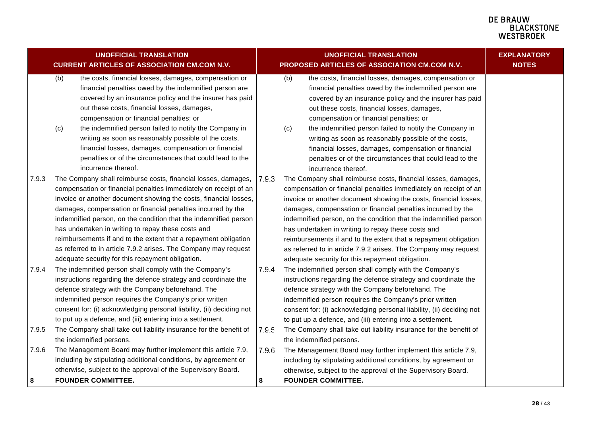<span id="page-27-0"></span>

|            | <b>UNOFFICIAL TRANSLATION</b><br><b>CURRENT ARTICLES OF ASSOCIATION CM.COM N.V.</b>                                                                                                                                                                                                                                                                                                                                                                                                                                                                                                       |                  | <b>UNOFFICIAL TRANSLATION</b><br>PROPOSED ARTICLES OF ASSOCIATION CM.COM N.V.                                                                                                                                                                                                                                                                                                                                                                                                                                                                                                             | <b>EXPLANATORY</b><br><b>NOTES</b> |
|------------|-------------------------------------------------------------------------------------------------------------------------------------------------------------------------------------------------------------------------------------------------------------------------------------------------------------------------------------------------------------------------------------------------------------------------------------------------------------------------------------------------------------------------------------------------------------------------------------------|------------------|-------------------------------------------------------------------------------------------------------------------------------------------------------------------------------------------------------------------------------------------------------------------------------------------------------------------------------------------------------------------------------------------------------------------------------------------------------------------------------------------------------------------------------------------------------------------------------------------|------------------------------------|
|            | (b)<br>the costs, financial losses, damages, compensation or<br>financial penalties owed by the indemnified person are<br>covered by an insurance policy and the insurer has paid<br>out these costs, financial losses, damages,<br>compensation or financial penalties; or<br>the indemnified person failed to notify the Company in<br>(c)<br>writing as soon as reasonably possible of the costs,<br>financial losses, damages, compensation or financial<br>penalties or of the circumstances that could lead to the<br>incurrence thereof.                                           |                  | (b)<br>the costs, financial losses, damages, compensation or<br>financial penalties owed by the indemnified person are<br>covered by an insurance policy and the insurer has paid<br>out these costs, financial losses, damages,<br>compensation or financial penalties; or<br>the indemnified person failed to notify the Company in<br>(c)<br>writing as soon as reasonably possible of the costs,<br>financial losses, damages, compensation or financial<br>penalties or of the circumstances that could lead to the<br>incurrence thereof.                                           |                                    |
| 7.9.3      | The Company shall reimburse costs, financial losses, damages,<br>compensation or financial penalties immediately on receipt of an<br>invoice or another document showing the costs, financial losses,<br>damages, compensation or financial penalties incurred by the<br>indemnified person, on the condition that the indemnified person<br>has undertaken in writing to repay these costs and<br>reimbursements if and to the extent that a repayment obligation<br>as referred to in article 7.9.2 arises. The Company may request<br>adequate security for this repayment obligation. | 7.9.3            | The Company shall reimburse costs, financial losses, damages,<br>compensation or financial penalties immediately on receipt of an<br>invoice or another document showing the costs, financial losses,<br>damages, compensation or financial penalties incurred by the<br>indemnified person, on the condition that the indemnified person<br>has undertaken in writing to repay these costs and<br>reimbursements if and to the extent that a repayment obligation<br>as referred to in article 7.9.2 arises. The Company may request<br>adequate security for this repayment obligation. |                                    |
| 7.9.4      | The indemnified person shall comply with the Company's<br>instructions regarding the defence strategy and coordinate the<br>defence strategy with the Company beforehand. The<br>indemnified person requires the Company's prior written<br>consent for: (i) acknowledging personal liability, (ii) deciding not<br>to put up a defence, and (iii) entering into a settlement.                                                                                                                                                                                                            | 7.9.4            | The indemnified person shall comply with the Company's<br>instructions regarding the defence strategy and coordinate the<br>defence strategy with the Company beforehand. The<br>indemnified person requires the Company's prior written<br>consent for: (i) acknowledging personal liability, (ii) deciding not<br>to put up a defence, and (iii) entering into a settlement.                                                                                                                                                                                                            |                                    |
| 7.9.5      | The Company shall take out liability insurance for the benefit of                                                                                                                                                                                                                                                                                                                                                                                                                                                                                                                         | 7.9.5            | The Company shall take out liability insurance for the benefit of                                                                                                                                                                                                                                                                                                                                                                                                                                                                                                                         |                                    |
| 7.9.6<br>8 | the indemnified persons.<br>The Management Board may further implement this article 7.9,<br>including by stipulating additional conditions, by agreement or<br>otherwise, subject to the approval of the Supervisory Board.<br><b>FOUNDER COMMITTEE.</b>                                                                                                                                                                                                                                                                                                                                  | 7.9.6<br>$\bf 8$ | the indemnified persons.<br>The Management Board may further implement this article 7.9,<br>including by stipulating additional conditions, by agreement or<br>otherwise, subject to the approval of the Supervisory Board.<br><b>FOUNDER COMMITTEE.</b>                                                                                                                                                                                                                                                                                                                                  |                                    |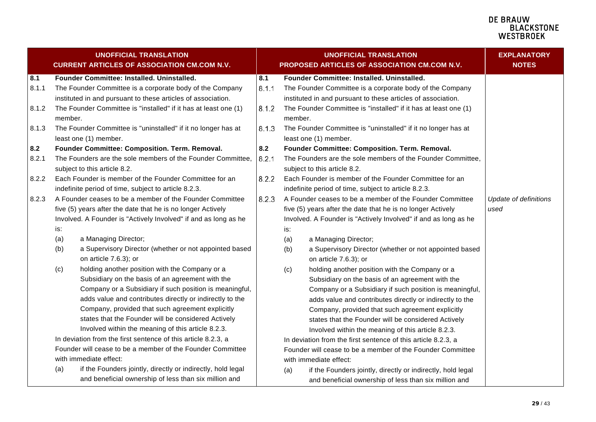<span id="page-28-1"></span><span id="page-28-0"></span>

|       |         | <b>UNOFFICIAL TRANSLATION</b><br><b>CURRENT ARTICLES OF ASSOCIATION CM.COM N.V.</b> |       | <b>UNOFFICIAL TRANSLATION</b><br>PROPOSED ARTICLES OF ASSOCIATION CM.COM N.V. | <b>EXPLANATORY</b><br><b>NOTES</b> |
|-------|---------|-------------------------------------------------------------------------------------|-------|-------------------------------------------------------------------------------|------------------------------------|
| 8.1   |         | Founder Committee: Installed. Uninstalled.                                          | 8.1   | Founder Committee: Installed. Uninstalled.                                    |                                    |
| 8.1.1 |         | The Founder Committee is a corporate body of the Company                            | 8.1.1 | The Founder Committee is a corporate body of the Company                      |                                    |
|       |         | instituted in and pursuant to these articles of association.                        |       | instituted in and pursuant to these articles of association.                  |                                    |
| 8.1.2 |         | The Founder Committee is "installed" if it has at least one (1)                     | 8.1.2 | The Founder Committee is "installed" if it has at least one (1)               |                                    |
|       | member. |                                                                                     |       | member.                                                                       |                                    |
| 8.1.3 |         | The Founder Committee is "uninstalled" if it no longer has at                       | 8.1.3 | The Founder Committee is "uninstalled" if it no longer has at                 |                                    |
|       |         | least one (1) member.                                                               |       | least one (1) member.                                                         |                                    |
| 8.2   |         | Founder Committee: Composition. Term. Removal.                                      | 8.2   | Founder Committee: Composition. Term. Removal.                                |                                    |
| 8.2.1 |         | The Founders are the sole members of the Founder Committee,                         | 8.2.1 | The Founders are the sole members of the Founder Committee,                   |                                    |
|       |         | subject to this article 8.2.                                                        |       | subject to this article 8.2.                                                  |                                    |
| 8.2.2 |         | Each Founder is member of the Founder Committee for an                              | 8.2.2 | Each Founder is member of the Founder Committee for an                        |                                    |
|       |         | indefinite period of time, subject to article 8.2.3.                                |       | indefinite period of time, subject to article 8.2.3.                          |                                    |
| 8.2.3 |         | A Founder ceases to be a member of the Founder Committee                            | 8.2.3 | A Founder ceases to be a member of the Founder Committee                      | Update of definitions              |
|       |         | five (5) years after the date that he is no longer Actively                         |       | five (5) years after the date that he is no longer Actively                   | used                               |
|       |         | Involved. A Founder is "Actively Involved" if and as long as he                     |       | Involved. A Founder is "Actively Involved" if and as long as he               |                                    |
|       | is:     |                                                                                     |       | is:                                                                           |                                    |
|       | (a)     | a Managing Director;                                                                |       | a Managing Director;<br>(a)                                                   |                                    |
|       | (b)     | a Supervisory Director (whether or not appointed based                              |       | a Supervisory Director (whether or not appointed based<br>(b)                 |                                    |
|       |         | on article 7.6.3); or                                                               |       | on article 7.6.3); or                                                         |                                    |
|       | (c)     | holding another position with the Company or a                                      |       | holding another position with the Company or a<br>(c)                         |                                    |
|       |         | Subsidiary on the basis of an agreement with the                                    |       | Subsidiary on the basis of an agreement with the                              |                                    |
|       |         | Company or a Subsidiary if such position is meaningful,                             |       | Company or a Subsidiary if such position is meaningful,                       |                                    |
|       |         | adds value and contributes directly or indirectly to the                            |       | adds value and contributes directly or indirectly to the                      |                                    |
|       |         | Company, provided that such agreement explicitly                                    |       | Company, provided that such agreement explicitly                              |                                    |
|       |         | states that the Founder will be considered Actively                                 |       | states that the Founder will be considered Actively                           |                                    |
|       |         | Involved within the meaning of this article 8.2.3.                                  |       | Involved within the meaning of this article 8.2.3.                            |                                    |
|       |         | In deviation from the first sentence of this article 8.2.3, a                       |       | In deviation from the first sentence of this article 8.2.3, a                 |                                    |
|       |         | Founder will cease to be a member of the Founder Committee                          |       | Founder will cease to be a member of the Founder Committee                    |                                    |
|       |         | with immediate effect:                                                              |       | with immediate effect:                                                        |                                    |
|       | (a)     | if the Founders jointly, directly or indirectly, hold legal                         |       | if the Founders jointly, directly or indirectly, hold legal<br>(a)            |                                    |
|       |         | and beneficial ownership of less than six million and                               |       | and beneficial ownership of less than six million and                         |                                    |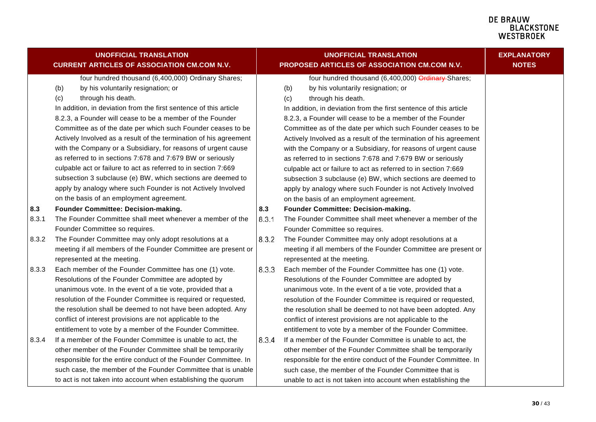<span id="page-29-1"></span><span id="page-29-0"></span>

|              | <b>UNOFFICIAL TRANSLATION</b><br><b>CURRENT ARTICLES OF ASSOCIATION CM.COM N.V.</b>                                                                                                                                                                                                                                                                                                                                                                                                                                                                                                                  |              | <b>UNOFFICIAL TRANSLATION</b><br>PROPOSED ARTICLES OF ASSOCIATION CM.COM N.V.                                                                                                                                                                                                                                                                                                                                                                                                                                                                                                                        | <b>EXPLANATORY</b><br><b>NOTES</b> |
|--------------|------------------------------------------------------------------------------------------------------------------------------------------------------------------------------------------------------------------------------------------------------------------------------------------------------------------------------------------------------------------------------------------------------------------------------------------------------------------------------------------------------------------------------------------------------------------------------------------------------|--------------|------------------------------------------------------------------------------------------------------------------------------------------------------------------------------------------------------------------------------------------------------------------------------------------------------------------------------------------------------------------------------------------------------------------------------------------------------------------------------------------------------------------------------------------------------------------------------------------------------|------------------------------------|
|              | four hundred thousand (6,400,000) Ordinary Shares;<br>by his voluntarily resignation; or<br>(b)<br>through his death.<br>(c)<br>In addition, in deviation from the first sentence of this article<br>8.2.3, a Founder will cease to be a member of the Founder<br>Committee as of the date per which such Founder ceases to be<br>Actively Involved as a result of the termination of his agreement<br>with the Company or a Subsidiary, for reasons of urgent cause<br>as referred to in sections 7:678 and 7:679 BW or seriously<br>culpable act or failure to act as referred to in section 7:669 |              | four hundred thousand (6,400,000) Ordinary Shares;<br>by his voluntarily resignation; or<br>(b)<br>through his death.<br>(c)<br>In addition, in deviation from the first sentence of this article<br>8.2.3, a Founder will cease to be a member of the Founder<br>Committee as of the date per which such Founder ceases to be<br>Actively Involved as a result of the termination of his agreement<br>with the Company or a Subsidiary, for reasons of urgent cause<br>as referred to in sections 7:678 and 7:679 BW or seriously<br>culpable act or failure to act as referred to in section 7:669 |                                    |
|              | subsection 3 subclause (e) BW, which sections are deemed to<br>apply by analogy where such Founder is not Actively Involved<br>on the basis of an employment agreement.                                                                                                                                                                                                                                                                                                                                                                                                                              |              | subsection 3 subclause (e) BW, which sections are deemed to<br>apply by analogy where such Founder is not Actively Involved<br>on the basis of an employment agreement.                                                                                                                                                                                                                                                                                                                                                                                                                              |                                    |
| 8.3<br>8.3.1 | Founder Committee: Decision-making.<br>The Founder Committee shall meet whenever a member of the<br>Founder Committee so requires.                                                                                                                                                                                                                                                                                                                                                                                                                                                                   | 8.3<br>8.3.1 | Founder Committee: Decision-making.<br>The Founder Committee shall meet whenever a member of the<br>Founder Committee so requires.                                                                                                                                                                                                                                                                                                                                                                                                                                                                   |                                    |
| 8.3.2        | The Founder Committee may only adopt resolutions at a<br>meeting if all members of the Founder Committee are present or<br>represented at the meeting.                                                                                                                                                                                                                                                                                                                                                                                                                                               | 8.3.2        | The Founder Committee may only adopt resolutions at a<br>meeting if all members of the Founder Committee are present or<br>represented at the meeting.                                                                                                                                                                                                                                                                                                                                                                                                                                               |                                    |
| 8.3.3        | Each member of the Founder Committee has one (1) vote.<br>Resolutions of the Founder Committee are adopted by<br>unanimous vote. In the event of a tie vote, provided that a<br>resolution of the Founder Committee is required or requested,<br>the resolution shall be deemed to not have been adopted. Any<br>conflict of interest provisions are not applicable to the<br>entitlement to vote by a member of the Founder Committee.                                                                                                                                                              | 8.3.3        | Each member of the Founder Committee has one (1) vote.<br>Resolutions of the Founder Committee are adopted by<br>unanimous vote. In the event of a tie vote, provided that a<br>resolution of the Founder Committee is required or requested,<br>the resolution shall be deemed to not have been adopted. Any<br>conflict of interest provisions are not applicable to the<br>entitlement to vote by a member of the Founder Committee.                                                                                                                                                              |                                    |
| 8.3.4        | If a member of the Founder Committee is unable to act, the<br>other member of the Founder Committee shall be temporarily<br>responsible for the entire conduct of the Founder Committee. In<br>such case, the member of the Founder Committee that is unable<br>to act is not taken into account when establishing the quorum                                                                                                                                                                                                                                                                        | 8.3.4        | If a member of the Founder Committee is unable to act, the<br>other member of the Founder Committee shall be temporarily<br>responsible for the entire conduct of the Founder Committee. In<br>such case, the member of the Founder Committee that is<br>unable to act is not taken into account when establishing the                                                                                                                                                                                                                                                                               |                                    |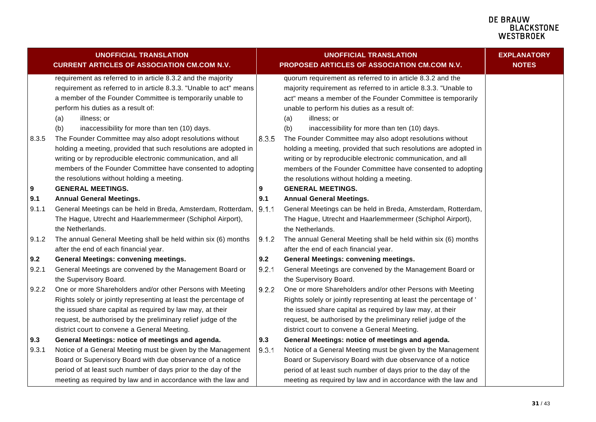<span id="page-30-0"></span>

|       | <b>UNOFFICIAL TRANSLATION</b><br><b>CURRENT ARTICLES OF ASSOCIATION CM.COM N.V.</b>                                                                                                                                                                                                                                 |       | <b>UNOFFICIAL TRANSLATION</b><br>PROPOSED ARTICLES OF ASSOCIATION CM.COM N.V.                                                                                                                                                                                                                                              | <b>EXPLANATORY</b><br><b>NOTES</b> |
|-------|---------------------------------------------------------------------------------------------------------------------------------------------------------------------------------------------------------------------------------------------------------------------------------------------------------------------|-------|----------------------------------------------------------------------------------------------------------------------------------------------------------------------------------------------------------------------------------------------------------------------------------------------------------------------------|------------------------------------|
|       | requirement as referred to in article 8.3.2 and the majority<br>requirement as referred to in article 8.3.3. "Unable to act" means<br>a member of the Founder Committee is temporarily unable to<br>perform his duties as a result of:<br>illness; or<br>(a)<br>inaccessibility for more than ten (10) days.<br>(b) |       | quorum requirement as referred to in article 8.3.2 and the<br>majority requirement as referred to in article 8.3.3. "Unable to<br>act" means a member of the Founder Committee is temporarily<br>unable to perform his duties as a result of:<br>illness; or<br>(a)<br>(b)<br>inaccessibility for more than ten (10) days. |                                    |
| 8.3.5 | The Founder Committee may also adopt resolutions without<br>holding a meeting, provided that such resolutions are adopted in<br>writing or by reproducible electronic communication, and all<br>members of the Founder Committee have consented to adopting<br>the resolutions without holding a meeting.           | 8.3.5 | The Founder Committee may also adopt resolutions without<br>holding a meeting, provided that such resolutions are adopted in<br>writing or by reproducible electronic communication, and all<br>members of the Founder Committee have consented to adopting<br>the resolutions without holding a meeting.                  |                                    |
| 9     | <b>GENERAL MEETINGS.</b>                                                                                                                                                                                                                                                                                            | 9     | <b>GENERAL MEETINGS.</b>                                                                                                                                                                                                                                                                                                   |                                    |
| 9.1   | <b>Annual General Meetings.</b>                                                                                                                                                                                                                                                                                     | 9.1   | <b>Annual General Meetings.</b>                                                                                                                                                                                                                                                                                            |                                    |
| 9.1.1 | General Meetings can be held in Breda, Amsterdam, Rotterdam,<br>The Hague, Utrecht and Haarlemmermeer (Schiphol Airport),<br>the Netherlands.                                                                                                                                                                       | 9.1.1 | General Meetings can be held in Breda, Amsterdam, Rotterdam,<br>The Hague, Utrecht and Haarlemmermeer (Schiphol Airport),<br>the Netherlands.                                                                                                                                                                              |                                    |
| 9.1.2 | The annual General Meeting shall be held within six (6) months<br>after the end of each financial year.                                                                                                                                                                                                             | 9.1.2 | The annual General Meeting shall be held within six (6) months<br>after the end of each financial year.                                                                                                                                                                                                                    |                                    |
| 9.2   | <b>General Meetings: convening meetings.</b>                                                                                                                                                                                                                                                                        | 9.2   | <b>General Meetings: convening meetings.</b>                                                                                                                                                                                                                                                                               |                                    |
| 9.2.1 | General Meetings are convened by the Management Board or<br>the Supervisory Board.                                                                                                                                                                                                                                  | 9.2.1 | General Meetings are convened by the Management Board or<br>the Supervisory Board.                                                                                                                                                                                                                                         |                                    |
| 9.2.2 | One or more Shareholders and/or other Persons with Meeting<br>Rights solely or jointly representing at least the percentage of<br>the issued share capital as required by law may, at their<br>request, be authorised by the preliminary relief judge of the<br>district court to convene a General Meeting.        | 9.2.2 | One or more Shareholders and/or other Persons with Meeting<br>Rights solely or jointly representing at least the percentage of '<br>the issued share capital as required by law may, at their<br>request, be authorised by the preliminary relief judge of the<br>district court to convene a General Meeting.             |                                    |
| 9.3   | General Meetings: notice of meetings and agenda.                                                                                                                                                                                                                                                                    | 9.3   | General Meetings: notice of meetings and agenda.                                                                                                                                                                                                                                                                           |                                    |
| 9.3.1 | Notice of a General Meeting must be given by the Management<br>Board or Supervisory Board with due observance of a notice<br>period of at least such number of days prior to the day of the                                                                                                                         | 9.3.1 | Notice of a General Meeting must be given by the Management<br>Board or Supervisory Board with due observance of a notice<br>period of at least such number of days prior to the day of the                                                                                                                                |                                    |
|       | meeting as required by law and in accordance with the law and                                                                                                                                                                                                                                                       |       | meeting as required by law and in accordance with the law and                                                                                                                                                                                                                                                              |                                    |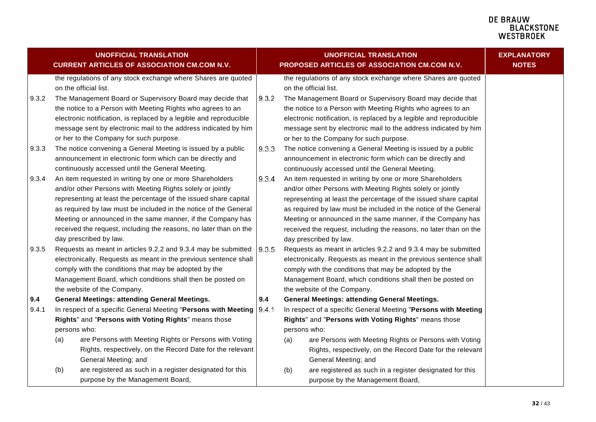<span id="page-31-1"></span><span id="page-31-0"></span>

|       | <b>UNOFFICIAL TRANSLATION</b><br><b>CURRENT ARTICLES OF ASSOCIATION CM.COM N.V.</b>    |       | <b>UNOFFICIAL TRANSLATION</b><br>PROPOSED ARTICLES OF ASSOCIATION CM.COM N.V.          | <b>EXPLANATORY</b><br><b>NOTES</b> |
|-------|----------------------------------------------------------------------------------------|-------|----------------------------------------------------------------------------------------|------------------------------------|
|       | the regulations of any stock exchange where Shares are quoted<br>on the official list. |       | the regulations of any stock exchange where Shares are quoted<br>on the official list. |                                    |
| 9.3.2 | The Management Board or Supervisory Board may decide that                              | 9.3.2 | The Management Board or Supervisory Board may decide that                              |                                    |
|       | the notice to a Person with Meeting Rights who agrees to an                            |       | the notice to a Person with Meeting Rights who agrees to an                            |                                    |
|       | electronic notification, is replaced by a legible and reproducible                     |       | electronic notification, is replaced by a legible and reproducible                     |                                    |
|       | message sent by electronic mail to the address indicated by him                        |       | message sent by electronic mail to the address indicated by him                        |                                    |
|       | or her to the Company for such purpose.                                                |       | or her to the Company for such purpose.                                                |                                    |
| 9.3.3 | The notice convening a General Meeting is issued by a public                           | 9.3.3 | The notice convening a General Meeting is issued by a public                           |                                    |
|       | announcement in electronic form which can be directly and                              |       | announcement in electronic form which can be directly and                              |                                    |
|       | continuously accessed until the General Meeting.                                       |       | continuously accessed until the General Meeting.                                       |                                    |
| 9.3.4 | An item requested in writing by one or more Shareholders                               | 9.3.4 | An item requested in writing by one or more Shareholders                               |                                    |
|       | and/or other Persons with Meeting Rights solely or jointly                             |       | and/or other Persons with Meeting Rights solely or jointly                             |                                    |
|       | representing at least the percentage of the issued share capital                       |       | representing at least the percentage of the issued share capital                       |                                    |
|       | as required by law must be included in the notice of the General                       |       | as required by law must be included in the notice of the General                       |                                    |
|       | Meeting or announced in the same manner, if the Company has                            |       | Meeting or announced in the same manner, if the Company has                            |                                    |
|       | received the request, including the reasons, no later than on the                      |       | received the request, including the reasons, no later than on the                      |                                    |
|       | day prescribed by law.                                                                 |       | day prescribed by law.                                                                 |                                    |
| 9.3.5 | Requests as meant in articles 9.2.2 and 9.3.4 may be submitted                         | 9.3.5 | Requests as meant in articles 9.2.2 and 9.3.4 may be submitted                         |                                    |
|       | electronically. Requests as meant in the previous sentence shall                       |       | electronically. Requests as meant in the previous sentence shall                       |                                    |
|       | comply with the conditions that may be adopted by the                                  |       | comply with the conditions that may be adopted by the                                  |                                    |
|       | Management Board, which conditions shall then be posted on                             |       | Management Board, which conditions shall then be posted on                             |                                    |
|       | the website of the Company.                                                            |       | the website of the Company.                                                            |                                    |
| 9.4   | <b>General Meetings: attending General Meetings.</b>                                   | 9.4   | <b>General Meetings: attending General Meetings.</b>                                   |                                    |
| 9.4.1 | In respect of a specific General Meeting "Persons with Meeting                         | 9.4.1 | In respect of a specific General Meeting "Persons with Meeting                         |                                    |
|       | Rights" and "Persons with Voting Rights" means those                                   |       | Rights" and "Persons with Voting Rights" means those                                   |                                    |
|       | persons who:                                                                           |       | persons who:                                                                           |                                    |
|       | are Persons with Meeting Rights or Persons with Voting<br>(a)                          |       | are Persons with Meeting Rights or Persons with Voting<br>(a)                          |                                    |
|       | Rights, respectively, on the Record Date for the relevant                              |       | Rights, respectively, on the Record Date for the relevant                              |                                    |
|       | General Meeting; and                                                                   |       | General Meeting; and                                                                   |                                    |
|       | (b)<br>are registered as such in a register designated for this                        |       | are registered as such in a register designated for this<br>(b)                        |                                    |
|       | purpose by the Management Board,                                                       |       | purpose by the Management Board,                                                       |                                    |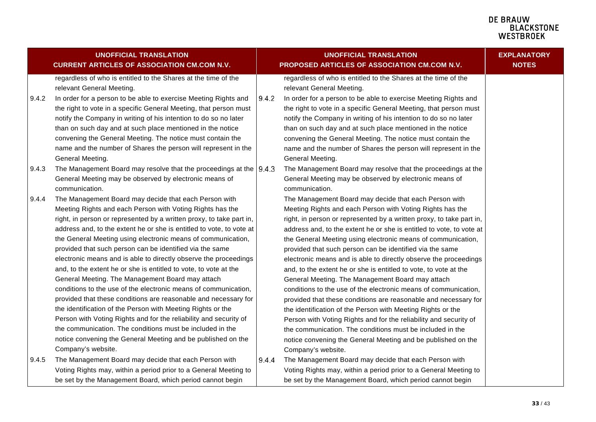<span id="page-32-0"></span>

|       | <b>UNOFFICIAL TRANSLATION</b><br><b>CURRENT ARTICLES OF ASSOCIATION CM.COM N.V.</b>         |       | <b>UNOFFICIAL TRANSLATION</b><br>PROPOSED ARTICLES OF ASSOCIATION CM.COM N.V.               | <b>EXPLANATORY</b><br><b>NOTES</b> |
|-------|---------------------------------------------------------------------------------------------|-------|---------------------------------------------------------------------------------------------|------------------------------------|
|       | regardless of who is entitled to the Shares at the time of the<br>relevant General Meeting. |       | regardless of who is entitled to the Shares at the time of the<br>relevant General Meeting. |                                    |
| 9.4.2 | In order for a person to be able to exercise Meeting Rights and                             | 9.4.2 | In order for a person to be able to exercise Meeting Rights and                             |                                    |
|       | the right to vote in a specific General Meeting, that person must                           |       | the right to vote in a specific General Meeting, that person must                           |                                    |
|       | notify the Company in writing of his intention to do so no later                            |       | notify the Company in writing of his intention to do so no later                            |                                    |
|       | than on such day and at such place mentioned in the notice                                  |       | than on such day and at such place mentioned in the notice                                  |                                    |
|       | convening the General Meeting. The notice must contain the                                  |       | convening the General Meeting. The notice must contain the                                  |                                    |
|       | name and the number of Shares the person will represent in the                              |       | name and the number of Shares the person will represent in the                              |                                    |
|       | General Meeting.                                                                            |       | General Meeting.                                                                            |                                    |
| 9.4.3 | The Management Board may resolve that the proceedings at the $ 9.4.3\rangle$                |       | The Management Board may resolve that the proceedings at the                                |                                    |
|       | General Meeting may be observed by electronic means of                                      |       | General Meeting may be observed by electronic means of                                      |                                    |
|       | communication.                                                                              |       | communication.                                                                              |                                    |
| 9.4.4 | The Management Board may decide that each Person with                                       |       | The Management Board may decide that each Person with                                       |                                    |
|       | Meeting Rights and each Person with Voting Rights has the                                   |       | Meeting Rights and each Person with Voting Rights has the                                   |                                    |
|       | right, in person or represented by a written proxy, to take part in,                        |       | right, in person or represented by a written proxy, to take part in,                        |                                    |
|       | address and, to the extent he or she is entitled to vote, to vote at                        |       | address and, to the extent he or she is entitled to vote, to vote at                        |                                    |
|       | the General Meeting using electronic means of communication,                                |       | the General Meeting using electronic means of communication,                                |                                    |
|       | provided that such person can be identified via the same                                    |       | provided that such person can be identified via the same                                    |                                    |
|       | electronic means and is able to directly observe the proceedings                            |       | electronic means and is able to directly observe the proceedings                            |                                    |
|       | and, to the extent he or she is entitled to vote, to vote at the                            |       | and, to the extent he or she is entitled to vote, to vote at the                            |                                    |
|       | General Meeting. The Management Board may attach                                            |       | General Meeting. The Management Board may attach                                            |                                    |
|       | conditions to the use of the electronic means of communication,                             |       | conditions to the use of the electronic means of communication,                             |                                    |
|       | provided that these conditions are reasonable and necessary for                             |       | provided that these conditions are reasonable and necessary for                             |                                    |
|       | the identification of the Person with Meeting Rights or the                                 |       | the identification of the Person with Meeting Rights or the                                 |                                    |
|       | Person with Voting Rights and for the reliability and security of                           |       | Person with Voting Rights and for the reliability and security of                           |                                    |
|       | the communication. The conditions must be included in the                                   |       | the communication. The conditions must be included in the                                   |                                    |
|       | notice convening the General Meeting and be published on the                                |       | notice convening the General Meeting and be published on the                                |                                    |
|       | Company's website.                                                                          |       | Company's website.                                                                          |                                    |
| 9.4.5 | The Management Board may decide that each Person with                                       | 9.4.4 | The Management Board may decide that each Person with                                       |                                    |
|       | Voting Rights may, within a period prior to a General Meeting to                            |       | Voting Rights may, within a period prior to a General Meeting to                            |                                    |
|       | be set by the Management Board, which period cannot begin                                   |       | be set by the Management Board, which period cannot begin                                   |                                    |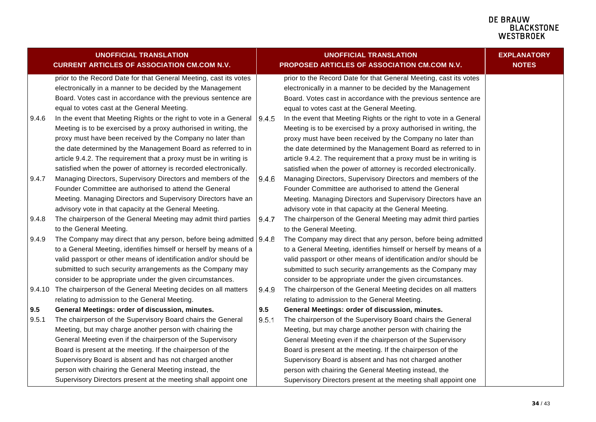#### **DE BRAUW BLACKSTONE** WESTBROEK

|        | <b>UNOFFICIAL TRANSLATION</b>                                       |       | <b>UNOFFICIAL TRANSLATION</b>                                      | <b>EXPLANATORY</b> |
|--------|---------------------------------------------------------------------|-------|--------------------------------------------------------------------|--------------------|
|        | <b>CURRENT ARTICLES OF ASSOCIATION CM.COM N.V.</b>                  |       | PROPOSED ARTICLES OF ASSOCIATION CM.COM N.V.                       | <b>NOTES</b>       |
|        | prior to the Record Date for that General Meeting, cast its votes   |       | prior to the Record Date for that General Meeting, cast its votes  |                    |
|        | electronically in a manner to be decided by the Management          |       | electronically in a manner to be decided by the Management         |                    |
|        | Board. Votes cast in accordance with the previous sentence are      |       | Board. Votes cast in accordance with the previous sentence are     |                    |
|        | equal to votes cast at the General Meeting.                         |       | equal to votes cast at the General Meeting.                        |                    |
| 9.4.6  | In the event that Meeting Rights or the right to vote in a General  | 9.4.5 | In the event that Meeting Rights or the right to vote in a General |                    |
|        | Meeting is to be exercised by a proxy authorised in writing, the    |       | Meeting is to be exercised by a proxy authorised in writing, the   |                    |
|        | proxy must have been received by the Company no later than          |       | proxy must have been received by the Company no later than         |                    |
|        | the date determined by the Management Board as referred to in       |       | the date determined by the Management Board as referred to in      |                    |
|        | article 9.4.2. The requirement that a proxy must be in writing is   |       | article 9.4.2. The requirement that a proxy must be in writing is  |                    |
|        | satisfied when the power of attorney is recorded electronically.    |       | satisfied when the power of attorney is recorded electronically.   |                    |
| 9.4.7  | Managing Directors, Supervisory Directors and members of the        | 9.4.6 | Managing Directors, Supervisory Directors and members of the       |                    |
|        | Founder Committee are authorised to attend the General              |       | Founder Committee are authorised to attend the General             |                    |
|        | Meeting. Managing Directors and Supervisory Directors have an       |       | Meeting. Managing Directors and Supervisory Directors have an      |                    |
|        | advisory vote in that capacity at the General Meeting.              |       | advisory vote in that capacity at the General Meeting.             |                    |
| 9.4.8  | The chairperson of the General Meeting may admit third parties      | 9.4.7 | The chairperson of the General Meeting may admit third parties     |                    |
|        | to the General Meeting.                                             |       | to the General Meeting.                                            |                    |
| 9.4.9  | The Company may direct that any person, before being admitted 9.4.8 |       | The Company may direct that any person, before being admitted      |                    |
|        | to a General Meeting, identifies himself or herself by means of a   |       | to a General Meeting, identifies himself or herself by means of a  |                    |
|        | valid passport or other means of identification and/or should be    |       | valid passport or other means of identification and/or should be   |                    |
|        | submitted to such security arrangements as the Company may          |       | submitted to such security arrangements as the Company may         |                    |
|        | consider to be appropriate under the given circumstances.           |       | consider to be appropriate under the given circumstances.          |                    |
| 9.4.10 | The chairperson of the General Meeting decides on all matters       | 9.4.9 | The chairperson of the General Meeting decides on all matters      |                    |
|        | relating to admission to the General Meeting.                       |       | relating to admission to the General Meeting.                      |                    |
| 9.5    | General Meetings: order of discussion, minutes.                     | 9.5   | General Meetings: order of discussion, minutes.                    |                    |
| 9.5.1  | The chairperson of the Supervisory Board chairs the General         | 9.5.1 | The chairperson of the Supervisory Board chairs the General        |                    |
|        | Meeting, but may charge another person with chairing the            |       | Meeting, but may charge another person with chairing the           |                    |
|        | General Meeting even if the chairperson of the Supervisory          |       | General Meeting even if the chairperson of the Supervisory         |                    |
|        | Board is present at the meeting. If the chairperson of the          |       | Board is present at the meeting. If the chairperson of the         |                    |
|        | Supervisory Board is absent and has not charged another             |       | Supervisory Board is absent and has not charged another            |                    |
|        | person with chairing the General Meeting instead, the               |       | person with chairing the General Meeting instead, the              |                    |
|        | Supervisory Directors present at the meeting shall appoint one      |       | Supervisory Directors present at the meeting shall appoint one     |                    |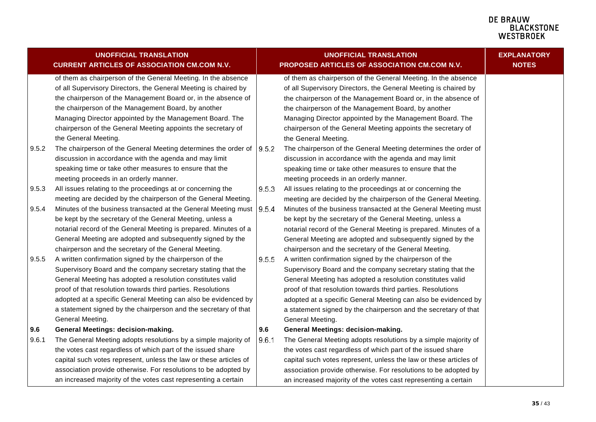#### **DE BRAUW E BIACWOONE**<br>BLACKSTONE<br>WESTBROEK

|       | <b>UNOFFICIAL TRANSLATION</b>                                     |       | <b>UNOFFICIAL TRANSLATION</b>                                     | <b>EXPLANATORY</b> |
|-------|-------------------------------------------------------------------|-------|-------------------------------------------------------------------|--------------------|
|       | <b>CURRENT ARTICLES OF ASSOCIATION CM.COM N.V.</b>                |       | PROPOSED ARTICLES OF ASSOCIATION CM.COM N.V.                      | <b>NOTES</b>       |
|       | of them as chairperson of the General Meeting. In the absence     |       | of them as chairperson of the General Meeting. In the absence     |                    |
|       | of all Supervisory Directors, the General Meeting is chaired by   |       | of all Supervisory Directors, the General Meeting is chaired by   |                    |
|       | the chairperson of the Management Board or, in the absence of     |       | the chairperson of the Management Board or, in the absence of     |                    |
|       | the chairperson of the Management Board, by another               |       | the chairperson of the Management Board, by another               |                    |
|       | Managing Director appointed by the Management Board. The          |       | Managing Director appointed by the Management Board. The          |                    |
|       | chairperson of the General Meeting appoints the secretary of      |       | chairperson of the General Meeting appoints the secretary of      |                    |
|       | the General Meeting.                                              |       | the General Meeting.                                              |                    |
| 9.5.2 | The chairperson of the General Meeting determines the order of    | 9.5.2 | The chairperson of the General Meeting determines the order of    |                    |
|       | discussion in accordance with the agenda and may limit            |       | discussion in accordance with the agenda and may limit            |                    |
|       | speaking time or take other measures to ensure that the           |       | speaking time or take other measures to ensure that the           |                    |
|       | meeting proceeds in an orderly manner.                            |       | meeting proceeds in an orderly manner.                            |                    |
| 9.5.3 | All issues relating to the proceedings at or concerning the       | 9.5.3 | All issues relating to the proceedings at or concerning the       |                    |
|       | meeting are decided by the chairperson of the General Meeting.    |       | meeting are decided by the chairperson of the General Meeting.    |                    |
| 9.5.4 | Minutes of the business transacted at the General Meeting must    | 9.5.4 | Minutes of the business transacted at the General Meeting must    |                    |
|       | be kept by the secretary of the General Meeting, unless a         |       | be kept by the secretary of the General Meeting, unless a         |                    |
|       | notarial record of the General Meeting is prepared. Minutes of a  |       | notarial record of the General Meeting is prepared. Minutes of a  |                    |
|       | General Meeting are adopted and subsequently signed by the        |       | General Meeting are adopted and subsequently signed by the        |                    |
|       | chairperson and the secretary of the General Meeting.             |       | chairperson and the secretary of the General Meeting.             |                    |
| 9.5.5 | A written confirmation signed by the chairperson of the           | 9.5.5 | A written confirmation signed by the chairperson of the           |                    |
|       | Supervisory Board and the company secretary stating that the      |       | Supervisory Board and the company secretary stating that the      |                    |
|       | General Meeting has adopted a resolution constitutes valid        |       | General Meeting has adopted a resolution constitutes valid        |                    |
|       | proof of that resolution towards third parties. Resolutions       |       | proof of that resolution towards third parties. Resolutions       |                    |
|       | adopted at a specific General Meeting can also be evidenced by    |       | adopted at a specific General Meeting can also be evidenced by    |                    |
|       | a statement signed by the chairperson and the secretary of that   |       | a statement signed by the chairperson and the secretary of that   |                    |
|       | General Meeting.                                                  |       | General Meeting.                                                  |                    |
| 9.6   | <b>General Meetings: decision-making.</b>                         | 9.6   | General Meetings: decision-making.                                |                    |
| 9.6.1 | The General Meeting adopts resolutions by a simple majority of    | 9.6.1 | The General Meeting adopts resolutions by a simple majority of    |                    |
|       | the votes cast regardless of which part of the issued share       |       | the votes cast regardless of which part of the issued share       |                    |
|       | capital such votes represent, unless the law or these articles of |       | capital such votes represent, unless the law or these articles of |                    |
|       | association provide otherwise. For resolutions to be adopted by   |       | association provide otherwise. For resolutions to be adopted by   |                    |
|       | an increased majority of the votes cast representing a certain    |       | an increased majority of the votes cast representing a certain    |                    |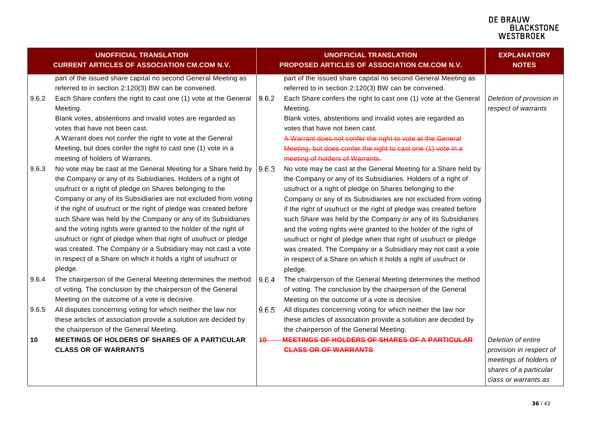|       | <b>UNOFFICIAL TRANSLATION</b><br><b>CURRENT ARTICLES OF ASSOCIATION CM.COM N.V.</b>                                                                                                                                                                                                                                                                                                                                                                                                                                                                                                                                                                                              |       | <b>UNOFFICIAL TRANSLATION</b><br>PROPOSED ARTICLES OF ASSOCIATION CM.COM N.V.                                                                                                                                                                                                                                                                                                                                                                                                                                                                                                                                                                                                    | <b>EXPLANATORY</b><br><b>NOTES</b>                                                                                        |
|-------|----------------------------------------------------------------------------------------------------------------------------------------------------------------------------------------------------------------------------------------------------------------------------------------------------------------------------------------------------------------------------------------------------------------------------------------------------------------------------------------------------------------------------------------------------------------------------------------------------------------------------------------------------------------------------------|-------|----------------------------------------------------------------------------------------------------------------------------------------------------------------------------------------------------------------------------------------------------------------------------------------------------------------------------------------------------------------------------------------------------------------------------------------------------------------------------------------------------------------------------------------------------------------------------------------------------------------------------------------------------------------------------------|---------------------------------------------------------------------------------------------------------------------------|
| 9.6.2 | part of the issued share capital no second General Meeting as<br>referred to in section 2:120(3) BW can be convened.<br>Each Share confers the right to cast one (1) vote at the General<br>Meeting.<br>Blank votes, abstentions and invalid votes are regarded as                                                                                                                                                                                                                                                                                                                                                                                                               | 9.6.2 | part of the issued share capital no second General Meeting as<br>referred to in section 2:120(3) BW can be convened.<br>Each Share confers the right to cast one (1) vote at the General<br>Meeting.<br>Blank votes, abstentions and invalid votes are regarded as                                                                                                                                                                                                                                                                                                                                                                                                               | Deletion of provision in<br>respect of warrants                                                                           |
|       | votes that have not been cast.<br>A Warrant does not confer the right to vote at the General<br>Meeting, but does confer the right to cast one (1) vote in a<br>meeting of holders of Warrants.                                                                                                                                                                                                                                                                                                                                                                                                                                                                                  |       | votes that have not been cast.<br>A Warrant does not confer the right to vote at the General<br>Meeting, but does confer the right to cast one (1) vote in a<br>meeting of holders of Warrants.                                                                                                                                                                                                                                                                                                                                                                                                                                                                                  |                                                                                                                           |
| 9.6.3 | No vote may be cast at the General Meeting for a Share held by<br>the Company or any of its Subsidiaries. Holders of a right of<br>usufruct or a right of pledge on Shares belonging to the<br>Company or any of its Subsidiaries are not excluded from voting<br>if the right of usufruct or the right of pledge was created before<br>such Share was held by the Company or any of its Subsidiaries<br>and the voting rights were granted to the holder of the right of<br>usufruct or right of pledge when that right of usufruct or pledge<br>was created. The Company or a Subsidiary may not cast a vote<br>in respect of a Share on which it holds a right of usufruct or | 9.6.3 | No vote may be cast at the General Meeting for a Share held by<br>the Company or any of its Subsidiaries. Holders of a right of<br>usufruct or a right of pledge on Shares belonging to the<br>Company or any of its Subsidiaries are not excluded from voting<br>if the right of usufruct or the right of pledge was created before<br>such Share was held by the Company or any of its Subsidiaries<br>and the voting rights were granted to the holder of the right of<br>usufruct or right of pledge when that right of usufruct or pledge<br>was created. The Company or a Subsidiary may not cast a vote<br>in respect of a Share on which it holds a right of usufruct or |                                                                                                                           |
| 9.6.4 | pledge.<br>The chairperson of the General Meeting determines the method<br>of voting. The conclusion by the chairperson of the General<br>Meeting on the outcome of a vote is decisive.                                                                                                                                                                                                                                                                                                                                                                                                                                                                                          | 9.6.4 | pledge.<br>The chairperson of the General Meeting determines the method<br>of voting. The conclusion by the chairperson of the General<br>Meeting on the outcome of a vote is decisive.                                                                                                                                                                                                                                                                                                                                                                                                                                                                                          |                                                                                                                           |
| 9.6.5 | All disputes concerning voting for which neither the law nor<br>these articles of association provide a solution are decided by<br>the chairperson of the General Meeting.                                                                                                                                                                                                                                                                                                                                                                                                                                                                                                       | 9.6.5 | All disputes concerning voting for which neither the law nor<br>these articles of association provide a solution are decided by<br>the chairperson of the General Meeting.                                                                                                                                                                                                                                                                                                                                                                                                                                                                                                       |                                                                                                                           |
| 10    | MEETINGS OF HOLDERS OF SHARES OF A PARTICULAR<br><b>CLASS OR OF WARRANTS</b>                                                                                                                                                                                                                                                                                                                                                                                                                                                                                                                                                                                                     | 10    | MEETINGS OF HOLDERS OF SHARES OF A PARTICULAR<br><b>CLASS OR OF WARRANTS</b>                                                                                                                                                                                                                                                                                                                                                                                                                                                                                                                                                                                                     | Deletion of entire<br>provision in respect of<br>meetings of holders of<br>shares of a particular<br>class or warrants as |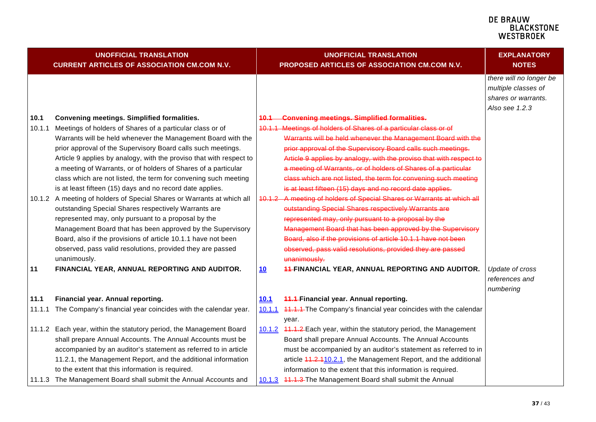<span id="page-36-0"></span>

|        | <b>UNOFFICIAL TRANSLATION</b><br><b>CURRENT ARTICLES OF ASSOCIATION CM.COM N.V.</b>                               |             | <b>UNOFFICIAL TRANSLATION</b><br>PROPOSED ARTICLES OF ASSOCIATION CM.COM N.V. | <b>EXPLANATORY</b><br><b>NOTES</b>                                                      |
|--------|-------------------------------------------------------------------------------------------------------------------|-------------|-------------------------------------------------------------------------------|-----------------------------------------------------------------------------------------|
|        |                                                                                                                   |             |                                                                               | there will no longer be<br>multiple classes of<br>shares or warrants.<br>Also see 1.2.3 |
| 10.1   | Convening meetings. Simplified formalities.                                                                       | 40.4        | <b>Convening meetings. Simplified formalities.</b>                            |                                                                                         |
| 10.1.1 | Meetings of holders of Shares of a particular class or of                                                         |             | 10.1.1 Meetings of holders of Shares of a particular class or of              |                                                                                         |
|        | Warrants will be held whenever the Management Board with the                                                      |             | Warrants will be held whenever the Management Board with the                  |                                                                                         |
|        | prior approval of the Supervisory Board calls such meetings.                                                      |             | prior approval of the Supervisory Board calls such meetings.                  |                                                                                         |
|        | Article 9 applies by analogy, with the proviso that with respect to                                               |             | Article 9 applies by analogy, with the proviso that with respect to           |                                                                                         |
|        | a meeting of Warrants, or of holders of Shares of a particular                                                    |             | a meeting of Warrants, or of holders of Shares of a particular                |                                                                                         |
|        | class which are not listed, the term for convening such meeting                                                   |             | class which are not listed, the term for convening such meeting               |                                                                                         |
|        | is at least fifteen (15) days and no record date applies.                                                         |             | is at least fifteen (15) days and no record date applies.                     |                                                                                         |
|        | 10.1.2 A meeting of holders of Special Shares or Warrants at which all                                            |             | 10.1.2 A meeting of holders of Special Shares or Warrants at which all        |                                                                                         |
|        | outstanding Special Shares respectively Warrants are                                                              |             | outstanding Special Shares respectively Warrants are                          |                                                                                         |
|        | represented may, only pursuant to a proposal by the                                                               |             | represented may, only pursuant to a proposal by the                           |                                                                                         |
|        | Management Board that has been approved by the Supervisory                                                        |             | Management Board that has been approved by the Supervisory                    |                                                                                         |
|        | Board, also if the provisions of article 10.1.1 have not been                                                     |             | Board, also if the provisions of article 10.1.1 have not been                 |                                                                                         |
|        | observed, pass valid resolutions, provided they are passed                                                        |             | observed, pass valid resolutions, provided they are passed                    |                                                                                         |
|        | unanimously.                                                                                                      |             | unanimously.                                                                  |                                                                                         |
| 11     | FINANCIAL YEAR, ANNUAL REPORTING AND AUDITOR.                                                                     | <u>10</u>   | <b>44-FINANCIAL YEAR, ANNUAL REPORTING AND AUDITOR.</b>                       | Update of cross                                                                         |
|        |                                                                                                                   |             |                                                                               | references and                                                                          |
|        |                                                                                                                   |             |                                                                               | numbering                                                                               |
| 11.1   | Financial year. Annual reporting.                                                                                 | <u>10.1</u> | <b>44.4-Financial year. Annual reporting.</b>                                 |                                                                                         |
| 11.1.1 | The Company's financial year coincides with the calendar year.                                                    |             | 10.1.1 44.4.4-The Company's financial year coincides with the calendar        |                                                                                         |
|        |                                                                                                                   |             | year.                                                                         |                                                                                         |
|        | 11.1.2 Each year, within the statutory period, the Management Board                                               |             | 10.1.2 44.4.2 Each year, within the statutory period, the Management          |                                                                                         |
|        | shall prepare Annual Accounts. The Annual Accounts must be                                                        |             | Board shall prepare Annual Accounts. The Annual Accounts                      |                                                                                         |
|        | accompanied by an auditor's statement as referred to in article                                                   |             | must be accompanied by an auditor's statement as referred to in               |                                                                                         |
|        | 11.2.1, the Management Report, and the additional information<br>to the extent that this information is required. |             | article 41.2.110.2.1, the Management Report, and the additional               |                                                                                         |
|        |                                                                                                                   |             | information to the extent that this information is required.                  |                                                                                         |
|        | 11.1.3 The Management Board shall submit the Annual Accounts and                                                  |             | 10.1.3 41.1.3 The Management Board shall submit the Annual                    |                                                                                         |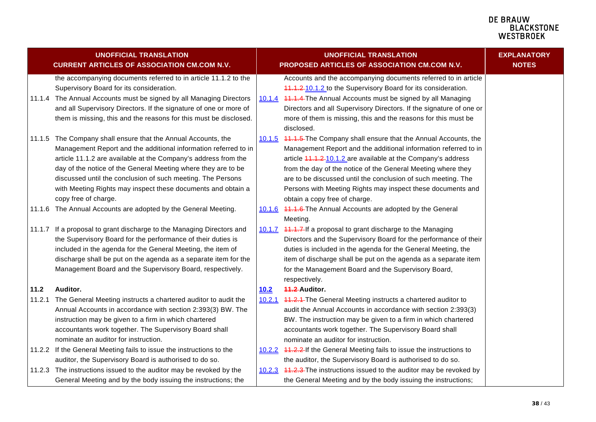<span id="page-37-0"></span>

|        | <b>UNOFFICIAL TRANSLATION</b><br><b>CURRENT ARTICLES OF ASSOCIATION CM.COM N.V.</b> |      | <b>UNOFFICIAL TRANSLATION</b><br>PROPOSED ARTICLES OF ASSOCIATION CM.COM N.V. | <b>EXPLANATORY</b><br><b>NOTES</b> |
|--------|-------------------------------------------------------------------------------------|------|-------------------------------------------------------------------------------|------------------------------------|
|        | the accompanying documents referred to in article 11.1.2 to the                     |      | Accounts and the accompanying documents referred to in article                |                                    |
|        | Supervisory Board for its consideration.                                            |      | 11.1.2-10.1.2 to the Supervisory Board for its consideration.                 |                                    |
|        | 11.1.4 The Annual Accounts must be signed by all Managing Directors                 |      | 10.1.4 11.1.4 The Annual Accounts must be signed by all Managing              |                                    |
|        | and all Supervisory Directors. If the signature of one or more of                   |      | Directors and all Supervisory Directors. If the signature of one or           |                                    |
|        | them is missing, this and the reasons for this must be disclosed.                   |      | more of them is missing, this and the reasons for this must be<br>disclosed.  |                                    |
|        | 11.1.5 The Company shall ensure that the Annual Accounts, the                       |      | 10.1.5 44.4.5 The Company shall ensure that the Annual Accounts, the          |                                    |
|        | Management Report and the additional information referred to in                     |      | Management Report and the additional information referred to in               |                                    |
|        | article 11.1.2 are available at the Company's address from the                      |      | article 44.4.2 10.1.2 are available at the Company's address                  |                                    |
|        | day of the notice of the General Meeting where they are to be                       |      | from the day of the notice of the General Meeting where they                  |                                    |
|        | discussed until the conclusion of such meeting. The Persons                         |      | are to be discussed until the conclusion of such meeting. The                 |                                    |
|        | with Meeting Rights may inspect these documents and obtain a                        |      | Persons with Meeting Rights may inspect these documents and                   |                                    |
|        | copy free of charge.                                                                |      | obtain a copy free of charge.                                                 |                                    |
|        | 11.1.6 The Annual Accounts are adopted by the General Meeting.                      |      | 10.1.6 41.1.6-The Annual Accounts are adopted by the General                  |                                    |
|        |                                                                                     |      | Meeting.                                                                      |                                    |
| 11.1.7 | If a proposal to grant discharge to the Managing Directors and                      |      | 10.1.7 41.1.7 If a proposal to grant discharge to the Managing                |                                    |
|        | the Supervisory Board for the performance of their duties is                        |      | Directors and the Supervisory Board for the performance of their              |                                    |
|        | included in the agenda for the General Meeting, the item of                         |      | duties is included in the agenda for the General Meeting, the                 |                                    |
|        | discharge shall be put on the agenda as a separate item for the                     |      | item of discharge shall be put on the agenda as a separate item               |                                    |
|        | Management Board and the Supervisory Board, respectively.                           |      | for the Management Board and the Supervisory Board,                           |                                    |
|        |                                                                                     |      | respectively.                                                                 |                                    |
| 11.2   | Auditor.                                                                            | 10.2 | 11.2 Auditor.                                                                 |                                    |
| 11.2.1 | The General Meeting instructs a chartered auditor to audit the                      |      | 10.2.1 41.2.4-The General Meeting instructs a chartered auditor to            |                                    |
|        | Annual Accounts in accordance with section 2:393(3) BW. The                         |      | audit the Annual Accounts in accordance with section 2:393(3)                 |                                    |
|        | instruction may be given to a firm in which chartered                               |      | BW. The instruction may be given to a firm in which chartered                 |                                    |
|        | accountants work together. The Supervisory Board shall                              |      | accountants work together. The Supervisory Board shall                        |                                    |
|        | nominate an auditor for instruction.                                                |      | nominate an auditor for instruction.                                          |                                    |
|        | 11.2.2 If the General Meeting fails to issue the instructions to the                |      | 10.2.2 11.2.2 If the General Meeting fails to issue the instructions to       |                                    |
|        | auditor, the Supervisory Board is authorised to do so.                              |      | the auditor, the Supervisory Board is authorised to do so.                    |                                    |
|        | 11.2.3 The instructions issued to the auditor may be revoked by the                 |      | 10.2.3 44.2.3 The instructions issued to the auditor may be revoked by        |                                    |
|        | General Meeting and by the body issuing the instructions; the                       |      | the General Meeting and by the body issuing the instructions;                 |                                    |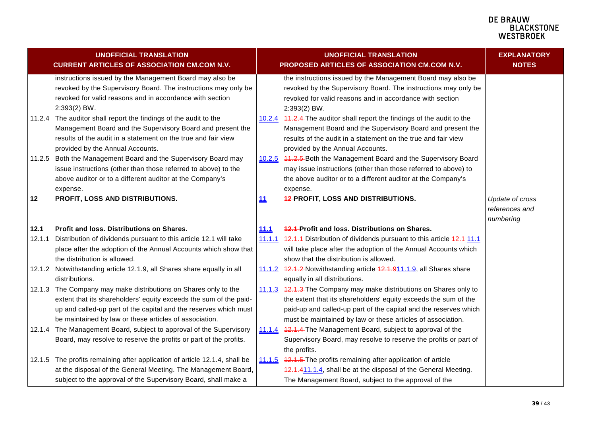<span id="page-38-2"></span><span id="page-38-1"></span><span id="page-38-0"></span>

|        | <b>UNOFFICIAL TRANSLATION</b><br><b>CURRENT ARTICLES OF ASSOCIATION CM.COM N.V.</b>                                                                                                                                                                                |               | <b>UNOFFICIAL TRANSLATION</b><br>PROPOSED ARTICLES OF ASSOCIATION CM.COM N.V.                                                                                                                                                                                            | <b>EXPLANATORY</b><br><b>NOTES</b>             |
|--------|--------------------------------------------------------------------------------------------------------------------------------------------------------------------------------------------------------------------------------------------------------------------|---------------|--------------------------------------------------------------------------------------------------------------------------------------------------------------------------------------------------------------------------------------------------------------------------|------------------------------------------------|
|        | instructions issued by the Management Board may also be<br>revoked by the Supervisory Board. The instructions may only be<br>revoked for valid reasons and in accordance with section<br>$2:393(2)$ BW.                                                            |               | the instructions issued by the Management Board may also be<br>revoked by the Supervisory Board. The instructions may only be<br>revoked for valid reasons and in accordance with section<br>$2:393(2)$ BW.                                                              |                                                |
|        | 11.2.4 The auditor shall report the findings of the audit to the<br>Management Board and the Supervisory Board and present the<br>results of the audit in a statement on the true and fair view<br>provided by the Annual Accounts.                                |               | 10.2.4 11.2.4 The auditor shall report the findings of the audit to the<br>Management Board and the Supervisory Board and present the<br>results of the audit in a statement on the true and fair view<br>provided by the Annual Accounts.                               |                                                |
| 11.2.5 | Both the Management Board and the Supervisory Board may<br>issue instructions (other than those referred to above) to the<br>above auditor or to a different auditor at the Company's<br>expense.                                                                  |               | 10.2.5 11.2.5 Both the Management Board and the Supervisory Board<br>may issue instructions (other than those referred to above) to<br>the above auditor or to a different auditor at the Company's<br>expense.                                                          |                                                |
| 12     | PROFIT, LOSS AND DISTRIBUTIONS.                                                                                                                                                                                                                                    | 11            | <b>42-PROFIT, LOSS AND DISTRIBUTIONS.</b>                                                                                                                                                                                                                                | Update of cross<br>references and<br>numbering |
| 12.1   | Profit and loss. Distributions on Shares.                                                                                                                                                                                                                          | <u> 11.1</u>  | <b>12.1-Profit and loss. Distributions on Shares.</b>                                                                                                                                                                                                                    |                                                |
| 12.1.1 | Distribution of dividends pursuant to this article 12.1 will take<br>place after the adoption of the Annual Accounts which show that<br>the distribution is allowed.                                                                                               |               | 11.1.1 12.1.1 Distribution of dividends pursuant to this article 12.1-11.1<br>will take place after the adoption of the Annual Accounts which<br>show that the distribution is allowed.                                                                                  |                                                |
|        | 12.1.2 Notwithstanding article 12.1.9, all Shares share equally in all<br>distributions.                                                                                                                                                                           |               | 11.1.2 12.1.2 Notwithstanding article 12.1.911.1.9, all Shares share<br>equally in all distributions.                                                                                                                                                                    |                                                |
|        | 12.1.3 The Company may make distributions on Shares only to the<br>extent that its shareholders' equity exceeds the sum of the paid-<br>up and called-up part of the capital and the reserves which must<br>be maintained by law or these articles of association. |               | 11.1.3 42.1.3 The Company may make distributions on Shares only to<br>the extent that its shareholders' equity exceeds the sum of the<br>paid-up and called-up part of the capital and the reserves which<br>must be maintained by law or these articles of association. |                                                |
|        | 12.1.4 The Management Board, subject to approval of the Supervisory<br>Board, may resolve to reserve the profits or part of the profits.                                                                                                                           | <u>11.1.4</u> | 42.1.4-The Management Board, subject to approval of the<br>Supervisory Board, may resolve to reserve the profits or part of<br>the profits.                                                                                                                              |                                                |
|        | 12.1.5 The profits remaining after application of article 12.1.4, shall be<br>at the disposal of the General Meeting. The Management Board,<br>subject to the approval of the Supervisory Board, shall make a                                                      |               | 11.1.5 42.1.5 The profits remaining after application of article<br>12.1.411.1.4, shall be at the disposal of the General Meeting.<br>The Management Board, subject to the approval of the                                                                               |                                                |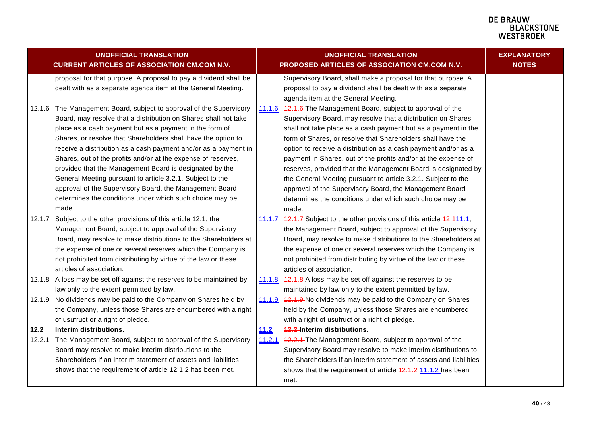<span id="page-39-1"></span><span id="page-39-0"></span>

|      | <b>UNOFFICIAL TRANSLATION</b><br><b>CURRENT ARTICLES OF ASSOCIATION CM.COM N.V.</b>                                          | <b>UNOFFICIAL TRANSLATION</b><br>PROPOSED ARTICLES OF ASSOCIATION CM.COM N.V. |                                                                                                                                 | <b>EXPLANATORY</b><br><b>NOTES</b> |
|------|------------------------------------------------------------------------------------------------------------------------------|-------------------------------------------------------------------------------|---------------------------------------------------------------------------------------------------------------------------------|------------------------------------|
|      | proposal for that purpose. A proposal to pay a dividend shall be                                                             |                                                                               | Supervisory Board, shall make a proposal for that purpose. A                                                                    |                                    |
|      | dealt with as a separate agenda item at the General Meeting.                                                                 |                                                                               | proposal to pay a dividend shall be dealt with as a separate                                                                    |                                    |
|      |                                                                                                                              |                                                                               | agenda item at the General Meeting.                                                                                             |                                    |
|      | 12.1.6 The Management Board, subject to approval of the Supervisory                                                          |                                                                               | 11.1.6 42.1.6 The Management Board, subject to approval of the                                                                  |                                    |
|      | Board, may resolve that a distribution on Shares shall not take                                                              |                                                                               | Supervisory Board, may resolve that a distribution on Shares                                                                    |                                    |
|      | place as a cash payment but as a payment in the form of                                                                      |                                                                               | shall not take place as a cash payment but as a payment in the                                                                  |                                    |
|      | Shares, or resolve that Shareholders shall have the option to                                                                |                                                                               | form of Shares, or resolve that Shareholders shall have the                                                                     |                                    |
|      | receive a distribution as a cash payment and/or as a payment in                                                              |                                                                               | option to receive a distribution as a cash payment and/or as a                                                                  |                                    |
|      | Shares, out of the profits and/or at the expense of reserves,                                                                |                                                                               | payment in Shares, out of the profits and/or at the expense of                                                                  |                                    |
|      | provided that the Management Board is designated by the                                                                      |                                                                               | reserves, provided that the Management Board is designated by                                                                   |                                    |
|      | General Meeting pursuant to article 3.2.1. Subject to the<br>approval of the Supervisory Board, the Management Board         |                                                                               | the General Meeting pursuant to article 3.2.1. Subject to the                                                                   |                                    |
|      | determines the conditions under which such choice may be                                                                     |                                                                               | approval of the Supervisory Board, the Management Board                                                                         |                                    |
|      | made.                                                                                                                        |                                                                               | determines the conditions under which such choice may be                                                                        |                                    |
|      |                                                                                                                              |                                                                               | made.                                                                                                                           |                                    |
|      | 12.1.7 Subject to the other provisions of this article 12.1, the<br>Management Board, subject to approval of the Supervisory |                                                                               | 11.1.7 42.1.7 Subject to the other provisions of this article 42.411.1,                                                         |                                    |
|      | Board, may resolve to make distributions to the Shareholders at                                                              |                                                                               | the Management Board, subject to approval of the Supervisory<br>Board, may resolve to make distributions to the Shareholders at |                                    |
|      | the expense of one or several reserves which the Company is                                                                  |                                                                               | the expense of one or several reserves which the Company is                                                                     |                                    |
|      | not prohibited from distributing by virtue of the law or these                                                               |                                                                               | not prohibited from distributing by virtue of the law or these                                                                  |                                    |
|      | articles of association.                                                                                                     |                                                                               | articles of association.                                                                                                        |                                    |
|      | 12.1.8 A loss may be set off against the reserves to be maintained by                                                        |                                                                               | 11.1.8 42.1.8 A loss may be set off against the reserves to be                                                                  |                                    |
|      | law only to the extent permitted by law.                                                                                     |                                                                               | maintained by law only to the extent permitted by law.                                                                          |                                    |
|      | 12.1.9 No dividends may be paid to the Company on Shares held by                                                             |                                                                               | 11.1.9 42.1.9 No dividends may be paid to the Company on Shares                                                                 |                                    |
|      | the Company, unless those Shares are encumbered with a right                                                                 |                                                                               | held by the Company, unless those Shares are encumbered                                                                         |                                    |
|      | of usufruct or a right of pledge.                                                                                            |                                                                               | with a right of usufruct or a right of pledge.                                                                                  |                                    |
| 12.2 | Interim distributions.                                                                                                       | 11.2                                                                          | <b>42.2-Interim distributions.</b>                                                                                              |                                    |
|      | 12.2.1 The Management Board, subject to approval of the Supervisory                                                          | 11.2.1                                                                        | 12.2.1 The Management Board, subject to approval of the                                                                         |                                    |
|      | Board may resolve to make interim distributions to the                                                                       |                                                                               | Supervisory Board may resolve to make interim distributions to                                                                  |                                    |
|      | Shareholders if an interim statement of assets and liabilities                                                               |                                                                               | the Shareholders if an interim statement of assets and liabilities                                                              |                                    |
|      | shows that the requirement of article 12.1.2 has been met.                                                                   |                                                                               | shows that the requirement of article 42.1.2-11.1.2 has been                                                                    |                                    |
|      |                                                                                                                              |                                                                               | met.                                                                                                                            |                                    |
|      |                                                                                                                              |                                                                               |                                                                                                                                 |                                    |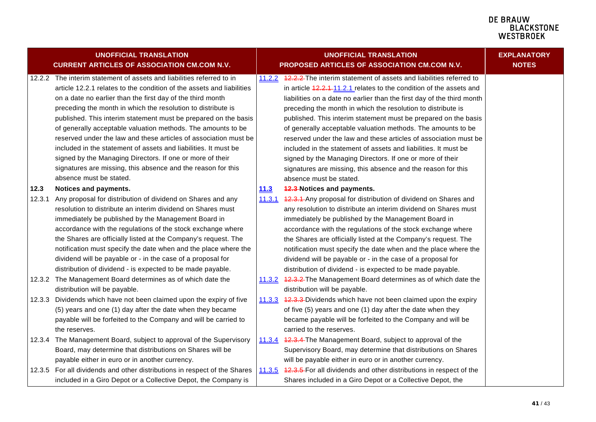**EXPLANATORY NOTES**

|        | <b>UNOFFICIAL TRANSLATION</b>                                             |        | <b>UNOFFICIAL TRANSLATION</b>                                             |  |  |
|--------|---------------------------------------------------------------------------|--------|---------------------------------------------------------------------------|--|--|
|        | <b>CURRENT ARTICLES OF ASSOCIATION CM.COM N.V.</b>                        |        | PROPOSED ARTICLES OF ASSOCIATION CM.COM N.V.                              |  |  |
|        | 12.2.2 The interim statement of assets and liabilities referred to in     |        | 11.2.2 12.2.2 The interim statement of assets and liabilities referred to |  |  |
|        | article 12.2.1 relates to the condition of the assets and liabilities     |        | in article 42.2.4-11.2.1 relates to the condition of the assets and       |  |  |
|        | on a date no earlier than the first day of the third month                |        | liabilities on a date no earlier than the first day of the third month    |  |  |
|        | preceding the month in which the resolution to distribute is              |        | preceding the month in which the resolution to distribute is              |  |  |
|        | published. This interim statement must be prepared on the basis           |        | published. This interim statement must be prepared on the basis           |  |  |
|        | of generally acceptable valuation methods. The amounts to be              |        | of generally acceptable valuation methods. The amounts to be              |  |  |
|        | reserved under the law and these articles of association must be          |        | reserved under the law and these articles of association must be          |  |  |
|        | included in the statement of assets and liabilities. It must be           |        | included in the statement of assets and liabilities. It must be           |  |  |
|        | signed by the Managing Directors. If one or more of their                 |        | signed by the Managing Directors. If one or more of their                 |  |  |
|        | signatures are missing, this absence and the reason for this              |        | signatures are missing, this absence and the reason for this              |  |  |
|        | absence must be stated.                                                   |        | absence must be stated.                                                   |  |  |
| 12.3   | Notices and payments.                                                     | 11.3   | <b>42.3 Notices and payments.</b>                                         |  |  |
| 12.3.1 | Any proposal for distribution of dividend on Shares and any               | 11.3.1 | 42.3.1 Any proposal for distribution of dividend on Shares and            |  |  |
|        | resolution to distribute an interim dividend on Shares must               |        | any resolution to distribute an interim dividend on Shares must           |  |  |
|        | immediately be published by the Management Board in                       |        | immediately be published by the Management Board in                       |  |  |
|        | accordance with the regulations of the stock exchange where               |        | accordance with the regulations of the stock exchange where               |  |  |
|        | the Shares are officially listed at the Company's request. The            |        | the Shares are officially listed at the Company's request. The            |  |  |
|        | notification must specify the date when and the place where the           |        | notification must specify the date when and the place where the           |  |  |
|        | dividend will be payable or - in the case of a proposal for               |        | dividend will be payable or - in the case of a proposal for               |  |  |
|        | distribution of dividend - is expected to be made payable.                |        | distribution of dividend - is expected to be made payable.                |  |  |
|        | 12.3.2 The Management Board determines as of which date the               |        | 11.3.2 42.3.2 The Management Board determines as of which date the        |  |  |
|        | distribution will be payable.                                             |        | distribution will be payable.                                             |  |  |
| 12.3.3 | Dividends which have not been claimed upon the expiry of five             | 11.3.3 | 42.3.3 Dividends which have not been claimed upon the expiry              |  |  |
|        | (5) years and one (1) day after the date when they became                 |        | of five (5) years and one (1) day after the date when they                |  |  |
|        | payable will be forfeited to the Company and will be carried to           |        | became payable will be forfeited to the Company and will be               |  |  |
|        | the reserves.                                                             |        | carried to the reserves.                                                  |  |  |
| 12.3.4 | The Management Board, subject to approval of the Supervisory              |        | 11.3.4 12.3.4 The Management Board, subject to approval of the            |  |  |
|        | Board, may determine that distributions on Shares will be                 |        | Supervisory Board, may determine that distributions on Shares             |  |  |
|        | payable either in euro or in another currency.                            |        | will be payable either in euro or in another currency.                    |  |  |
|        | 12.3.5 For all dividends and other distributions in respect of the Shares |        | 11.3.5 42.3.5 For all dividends and other distributions in respect of the |  |  |
|        | included in a Giro Depot or a Collective Depot, the Company is            |        | Shares included in a Giro Depot or a Collective Depot, the                |  |  |
|        |                                                                           |        |                                                                           |  |  |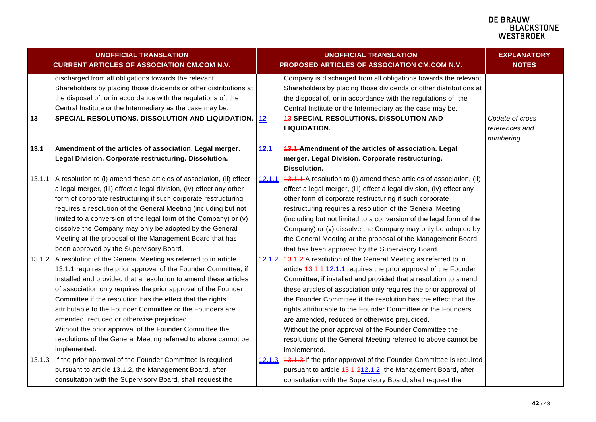<span id="page-41-2"></span><span id="page-41-1"></span><span id="page-41-0"></span>

|        | <b>UNOFFICIAL TRANSLATION</b><br><b>CURRENT ARTICLES OF ASSOCIATION CM.COM N.V.</b>                                                                                                                                                                                                                                                                                                                                                                                                                                                                                                                |            | <b>UNOFFICIAL TRANSLATION</b><br>PROPOSED ARTICLES OF ASSOCIATION CM.COM N.V.                                                                                                                                                                                                                                                                                                                                                                                                                                                                                                                                    | <b>EXPLANATORY</b><br><b>NOTES</b>             |
|--------|----------------------------------------------------------------------------------------------------------------------------------------------------------------------------------------------------------------------------------------------------------------------------------------------------------------------------------------------------------------------------------------------------------------------------------------------------------------------------------------------------------------------------------------------------------------------------------------------------|------------|------------------------------------------------------------------------------------------------------------------------------------------------------------------------------------------------------------------------------------------------------------------------------------------------------------------------------------------------------------------------------------------------------------------------------------------------------------------------------------------------------------------------------------------------------------------------------------------------------------------|------------------------------------------------|
| 13     | discharged from all obligations towards the relevant<br>Shareholders by placing those dividends or other distributions at<br>the disposal of, or in accordance with the regulations of, the<br>Central Institute or the Intermediary as the case may be.<br>SPECIAL RESOLUTIONS. DISSOLUTION AND LIQUIDATION.                                                                                                                                                                                                                                                                                      | $\vert$ 12 | Company is discharged from all obligations towards the relevant<br>Shareholders by placing those dividends or other distributions at<br>the disposal of, or in accordance with the regulations of, the<br>Central Institute or the Intermediary as the case may be.<br><b>43-SPECIAL RESOLUTIONS. DISSOLUTION AND</b><br><b>LIQUIDATION.</b>                                                                                                                                                                                                                                                                     | Update of cross<br>references and<br>numbering |
| 13.1   | Amendment of the articles of association. Legal merger.<br>Legal Division. Corporate restructuring. Dissolution.                                                                                                                                                                                                                                                                                                                                                                                                                                                                                   | 12.1       | 13.1-Amendment of the articles of association. Legal<br>merger. Legal Division. Corporate restructuring.<br><b>Dissolution.</b>                                                                                                                                                                                                                                                                                                                                                                                                                                                                                  |                                                |
| 13.1.1 | A resolution to (i) amend these articles of association, (ii) effect<br>a legal merger, (iii) effect a legal division, (iv) effect any other<br>form of corporate restructuring if such corporate restructuring<br>requires a resolution of the General Meeting (including but not<br>limited to a conversion of the legal form of the Company) or (v)<br>dissolve the Company may only be adopted by the General<br>Meeting at the proposal of the Management Board that has<br>been approved by the Supervisory Board.                                                                           | 12.1.1     | 43.1.1-A resolution to (i) amend these articles of association, (ii)<br>effect a legal merger, (iii) effect a legal division, (iv) effect any<br>other form of corporate restructuring if such corporate<br>restructuring requires a resolution of the General Meeting<br>(including but not limited to a conversion of the legal form of the<br>Company) or (v) dissolve the Company may only be adopted by<br>the General Meeting at the proposal of the Management Board<br>that has been approved by the Supervisory Board.                                                                                  |                                                |
|        | 13.1.2 A resolution of the General Meeting as referred to in article<br>13.1.1 requires the prior approval of the Founder Committee, if<br>installed and provided that a resolution to amend these articles<br>of association only requires the prior approval of the Founder<br>Committee if the resolution has the effect that the rights<br>attributable to the Founder Committee or the Founders are<br>amended, reduced or otherwise prejudiced.<br>Without the prior approval of the Founder Committee the<br>resolutions of the General Meeting referred to above cannot be<br>implemented. |            | 12.1.2 13.1.2 A resolution of the General Meeting as referred to in<br>article 43.1.1-12.1.1 requires the prior approval of the Founder<br>Committee, if installed and provided that a resolution to amend<br>these articles of association only requires the prior approval of<br>the Founder Committee if the resolution has the effect that the<br>rights attributable to the Founder Committee or the Founders<br>are amended, reduced or otherwise prejudiced.<br>Without the prior approval of the Founder Committee the<br>resolutions of the General Meeting referred to above cannot be<br>implemented. |                                                |
|        | 13.1.3 If the prior approval of the Founder Committee is required<br>pursuant to article 13.1.2, the Management Board, after<br>consultation with the Supervisory Board, shall request the                                                                                                                                                                                                                                                                                                                                                                                                         |            | 12.1.3 13.1.3 If the prior approval of the Founder Committee is required<br>pursuant to article 13.1.212.1.2, the Management Board, after<br>consultation with the Supervisory Board, shall request the                                                                                                                                                                                                                                                                                                                                                                                                          |                                                |